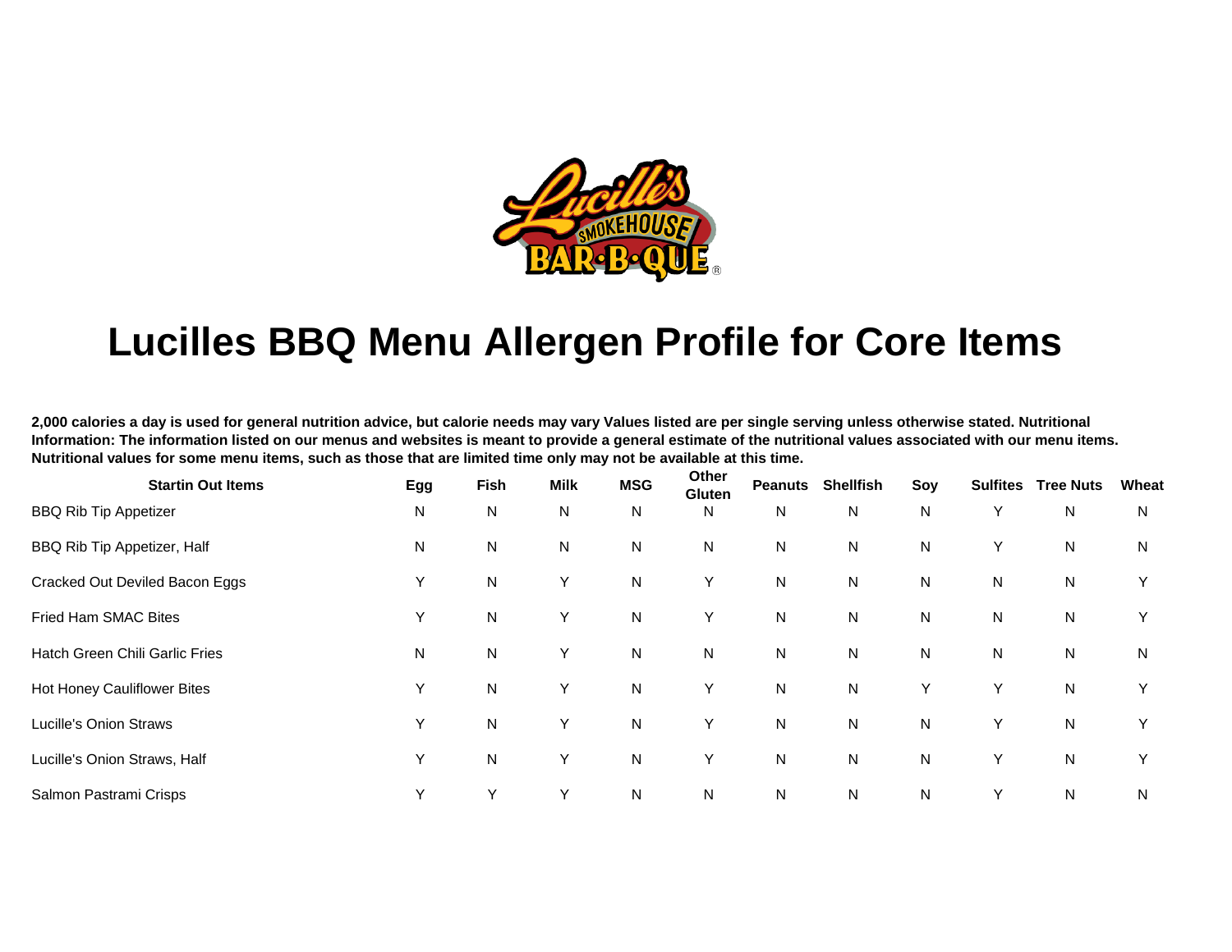

## **Lucilles BBQ Menu Allergen Profile for Core Items**

**2,000 calories a day is used for general nutrition advice, but calorie needs may vary Values listed are per single serving unless otherwise stated. Nutritional Information: The information listed on our menus and websites is meant to provide a general estimate of the nutritional values associated with our menu items. Nutritional values for some menu items, such as those that are limited time only may not be available at this time.** 

| <b>Startin Out Items</b>       | Egg          | <b>Fish</b>  | <b>Milk</b> | <b>MSG</b>   | Other<br><b>Gluten</b> | <b>Peanuts</b> | <b>Shellfish</b> | Soy | <b>Sulfites</b> | <b>Tree Nuts</b> | Wheat |
|--------------------------------|--------------|--------------|-------------|--------------|------------------------|----------------|------------------|-----|-----------------|------------------|-------|
| <b>BBQ Rib Tip Appetizer</b>   | N            | N            | N           | N            | N                      | N              | N                | N   | Y               | N                | N     |
| BBQ Rib Tip Appetizer, Half    | N            | ${\sf N}$    | N           | N            | N                      | $\mathsf{N}$   | N                | N   | Y               | N                | N     |
| Cracked Out Deviled Bacon Eggs | Υ            | N            | Y           | N            | Y                      | $\mathsf{N}$   | N                | N   | N               | N                | Y     |
| Fried Ham SMAC Bites           | Υ            | ${\sf N}$    | Y           | N            | Y                      | $\mathsf{N}$   | $\mathsf{N}$     | N   | N               | ${\sf N}$        | Υ     |
| Hatch Green Chili Garlic Fries | N            | ${\sf N}$    | Y           | $\mathsf{N}$ | $\mathsf{N}$           | $\mathsf{N}$   | $\mathsf{N}$     | N   | N               | ${\sf N}$        | N     |
| Hot Honey Cauliflower Bites    | Υ            | $\mathsf{N}$ | Y           | $\mathsf{N}$ | Y                      | ${\sf N}$      | $\mathsf{N}$     | Y   | Υ               | ${\sf N}$        | Y     |
| Lucille's Onion Straws         | Y            | ${\sf N}$    | Y           | $\mathsf{N}$ | Y                      | ${\sf N}$      | $\mathsf{N}$     | N   | Y               | ${\sf N}$        | Υ     |
| Lucille's Onion Straws, Half   | Υ            | ${\sf N}$    | Y           | ${\sf N}$    | Υ                      | ${\sf N}$      | $\mathsf{N}$     | N   | Υ               | ${\sf N}$        | Υ     |
| Salmon Pastrami Crisps         | $\checkmark$ | v            | Υ           | N            | N                      | ${\sf N}$      | N                | N   | Υ               | N                | N     |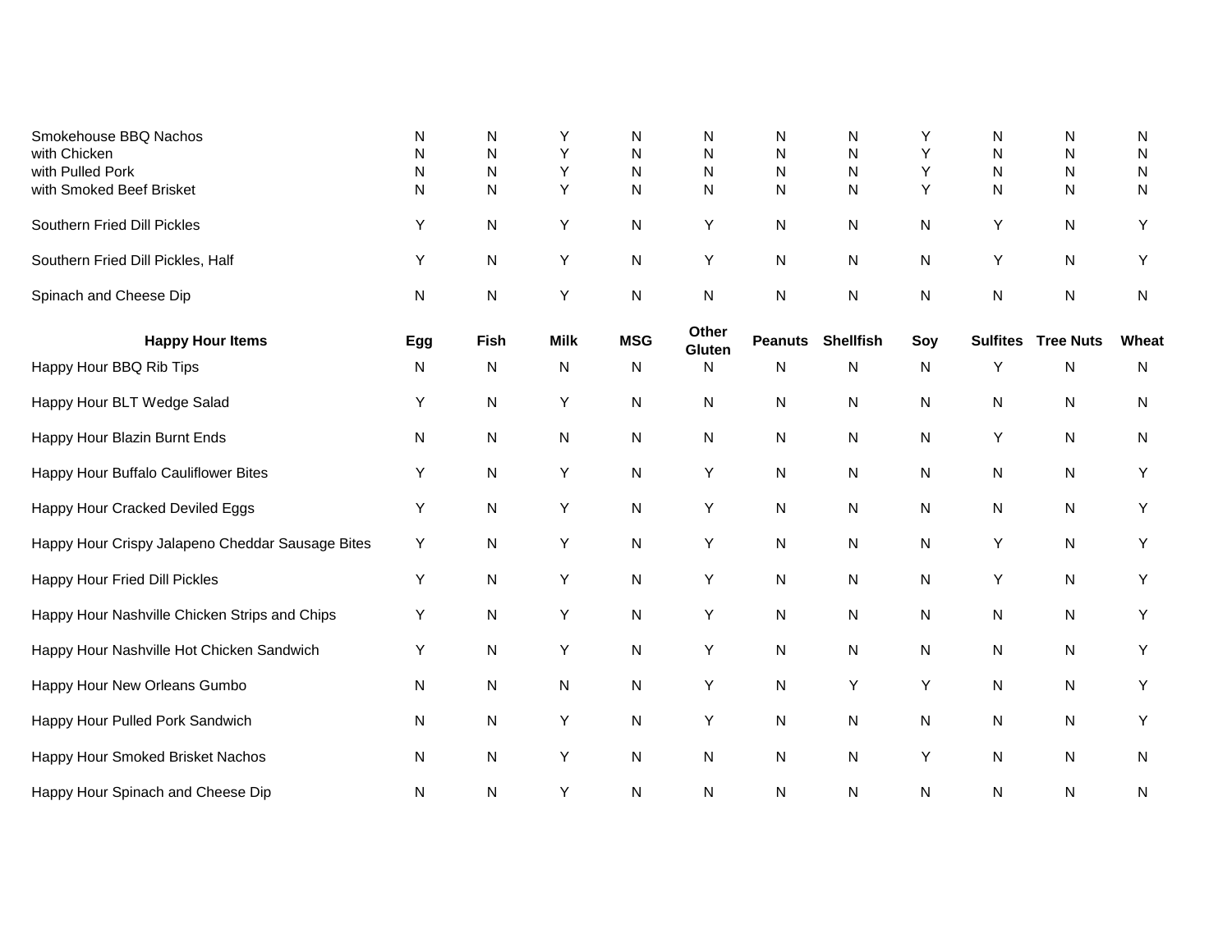| Smokehouse BBQ Nachos<br>with Chicken<br>with Pulled Pork<br>with Smoked Beef Brisket | N<br>N<br>N<br>N | N<br>N<br>N<br>N | Y<br>Y<br>Y<br>Y | N<br>N<br>$\mathsf{N}$<br>N | N<br>$\mathsf{N}$<br>N<br>$\mathsf{N}$ | N<br>$\mathsf{N}$<br>$\mathsf{N}$<br>$\mathsf{N}$ | N<br>N<br>N<br>N | Y<br>Υ<br>Y<br>Y | N<br>N<br>N<br>N | N<br>N<br>N<br>$\mathsf{N}$ | N<br>N<br>N<br>N |
|---------------------------------------------------------------------------------------|------------------|------------------|------------------|-----------------------------|----------------------------------------|---------------------------------------------------|------------------|------------------|------------------|-----------------------------|------------------|
| Southern Fried Dill Pickles                                                           | Y                | $\mathsf{N}$     | Y                | N                           | Y                                      | N                                                 | N                | N                | Y                | ${\sf N}$                   | Υ                |
| Southern Fried Dill Pickles, Half                                                     | Y                | N                | Y                | N                           | Υ                                      | $\mathsf{N}$                                      | N                | ${\sf N}$        | Υ                | ${\sf N}$                   | Υ                |
| Spinach and Cheese Dip                                                                | N                | N                | Y                | N                           | N                                      | $\mathsf{N}$                                      | ${\sf N}$        | N                | N                | $\mathsf{N}$                | N                |
| <b>Happy Hour Items</b>                                                               | Egg              | Fish             | <b>Milk</b>      | <b>MSG</b>                  | Other<br>Gluten                        | <b>Peanuts</b>                                    | <b>Shellfish</b> | Soy              | <b>Sulfites</b>  | <b>Tree Nuts</b>            | Wheat            |
| Happy Hour BBQ Rib Tips                                                               | N                | N                | ${\sf N}$        | N                           | N                                      | $\mathsf{N}$                                      | N                | ${\sf N}$        | Y                | $\mathsf{N}$                | ${\sf N}$        |
| Happy Hour BLT Wedge Salad                                                            | Y                | N                | Y                | N                           | N                                      | N                                                 | N                | N                | N                | N                           | N                |
| Happy Hour Blazin Burnt Ends                                                          | N                | N                | ${\sf N}$        | N                           | N                                      | N                                                 | N                | N                | Y                | N                           | N                |
| Happy Hour Buffalo Cauliflower Bites                                                  | Υ                | N                | Y                | N                           | Υ                                      | $\mathsf{N}$                                      | N                | N                | N                | ${\sf N}$                   | Υ                |
| Happy Hour Cracked Deviled Eggs                                                       | Y                | N                | Y                | N                           | Υ                                      | N                                                 | N                | N                | N                | N                           | Y                |
| Happy Hour Crispy Jalapeno Cheddar Sausage Bites                                      | Y                | $\mathsf{N}$     | Y                | N                           | Υ                                      | $\mathsf{N}$                                      | N                | N                | Y                | ${\sf N}$                   | Y                |
| Happy Hour Fried Dill Pickles                                                         | Y                | N                | Y                | N                           | Υ                                      | ${\sf N}$                                         | N                | ${\sf N}$        | Y                | ${\sf N}$                   | Υ                |
| Happy Hour Nashville Chicken Strips and Chips                                         | Y                | N                | Y                | N                           | Υ                                      | N                                                 | N                | N                | N                | ${\sf N}$                   | Υ                |
| Happy Hour Nashville Hot Chicken Sandwich                                             | Y                | N                | Y                | N                           | Υ                                      | $\mathsf{N}$                                      | N                | N                | N                | ${\sf N}$                   | Υ                |
| Happy Hour New Orleans Gumbo                                                          | N                | N                | ${\sf N}$        | N                           | Υ                                      | $\mathsf{N}$                                      | Υ                | Υ                | N                | ${\sf N}$                   | Υ                |
| Happy Hour Pulled Pork Sandwich                                                       | N                | N                | Y                | N                           | Υ                                      | $\mathsf{N}$                                      | N                | N                | N                | ${\sf N}$                   | Υ                |
| Happy Hour Smoked Brisket Nachos                                                      | N                | N                | Y                | N                           | N                                      | $\mathsf{N}$                                      | N                | Υ                | N                | N                           | N                |
| Happy Hour Spinach and Cheese Dip                                                     | N                | N                | Y                | N                           | N                                      | $\mathsf{N}$                                      | N                | N                | N                | N                           | ${\sf N}$        |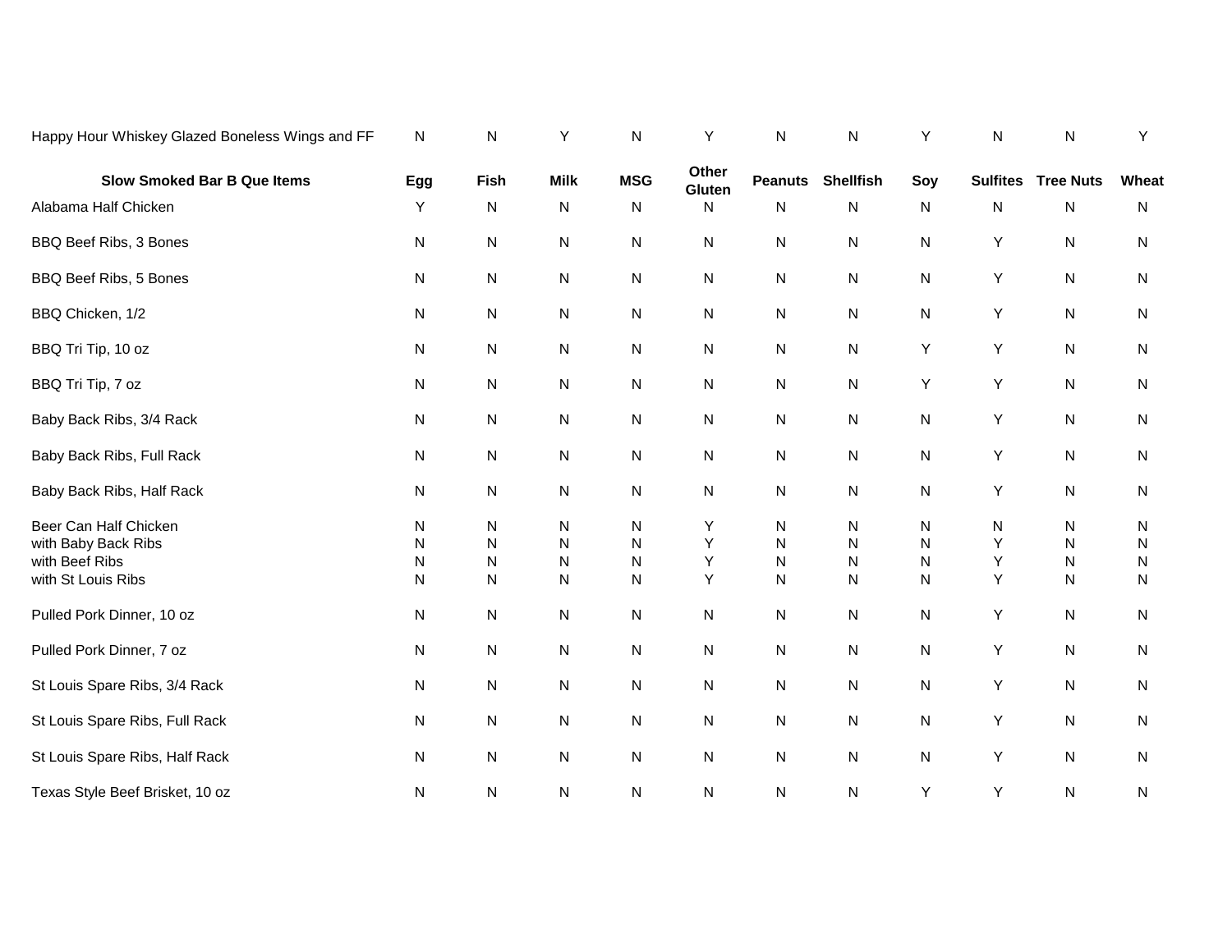| Happy Hour Whiskey Glazed Boneless Wings and FF                                      | N                | N                                        | Υ                        | N                | Υ                | ${\sf N}$                | N                | Υ                                | N                | ${\sf N}$                | Y                        |
|--------------------------------------------------------------------------------------|------------------|------------------------------------------|--------------------------|------------------|------------------|--------------------------|------------------|----------------------------------|------------------|--------------------------|--------------------------|
| <b>Slow Smoked Bar B Que Items</b>                                                   | Egg              | Fish                                     | <b>Milk</b>              | <b>MSG</b>       | Other<br>Gluten  | <b>Peanuts</b>           | <b>Shellfish</b> | Soy                              | <b>Sulfites</b>  | <b>Tree Nuts</b>         | Wheat                    |
| Alabama Half Chicken                                                                 | Y                | N                                        | N                        | N                | N                | N                        | N                | N                                | N                | N                        | N                        |
| BBQ Beef Ribs, 3 Bones                                                               | N                | N                                        | N                        | N                | N                | N                        | N                | N                                | Y                | ${\sf N}$                | N                        |
| BBQ Beef Ribs, 5 Bones                                                               | N                | N                                        | N                        | N                | $\mathsf{N}$     | N                        | N                | N                                | Υ                | ${\sf N}$                | ${\sf N}$                |
| BBQ Chicken, 1/2                                                                     | N                | N                                        | N                        | N                | N                | N                        | N                | N                                | Υ                | N                        | N                        |
| BBQ Tri Tip, 10 oz                                                                   | N                | N                                        | N                        | N                | N                | N                        | N                | Y                                | Υ                | N                        | N                        |
| BBQ Tri Tip, 7 oz                                                                    | N                | N                                        | N                        | N                | $\mathsf{N}$     | ${\sf N}$                | N                | Y                                | Υ                | ${\sf N}$                | N                        |
| Baby Back Ribs, 3/4 Rack                                                             | N                | N                                        | N                        | N                | N                | ${\sf N}$                | N                | N                                | Υ                | ${\sf N}$                | ${\sf N}$                |
| Baby Back Ribs, Full Rack                                                            | N                | N                                        | N                        | N                | N                | N                        | N                | N                                | Υ                | ${\sf N}$                | N                        |
| Baby Back Ribs, Half Rack                                                            | N                | N                                        | N                        | N                | N                | ${\sf N}$                | N                | ${\sf N}$                        | Υ                | ${\sf N}$                | ${\sf N}$                |
| Beer Can Half Chicken<br>with Baby Back Ribs<br>with Beef Ribs<br>with St Louis Ribs | N<br>N<br>N<br>N | N<br>${\sf N}$<br>${\sf N}$<br>${\sf N}$ | N<br>N<br>${\sf N}$<br>N | N<br>N<br>N<br>N | Y<br>Y<br>Υ<br>Υ | N<br>N<br>N<br>${\sf N}$ | N<br>N<br>N<br>N | N<br>${\sf N}$<br>${\sf N}$<br>N | N<br>Υ<br>Υ<br>Υ | N<br>N<br>N<br>${\sf N}$ | N<br>N<br>N<br>${\sf N}$ |
| Pulled Pork Dinner, 10 oz                                                            | N                | N                                        | N                        | N                | N                | ${\sf N}$                | N                | N                                | Υ                | ${\sf N}$                | ${\sf N}$                |
| Pulled Pork Dinner, 7 oz                                                             | N                | N                                        | N                        | Ν                | N                | ${\sf N}$                | N                | N                                | Υ                | ${\sf N}$                | N                        |
| St Louis Spare Ribs, 3/4 Rack                                                        | N                | N                                        | N                        | Ν                | N                | N                        | N                | N                                | Υ                | N                        | N                        |
| St Louis Spare Ribs, Full Rack                                                       | N                | ${\sf N}$                                | N                        | Ν                | N                | ${\sf N}$                | N                | N                                | Υ                | ${\sf N}$                | N                        |
| St Louis Spare Ribs, Half Rack                                                       | N                | N                                        | N                        | N                | N                | ${\sf N}$                | N                | N                                | Υ                | ${\sf N}$                | ${\sf N}$                |
| Texas Style Beef Brisket, 10 oz                                                      | N                | N                                        | N                        | Ν                | N                | N                        | N                | Υ                                | Υ                | ${\sf N}$                | N                        |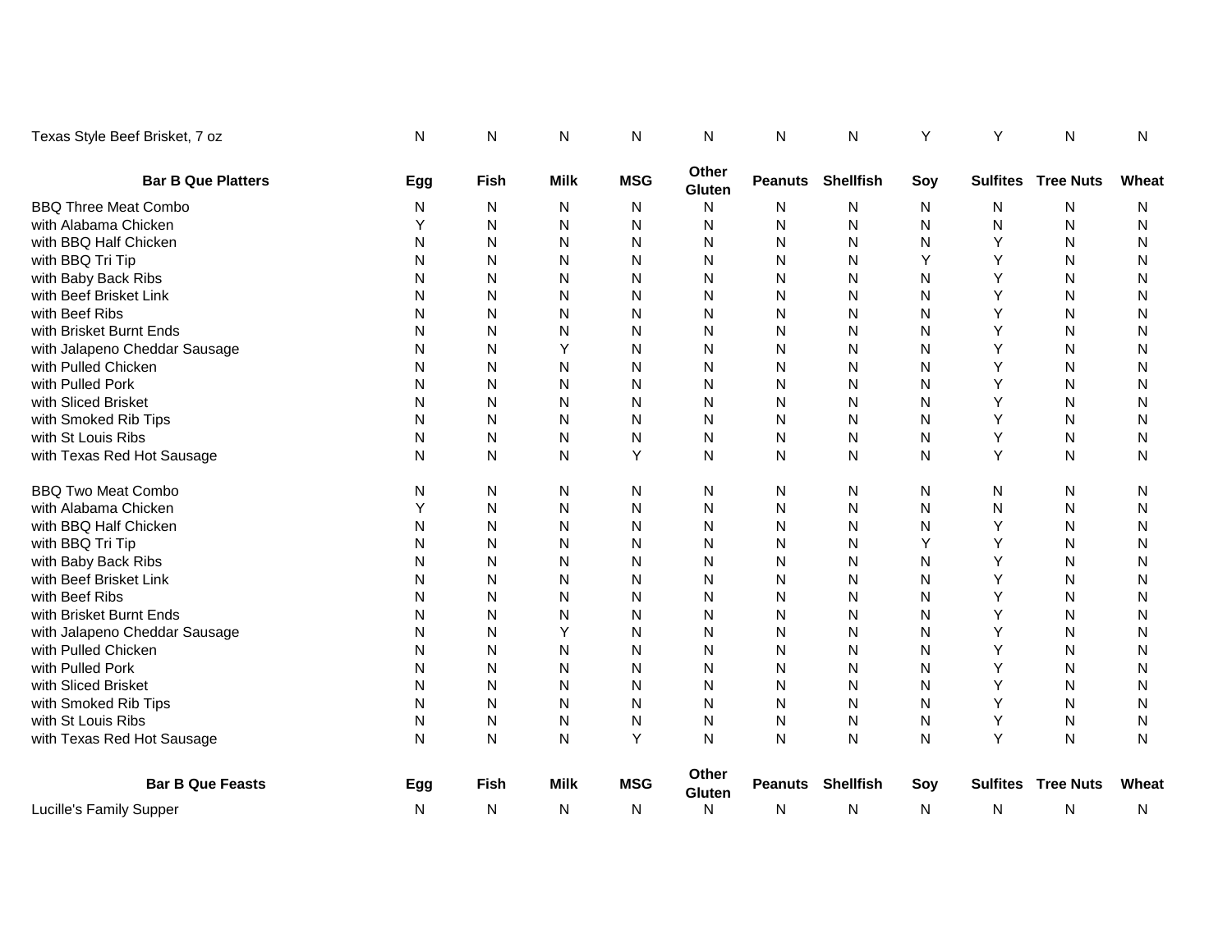| Texas Style Beef Brisket, 7 oz | N   | N            | N           | N          | N               | N              | N                        | Y   | Y | N                         | N     |
|--------------------------------|-----|--------------|-------------|------------|-----------------|----------------|--------------------------|-----|---|---------------------------|-------|
| <b>Bar B Que Platters</b>      | Egg | <b>Fish</b>  | <b>Milk</b> | <b>MSG</b> | Other<br>Gluten | <b>Peanuts</b> | <b>Shellfish</b>         | Soy |   | <b>Sulfites Tree Nuts</b> | Wheat |
| <b>BBQ Three Meat Combo</b>    | N   | N            | N           | N          | N               | N              | N                        | N   | N | N                         | N     |
| with Alabama Chicken           | Y   | N            | N           | N          | N               | N              | N                        | N   | N | N                         | N     |
| with BBQ Half Chicken          | N   | N            | N           | N          | N               | N              | N                        | N   | Y | N                         | N     |
| with BBQ Tri Tip               | N   | N            | N           | N          | N               | N              | N                        | Υ   | Y | N                         | N     |
| with Baby Back Ribs            | N   | N            | N           | N          | N               | N              | N                        | N   | Y | N                         | N     |
| with Beef Brisket Link         | N   | N            | N           | N          | N               | N              | N                        | N   | Y | N                         | N     |
| with Beef Ribs                 | Ν   | N            | N           | N          | N               | N              | N                        | N   | Y | N                         | N     |
| with Brisket Burnt Ends        | Ν   | N            | N           | N          | N               | N              | N                        | N   | Y | N                         | N     |
| with Jalapeno Cheddar Sausage  | Ν   | N            | Y           | N          | N               | N              | N                        | N   | Y | ${\sf N}$                 | N     |
| with Pulled Chicken            | Ν   | N            | N           | N          | N               | N              | N                        | N   | Υ | N                         | N     |
| with Pulled Pork               | N   | N            | N           | N          | N               | N              | N                        | N   | Y | N                         | N     |
| with Sliced Brisket            | Ν   | N            | N           | N          | N               | N              | N                        | N   | Y | N                         | N     |
| with Smoked Rib Tips           | Ν   | N            | N           | N          | N               | N              | N                        | N   | Y | N                         | N     |
| with St Louis Ribs             | Ν   | N            | N           | N          | N               | N              | N                        | N   | Υ | N                         | N     |
| with Texas Red Hot Sausage     | N   | N            | N           | Υ          | N               | N              | N                        | N   | Y | N                         | N     |
| <b>BBQ Two Meat Combo</b>      | N   | N            | N           | N          | N               | N              | N                        | N   | N | N                         | N     |
| with Alabama Chicken           | Y   | $\mathsf{N}$ | N           | N          | N               | N              | N                        | N   | N | ${\sf N}$                 | N     |
| with BBQ Half Chicken          | Ν   | N            | N           | N          | N               | N              | N                        | N   | Y | ${\sf N}$                 | N     |
| with BBQ Tri Tip               | Ν   | N            | N           | N          | N               | N              | N                        | Υ   | Y | N                         | Ν     |
| with Baby Back Ribs            | Ν   | N            | N           | N          | N               | N              | N                        | N   | Y | N                         | N     |
| with Beef Brisket Link         | N   | N            | N           | N          | N               | N              | N                        | N   | Y | N                         | N     |
| with Beef Ribs                 | Ν   | N            | N           | N          | N               | N              | N                        | N   | Y | N                         | N     |
| with Brisket Burnt Ends        | Ν   | N            | N           | N          | N               | N              | N                        | N   | Y | N                         | N     |
| with Jalapeno Cheddar Sausage  | Ν   | N            | Y           | N          | N               | N              | N                        | N   | Y | N                         | Ν     |
| with Pulled Chicken            | Ν   | N            | N           | N          | N               | N              | N                        | N   | Y | N                         | N     |
| with Pulled Pork               | N   | N            | N           | N          | N               | N              | N                        | N   | Y | N                         | N     |
| with Sliced Brisket            | N   | N            | N           | N          | N               | N              | N                        | N   | Y | N                         | N     |
| with Smoked Rib Tips           | N   | N            | N           | N          | N               | N              | N                        | N   | Y | N                         | N     |
| with St Louis Ribs             | N   | N            | N           | N          | N               | N              | N                        | N   | Υ | N                         | N     |
| with Texas Red Hot Sausage     | N   | N            | N           | Y          | N               | N              | N                        | N   | Y | N                         | N     |
| <b>Bar B Que Feasts</b>        | Egg | <b>Fish</b>  | <b>Milk</b> | <b>MSG</b> | Other<br>Gluten |                | <b>Peanuts</b> Shellfish | Soy |   | <b>Sulfites Tree Nuts</b> | Wheat |
| Lucille's Family Supper        | N   | N            | N           | N          | N               | N              | N                        | N   | N | N                         | N     |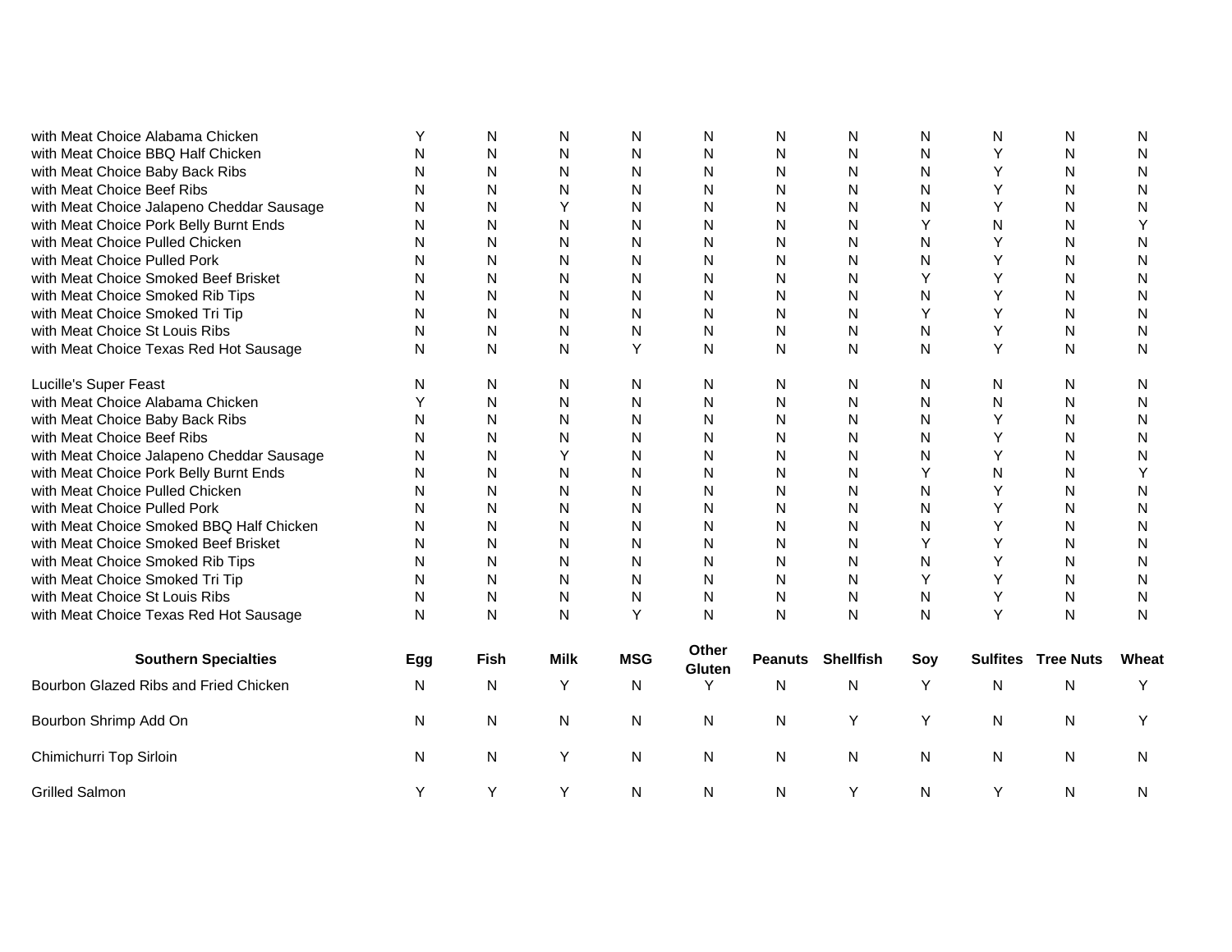| with Meat Choice Alabama Chicken          |     | N            | N            | N            | N               | N              | N                | N            | N               | N                |           |
|-------------------------------------------|-----|--------------|--------------|--------------|-----------------|----------------|------------------|--------------|-----------------|------------------|-----------|
| with Meat Choice BBQ Half Chicken         | N   | N            | ${\sf N}$    | Ν            | $\mathsf{N}$    | N              | N                | N            | Υ               | N                | N         |
| with Meat Choice Baby Back Ribs           | N   | N            | ${\sf N}$    | N            | $\mathsf{N}$    | N              | $\mathsf{N}$     | ${\sf N}$    | Y               | N                | N         |
| with Meat Choice Beef Ribs                | N   | N            | N            | N            | N               | N              | N                | ${\sf N}$    | Y               | N                | N         |
| with Meat Choice Jalapeno Cheddar Sausage | N   | N            | Y            | N            | N               | N              | $\mathsf{N}$     | N            | Y               | N                | N         |
| with Meat Choice Pork Belly Burnt Ends    | N   | N            | N            | N            | N               | N              | N                | Y            | N               | N                |           |
| with Meat Choice Pulled Chicken           | N   | N            | N            | N            | N               | N              | N                | $\mathsf{N}$ | Y               | N                | N         |
| with Meat Choice Pulled Pork              | N   | N            | N            | N            | N               | N              | N                | $\mathsf{N}$ | Y               | N                | N         |
| with Meat Choice Smoked Beef Brisket      | N   | N            | N            | N            | N               | N              | N                | Y            | Y               | N                | N         |
| with Meat Choice Smoked Rib Tips          | N   | N            | N            | N            | N               | N              | N                | N            | Y               | N                | N         |
| with Meat Choice Smoked Tri Tip           | N   | N            | N            | N            | N               | N              | N                | Y            | Y               | N                | N         |
| with Meat Choice St Louis Ribs            | N   | N            | N            | N            | N               | N              | N                | $\mathsf{N}$ | Υ               | N                | N         |
| with Meat Choice Texas Red Hot Sausage    | N   | $\mathsf{N}$ | $\mathsf{N}$ | Y            | N               | N              | ${\sf N}$        | $\mathsf{N}$ | Y               | N                | ${\sf N}$ |
| Lucille's Super Feast                     | N   | N            | N            | N            | N               | N              | N                | N            | N               | N                | N         |
| with Meat Choice Alabama Chicken          | Υ   | N            | N            | N            | N               | N              | N                | ${\sf N}$    | N               | N                | N         |
| with Meat Choice Baby Back Ribs           | N   | N            | N            | N            | N               | N              | $\mathsf{N}$     | $\mathsf{N}$ | Y               | N                | N         |
| with Meat Choice Beef Ribs                | N   | N            | N            | N            | N               | N              | N                | $\mathsf{N}$ | Y               | N                | N         |
| with Meat Choice Jalapeno Cheddar Sausage | N   | N            | Y            | N            | N               | N              | N                | N            | Y               | N                | N         |
| with Meat Choice Pork Belly Burnt Ends    | N   | $\mathsf{N}$ | $\mathsf{N}$ | N            | N               | N              | N                | Y            | $\mathsf{N}$    | N                | Υ         |
| with Meat Choice Pulled Chicken           | N   | N            | N            | N            | N               | N              | N                | $\mathsf{N}$ | Y               | N                | N         |
| with Meat Choice Pulled Pork              | N   | N            | N            | N            | N               | N              | N                | $\mathsf{N}$ | Y               | N                | N         |
| with Meat Choice Smoked BBQ Half Chicken  | N   | $\mathsf{N}$ | N            | N            | N               | N              | N                | $\mathsf{N}$ | Y               | N                | N         |
| with Meat Choice Smoked Beef Brisket      | N   | $\mathsf{N}$ | ${\sf N}$    | N            | $\mathsf{N}$    | N              | $\mathsf{N}$     | Y            | Y               | N                | N         |
| with Meat Choice Smoked Rib Tips          | N   | N            | $\mathsf{N}$ | N            | $\mathsf{N}$    | N              | $\mathsf{N}$     | $\mathsf{N}$ | Y               | N                | N         |
| with Meat Choice Smoked Tri Tip           | N   | $\mathsf{N}$ | $\mathsf{N}$ | N            | $\mathsf{N}$    | N              | $\mathsf{N}$     | Υ            | Y               | N                | N         |
| with Meat Choice St Louis Ribs            | N   | ${\sf N}$    | $\mathsf{N}$ | $\mathsf{N}$ | $\mathsf{N}$    | N              | $\mathsf{N}$     | $\mathsf{N}$ | Y               | N                | N         |
| with Meat Choice Texas Red Hot Sausage    | N   | N            | $\mathsf{N}$ | Y            | $\mathsf{N}$    | N              | $\mathsf{N}$     | $\mathsf{N}$ | Y               | N                | N         |
| <b>Southern Specialties</b>               | Egg | Fish         | <b>Milk</b>  | <b>MSG</b>   | Other<br>Gluten | <b>Peanuts</b> | <b>Shellfish</b> | Soy          | <b>Sulfites</b> | <b>Tree Nuts</b> | Wheat     |
| Bourbon Glazed Ribs and Fried Chicken     | N   | N            | Υ            | N            | Y               | $\mathsf{N}$   | N                | Y            | N               | N                | Y         |
| Bourbon Shrimp Add On                     | N   | N            | ${\sf N}$    | N            | N               | $\mathsf{N}$   | Υ                | Υ            | N               | N                | Y         |
| Chimichurri Top Sirloin                   | N   | N            | Υ            | N            | N               | N              | N                | N            | N               | N                | N         |
| <b>Grilled Salmon</b>                     | Y   | Υ            | Υ            | N            | N               | N              | Υ                | N            | Y               | N                | N         |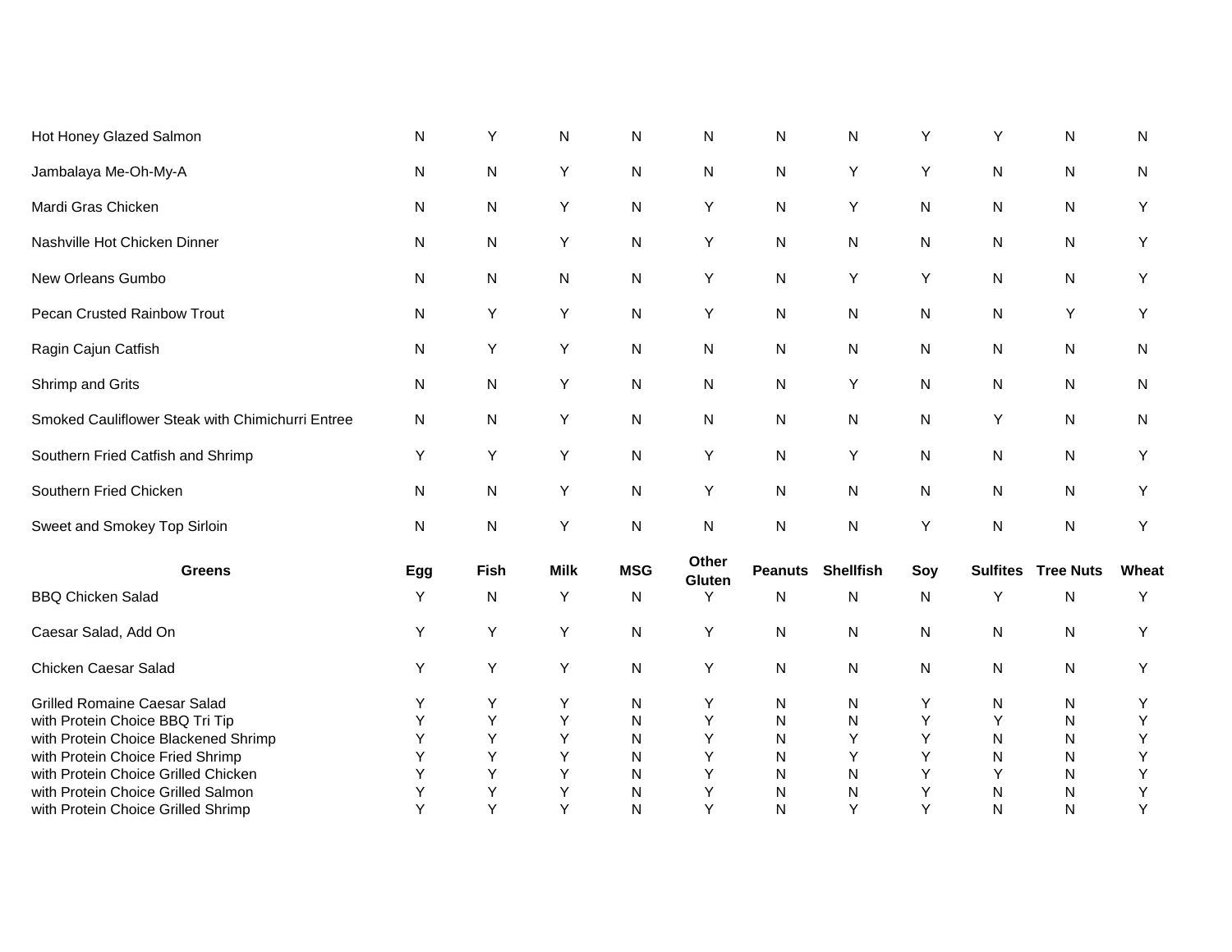| Hot Honey Glazed Salmon                          | N            | Υ    | ${\sf N}$   | N          | $\mathsf{N}$    | $\mathsf{N}$   | N                | Υ            | Υ               | ${\sf N}$        | N     |
|--------------------------------------------------|--------------|------|-------------|------------|-----------------|----------------|------------------|--------------|-----------------|------------------|-------|
| Jambalaya Me-Oh-My-A                             | $\mathsf{N}$ | N    | Υ           | N          | ${\sf N}$       | ${\sf N}$      | Υ                | Υ            | N               | ${\sf N}$        | N     |
| Mardi Gras Chicken                               | $\mathsf{N}$ | N    | Υ           | N          | Υ               | ${\sf N}$      | Υ                | N            | N               | ${\sf N}$        | Υ     |
| Nashville Hot Chicken Dinner                     | N            | N    | Υ           | N          | Υ               | N              | N                | N            | N               | N                | Y     |
| New Orleans Gumbo                                | N            | N    | N           | N          | Υ               | N              | Υ                | Υ            | N               | N                | Υ     |
| Pecan Crusted Rainbow Trout                      | N            | Υ    | Υ           | N          | Υ               | ${\sf N}$      | N                | N            | N               | Y                | Y     |
| Ragin Cajun Catfish                              | N            | Y    | Υ           | N          | N               | ${\sf N}$      | $\mathsf{N}$     | N            | N               | ${\sf N}$        | N     |
| Shrimp and Grits                                 | N            | N    | Υ           | N          | N               | ${\sf N}$      | Υ                | N            | N               | ${\sf N}$        | N     |
| Smoked Cauliflower Steak with Chimichurri Entree | N            | N    | Υ           | N          | N               | ${\sf N}$      | N                | N            | Υ               | ${\sf N}$        | N     |
| Southern Fried Catfish and Shrimp                | Y            | Y    | Υ           | N          | Υ               | N              | Y                | N            | N               | N                | Y     |
| Southern Fried Chicken                           | N            | N    | Υ           | N          | Y               | ${\sf N}$      | $\mathsf{N}$     | N            | N               | ${\sf N}$        | Y     |
| Sweet and Smokey Top Sirloin                     | N            | N    | Υ           | ${\sf N}$  | ${\sf N}$       | $\mathsf{N}$   | ${\sf N}$        | Υ            | $\mathsf{N}$    | $\mathsf{N}$     | Y     |
| <b>Greens</b>                                    | Egg          | Fish | <b>Milk</b> | <b>MSG</b> | Other<br>Gluten | <b>Peanuts</b> | <b>Shellfish</b> | Soy          | <b>Sulfites</b> | <b>Tree Nuts</b> | Wheat |
| <b>BBQ Chicken Salad</b>                         | Y            | N    | Υ           | N          | Y               | ${\sf N}$      | N                | $\mathsf{N}$ | Y               | N                | Υ     |
| Caesar Salad, Add On                             | Y            | Υ    | Υ           | N          | Υ               | N              | N                | N            | N               | N                | Y     |
| Chicken Caesar Salad                             | Y            | Y    | Υ           | N          | Y               | ${\sf N}$      | $\mathsf{N}$     | N            | N               | ${\sf N}$        | Υ     |
| <b>Grilled Romaine Caesar Salad</b>              | Y            | Υ    | Υ           | N          | Υ               | N              | N                | Υ            | N               | N                | Y     |
| with Protein Choice BBQ Tri Tip                  | Y            | Υ    | Υ           | N          | Υ               | ${\sf N}$      | N                | Υ            | Y               | ${\sf N}$        | Υ     |
| with Protein Choice Blackened Shrimp             | Y            | Υ    | Υ           | N          | Υ               | $\mathsf{N}$   | Υ                | Υ            | N               | ${\sf N}$        | Υ     |
| with Protein Choice Fried Shrimp                 | Y            | Υ    | Υ           | N          | Υ               | N              | Y                | Υ            | N               | N                | Υ     |
| with Protein Choice Grilled Chicken              | Y            | Υ    | Υ           | N          | Υ               | ${\sf N}$      | ${\sf N}$        | Υ            | Υ               | N                | Υ     |
| with Protein Choice Grilled Salmon               | Υ            | Υ    | Υ           | N          | Υ               | N              | ${\sf N}$        | Υ            | N               | N                | Υ     |
| with Protein Choice Grilled Shrimp               | Y            | Υ    | Y           | N          | Υ               | N              | Υ                | Υ            | N               | ${\sf N}$        | Υ     |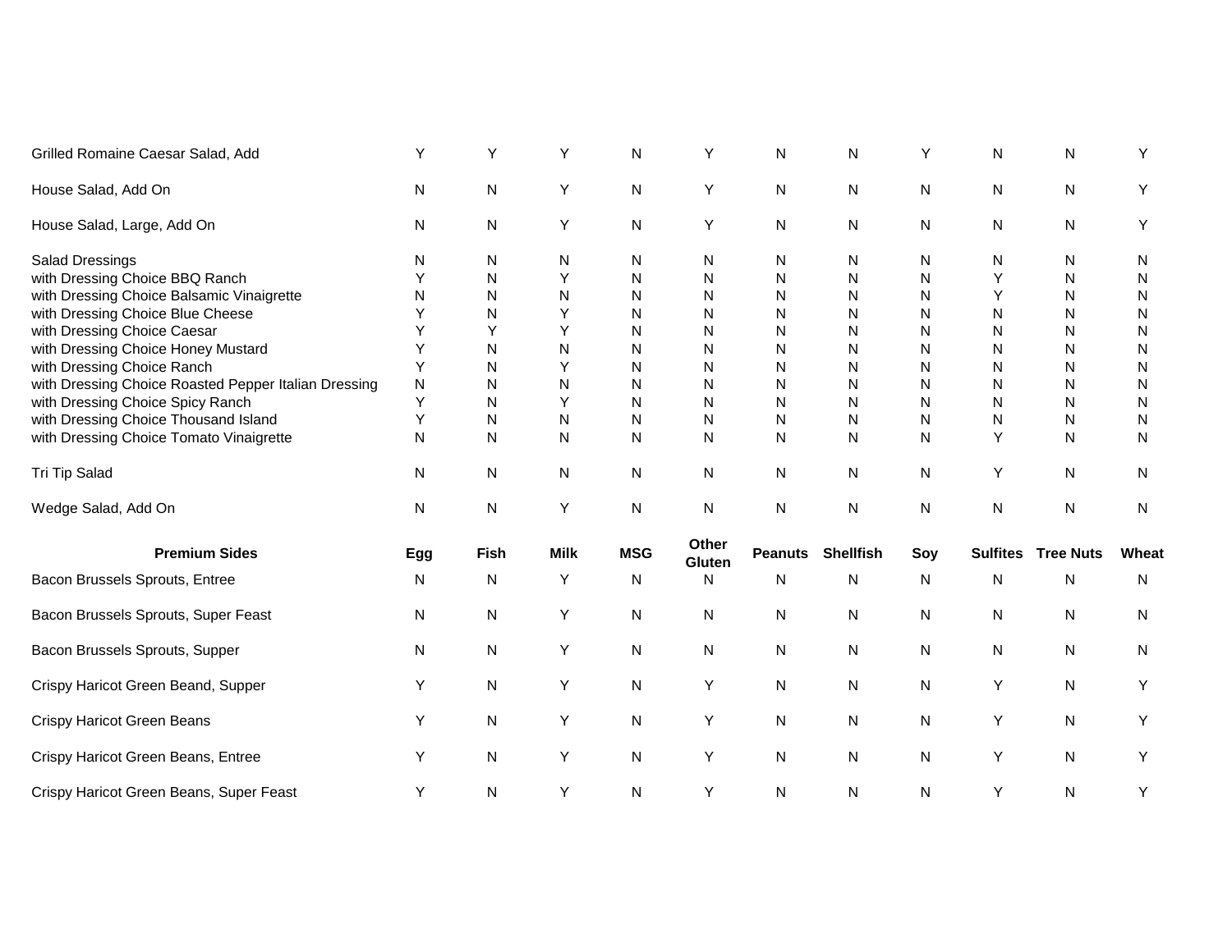| Grilled Romaine Caesar Salad, Add                    | Y   | Υ           | Y           | N          | Y               | N            | N                        | Y   | N               | Ν                | Y         |
|------------------------------------------------------|-----|-------------|-------------|------------|-----------------|--------------|--------------------------|-----|-----------------|------------------|-----------|
| House Salad, Add On                                  | N   | N           | Y           | N          | Y               | $\mathsf{N}$ | N                        | N   | N               | N                | Y         |
| House Salad, Large, Add On                           | N   | N           | Υ           | N          | Y               | N            | N                        | N   | N               | N                | Y         |
| <b>Salad Dressings</b>                               | N   | N           | N           | N          | N               | N            | N                        | Ν   | N               | N                | N         |
| with Dressing Choice BBQ Ranch                       | Υ   | N           | Y           | N          | N               | ${\sf N}$    | N                        | N   | Y               | N                | N         |
| with Dressing Choice Balsamic Vinaigrette            | N   | N           | ${\sf N}$   | N          | N               | ${\sf N}$    | N                        | N   | Y               | N                | N         |
| with Dressing Choice Blue Cheese                     | Y   | N           | Y           | N          | N               | N            | N                        | N   | N               | N                | N         |
| with Dressing Choice Caesar                          | Y   | Y           | Y           | N          | N               | N            | N                        | N   | N               | N                | N         |
| with Dressing Choice Honey Mustard                   | Y   | N           | N           | N          | N               | N            | N                        | N   | N               | N                | N         |
| with Dressing Choice Ranch                           | Y   | N           | Y           | N          | N               | N            | N                        | N   | N               | N                | N         |
| with Dressing Choice Roasted Pepper Italian Dressing | N   | N           | N           | N          | N               | N            | N                        | N   | N               | N                | N         |
| with Dressing Choice Spicy Ranch                     | Υ   | N           | Y           | N          | N               | N            | N                        | N   | N               | N                | N         |
| with Dressing Choice Thousand Island                 | Y   | N           | N           | N          | N               | N            | N                        | N   | N               | N                | ${\sf N}$ |
| with Dressing Choice Tomato Vinaigrette              | N   | N           | N           | N          | N               | $\mathsf{N}$ | N                        | N   | Y               | N                | N         |
| Tri Tip Salad                                        | N   | N           | N           | N          | N               | ${\sf N}$    | $\mathsf{N}$             | N   | Υ               | N                | N         |
| Wedge Salad, Add On                                  | N   | N           | Υ           | N          | N               | N            | ${\sf N}$                | N   | N               | N                | N         |
| <b>Premium Sides</b>                                 | Egg | <b>Fish</b> | <b>Milk</b> | <b>MSG</b> | Other<br>Gluten |              | <b>Peanuts Shellfish</b> | Soy | <b>Sulfites</b> | <b>Tree Nuts</b> | Wheat     |
| Bacon Brussels Sprouts, Entree                       | N   | N           | Y           | N          | N               | N            | N                        | N   | N               | N                | N         |
| Bacon Brussels Sprouts, Super Feast                  | N   | N           | Υ           | N          | N               | N            | N                        | N   | N               | N                | N         |
| Bacon Brussels Sprouts, Supper                       | N   | N           | Υ           | N          | N               | N            | N                        | N   | N               | N                | N         |
| Crispy Haricot Green Beand, Supper                   | Y   | ${\sf N}$   | Y           | ${\sf N}$  | Υ               | $\mathsf{N}$ | $\mathsf{N}$             | N   | Υ               | N                | Y         |
| <b>Crispy Haricot Green Beans</b>                    | Y   | N           | Υ           | N          | Υ               | ${\sf N}$    | N                        | N   | Υ               | N                | Υ         |
| Crispy Haricot Green Beans, Entree                   | Y   | N           | Y           | N          | Y               | N            | N                        | N   | Y               | N                | Y         |
| Crispy Haricot Green Beans, Super Feast              | Υ   | ${\sf N}$   | Υ           | N          | Υ               | ${\sf N}$    | ${\sf N}$                | N   | Υ               | N                | Υ         |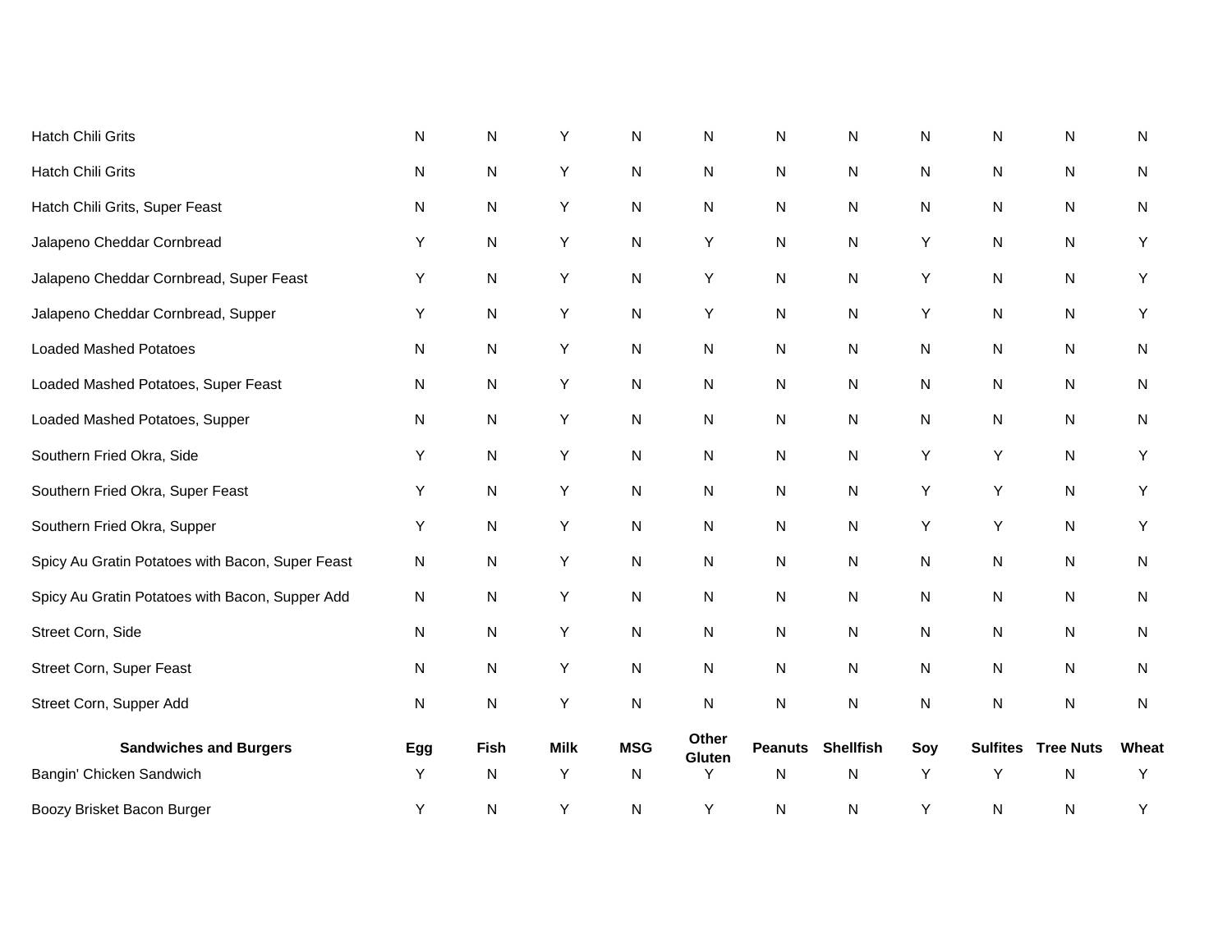| Boozy Brisket Bacon Burger                       | Υ   | N           | Υ           | N          | Y               | N              | ${\sf N}$        | Υ         | N               | N                | Υ     |
|--------------------------------------------------|-----|-------------|-------------|------------|-----------------|----------------|------------------|-----------|-----------------|------------------|-------|
| Bangin' Chicken Sandwich                         | Υ   | ${\sf N}$   | Υ           | N          | Y               | ${\sf N}$      | N                | Y         | Y               | ${\sf N}$        | Υ     |
| <b>Sandwiches and Burgers</b>                    | Egg | <b>Fish</b> | <b>Milk</b> | <b>MSG</b> | Other<br>Gluten | <b>Peanuts</b> | <b>Shellfish</b> | Soy       | <b>Sulfites</b> | <b>Tree Nuts</b> | Wheat |
| Street Corn, Supper Add                          | N   | N           | Υ           | N          | N               | N              | N                | ${\sf N}$ | N               | N                | N     |
| Street Corn, Super Feast                         | N   | N           | Υ           | N          | N               | N              | N                | ${\sf N}$ | N               | ${\sf N}$        | N     |
| Street Corn, Side                                | N   | ${\sf N}$   | Υ           | N          | N               | $\mathsf{N}$   | N                | ${\sf N}$ | N               | ${\sf N}$        | N     |
| Spicy Au Gratin Potatoes with Bacon, Supper Add  | N   | ${\sf N}$   | Y           | N          | N               | N              | N                | ${\sf N}$ | N               | ${\sf N}$        | N     |
| Spicy Au Gratin Potatoes with Bacon, Super Feast | N   | ${\sf N}$   | Υ           | N          | N               | $\mathsf{N}$   | ${\sf N}$        | ${\sf N}$ | N               | ${\sf N}$        | N     |
| Southern Fried Okra, Supper                      | Υ   | ${\sf N}$   | Υ           | N          | N               | $\mathsf{N}$   | N                | Y         | Y               | ${\sf N}$        | Y     |
| Southern Fried Okra, Super Feast                 | Y   | ${\sf N}$   | Υ           | N          | N               | ${\sf N}$      | N                | Y         | Y               | ${\sf N}$        | Y     |
| Southern Fried Okra, Side                        | Υ   | N           | Υ           | N          | N               | N              | N                | Y         | Υ               | N                | Y     |
| Loaded Mashed Potatoes, Supper                   | N   | ${\sf N}$   | Υ           | N          | N               | $\mathsf{N}$   | ${\sf N}$        | ${\sf N}$ | N               | ${\sf N}$        | N     |
| Loaded Mashed Potatoes, Super Feast              | N   | ${\sf N}$   | Υ           | N          | N               | $\mathsf{N}$   | N                | ${\sf N}$ | N               | ${\sf N}$        | N     |
| <b>Loaded Mashed Potatoes</b>                    | N   | N           | Υ           | N          | N               | N              | N                | N         | N               | ${\sf N}$        | N     |
| Jalapeno Cheddar Cornbread, Supper               | Y   | N           | Υ           | N          | Υ               | N              | N                | Υ         | N               | N                | Y     |
| Jalapeno Cheddar Cornbread, Super Feast          | Y   | N           | Υ           | N          | Υ               | N              | N                | Υ         | N               | ${\sf N}$        | Y     |
| Jalapeno Cheddar Cornbread                       | Y   | N           | Υ           | N          | Y               | N              | N                | Υ         | N               | N                | Y     |
| Hatch Chili Grits, Super Feast                   | N   | ${\sf N}$   | Υ           | N          | N               | $\mathsf{N}$   | ${\sf N}$        | N         | N               | N                | N     |
| Hatch Chili Grits                                | N   | ${\sf N}$   | Υ           | N          | N               | $\mathsf{N}$   | N                | ${\sf N}$ | N               | ${\sf N}$        | N     |
| <b>Hatch Chili Grits</b>                         | N   | N           | Υ           | N          | $\mathsf{N}$    | N              | N                | N         | N               | ${\sf N}$        | N     |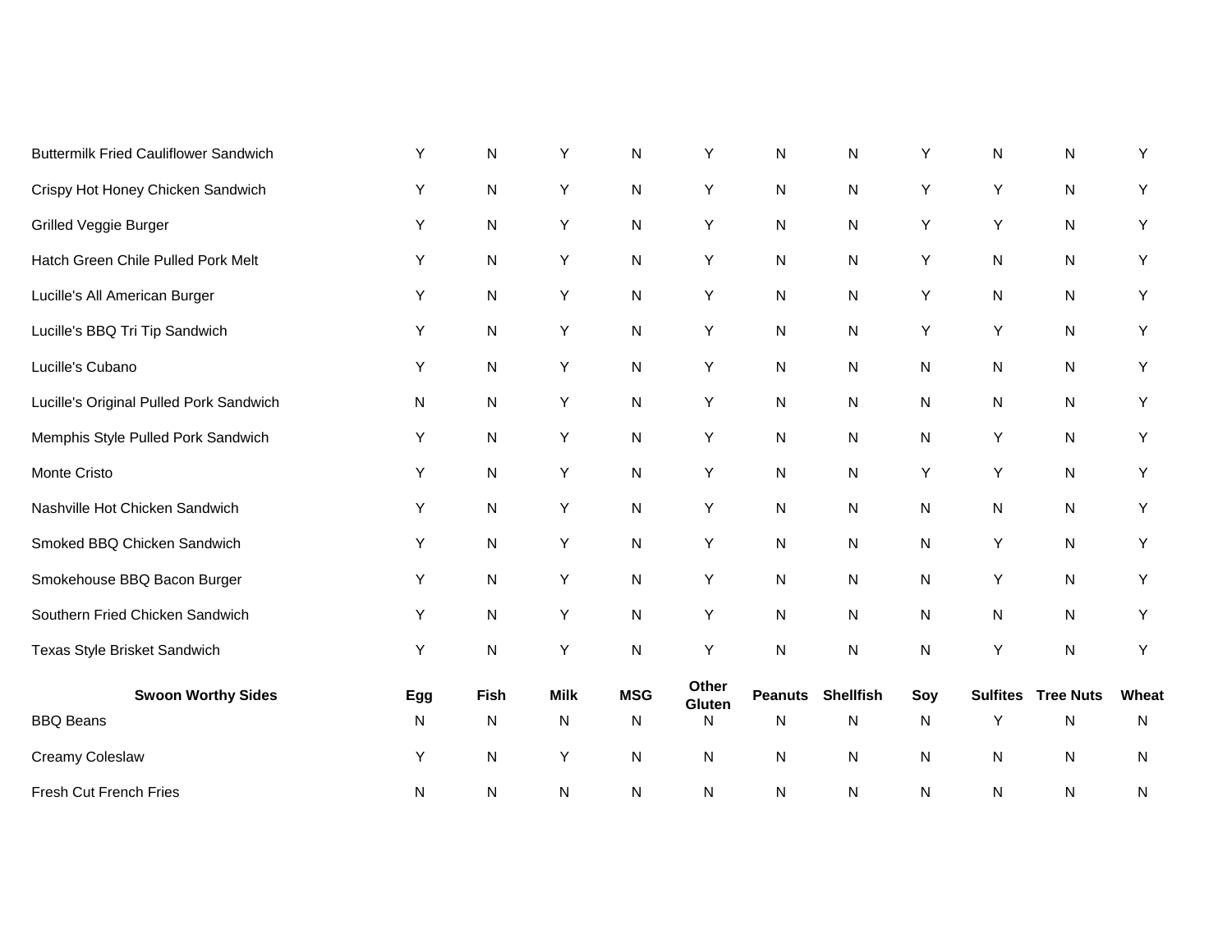| <b>Buttermilk Fried Cauliflower Sandwich</b> | Y   | $\mathsf{N}$ | Υ           | $\mathsf{N}$ | Υ               | ${\sf N}$      | Ν                | Y   | N               | ${\sf N}$        | Υ         |
|----------------------------------------------|-----|--------------|-------------|--------------|-----------------|----------------|------------------|-----|-----------------|------------------|-----------|
| Crispy Hot Honey Chicken Sandwich            | Y   | $\mathsf{N}$ | Υ           | N            | Y               | ${\sf N}$      | N                | Υ   | Y               | ${\sf N}$        | Υ         |
| Grilled Veggie Burger                        | Y   | $\mathsf{N}$ | Y           | ${\sf N}$    | Y               | ${\sf N}$      | ${\sf N}$        | Υ   | Υ               | ${\sf N}$        | Y         |
| Hatch Green Chile Pulled Pork Melt           | Y   | ${\sf N}$    | Y           | N            | Y               | $\mathsf{N}$   | $\mathsf{N}$     | Υ   | ${\sf N}$       | ${\sf N}$        | Y         |
| Lucille's All American Burger                | Υ   | ${\sf N}$    | Υ           | N            | Υ               | N              | N                | Υ   | N               | N                | Υ         |
| Lucille's BBQ Tri Tip Sandwich               | Υ   | $\mathsf{N}$ | Υ           | N            | Υ               | ${\sf N}$      | ${\sf N}$        | Υ   | Y               | ${\sf N}$        | Y         |
| Lucille's Cubano                             | Υ   | $\mathsf{N}$ | Y           | N            | Υ               | ${\sf N}$      | ${\sf N}$        | N   | N               | ${\sf N}$        | Y         |
| Lucille's Original Pulled Pork Sandwich      | N   | ${\sf N}$    | Υ           | N            | Y               | $\mathsf{N}$   | Ν                | N   | N               | N                | Y         |
| Memphis Style Pulled Pork Sandwich           | Y   | ${\sf N}$    | Υ           | N            | Υ               | N              | Ν                | N   | Y               | N                | Y         |
| Monte Cristo                                 | Υ   | ${\sf N}$    | Υ           | N            | Y               | N              | N                | Υ   | Υ               | N                | Y         |
| Nashville Hot Chicken Sandwich               | Y   | ${\sf N}$    | Y           | N            | Y               | ${\sf N}$      | N                | N   | ${\sf N}$       | N                | Y         |
| Smoked BBQ Chicken Sandwich                  | Y   | ${\sf N}$    | Υ           | N            | Y               | N              | Ν                | N   | Y               | N                | Υ         |
| Smokehouse BBQ Bacon Burger                  | Y   | ${\sf N}$    | Υ           | N            | Y               | $\mathsf{N}$   | $\mathsf{N}$     | N   | Y               | N                | Υ         |
| Southern Fried Chicken Sandwich              | Y   | ${\sf N}$    | Y           | N            | Υ               | ${\sf N}$      | ${\sf N}$        | N   | N               | N                | Υ         |
| Texas Style Brisket Sandwich                 | Υ   | $\mathsf{N}$ | Υ           | N            | Υ               | ${\sf N}$      | ${\sf N}$        | N   | Υ               | ${\sf N}$        | Υ         |
| <b>Swoon Worthy Sides</b>                    | Egg | <b>Fish</b>  | <b>Milk</b> | <b>MSG</b>   | Other<br>Gluten | <b>Peanuts</b> | <b>Shellfish</b> | Soy | <b>Sulfites</b> | <b>Tree Nuts</b> | Wheat     |
| <b>BBQ Beans</b>                             | N   | N            | N           | N            | N               | $\mathsf{N}$   | N                | N   | Y               | N                | N         |
| Creamy Coleslaw                              | Υ   | ${\sf N}$    | Υ           | N            | ${\sf N}$       | N              | N                | N   | ${\sf N}$       | ${\sf N}$        | ${\sf N}$ |
| Fresh Cut French Fries                       | N   | N            | N           | ${\sf N}$    | ${\sf N}$       | $\mathsf{N}$   | ${\sf N}$        | N   | ${\sf N}$       | N                | N         |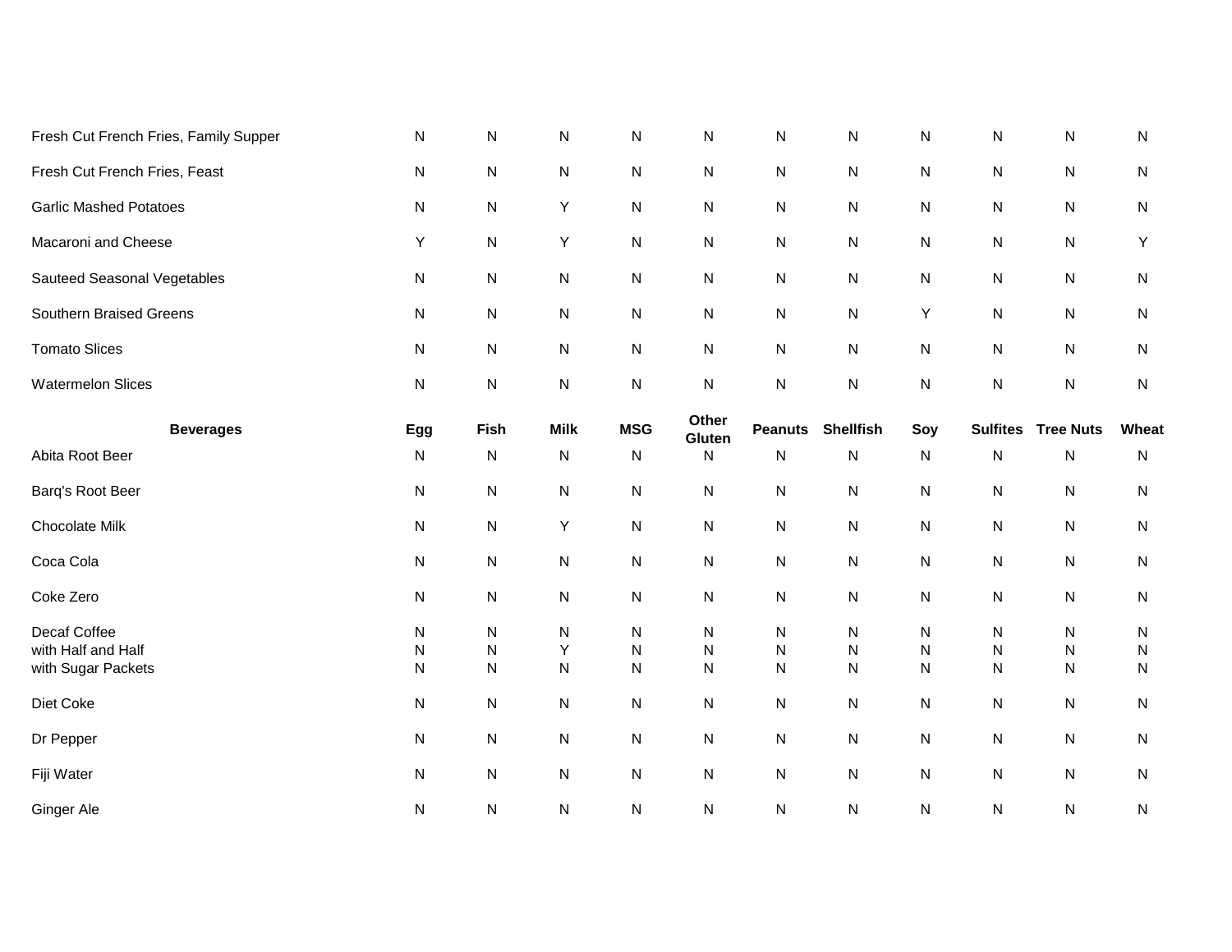| Fresh Cut French Fries, Family Supper                    | N                           | N                                   | N           | N                           | ${\sf N}$                      | ${\sf N}$                      | N                           | N                           | N                              | ${\sf N}$                           | N                                   |
|----------------------------------------------------------|-----------------------------|-------------------------------------|-------------|-----------------------------|--------------------------------|--------------------------------|-----------------------------|-----------------------------|--------------------------------|-------------------------------------|-------------------------------------|
| Fresh Cut French Fries, Feast                            | N                           | ${\sf N}$                           | N           | N                           | N                              | ${\sf N}$                      | N                           | N                           | N                              | ${\sf N}$                           | ${\sf N}$                           |
| <b>Garlic Mashed Potatoes</b>                            | N                           | ${\sf N}$                           | Υ           | N                           | ${\sf N}$                      | ${\sf N}$                      | N                           | N                           | N                              | ${\sf N}$                           | ${\sf N}$                           |
| Macaroni and Cheese                                      | Υ                           | N                                   | Υ           | N                           | N                              | N                              | N                           | N                           | N                              | ${\sf N}$                           | Υ                                   |
| Sauteed Seasonal Vegetables                              | N                           | N                                   | ${\sf N}$   | N                           | N                              | N                              | N                           | N                           | N                              | ${\sf N}$                           | $\mathsf{N}$                        |
| Southern Braised Greens                                  | N                           | ${\sf N}$                           | ${\sf N}$   | N                           | N                              | ${\sf N}$                      | ${\sf N}$                   | Y                           | N                              | ${\sf N}$                           | $\mathsf{N}$                        |
| <b>Tomato Slices</b>                                     | N                           | ${\sf N}$                           | N           | N                           | N                              | ${\sf N}$                      | ${\sf N}$                   | ${\sf N}$                   | N                              | ${\sf N}$                           | $\mathsf{N}$                        |
| <b>Watermelon Slices</b>                                 | ${\sf N}$                   | ${\sf N}$                           | N           | ${\sf N}$                   | ${\sf N}$                      | ${\sf N}$                      | ${\sf N}$                   | N                           | N                              | ${\sf N}$                           | ${\sf N}$                           |
| <b>Beverages</b>                                         | Egg                         | Fish                                | <b>Milk</b> | <b>MSG</b>                  | Other<br>Gluten                | <b>Peanuts</b>                 | <b>Shellfish</b>            | Soy                         | <b>Sulfites</b>                | <b>Tree Nuts</b>                    | Wheat                               |
| Abita Root Beer                                          | N                           | N                                   | N           | N                           | N                              | N                              | N                           | ${\sf N}$                   | N                              | ${\sf N}$                           | $\mathsf{N}$                        |
| Barq's Root Beer                                         | ${\sf N}$                   | ${\sf N}$                           | ${\sf N}$   | N                           | N                              | ${\sf N}$                      | N                           | N                           | ${\sf N}$                      | ${\sf N}$                           | $\mathsf{N}$                        |
| Chocolate Milk                                           | ${\sf N}$                   | ${\sf N}$                           | Υ           | N                           | N                              | $\mathsf{N}$                   | ${\sf N}$                   | N                           | ${\sf N}$                      | ${\sf N}$                           | ${\sf N}$                           |
| Coca Cola                                                | ${\sf N}$                   | ${\sf N}$                           | N           | ${\sf N}$                   | ${\sf N}$                      | $\mathsf{N}$                   | N                           | N                           | ${\sf N}$                      | ${\sf N}$                           | ${\sf N}$                           |
| Coke Zero                                                | N                           | ${\sf N}$                           | N           | N                           | N                              | ${\sf N}$                      | N                           | N                           | N                              | ${\sf N}$                           | ${\sf N}$                           |
| Decaf Coffee<br>with Half and Half<br>with Sugar Packets | N<br>${\sf N}$<br>${\sf N}$ | ${\sf N}$<br>${\sf N}$<br>${\sf N}$ | N<br>Υ<br>N | N<br>${\sf N}$<br>${\sf N}$ | ${\sf N}$<br>$\mathsf{N}$<br>N | N<br>${\sf N}$<br>$\mathsf{N}$ | ${\sf N}$<br>N<br>${\sf N}$ | N<br>${\sf N}$<br>${\sf N}$ | N<br>$\mathsf{N}$<br>${\sf N}$ | ${\sf N}$<br>${\sf N}$<br>${\sf N}$ | ${\sf N}$<br>${\sf N}$<br>${\sf N}$ |
| Diet Coke                                                | ${\sf N}$                   | ${\sf N}$                           | N           | ${\sf N}$                   | N                              | $\mathsf{N}$                   | ${\sf N}$                   | N                           | ${\sf N}$                      | ${\sf N}$                           | ${\sf N}$                           |
| Dr Pepper                                                | ${\sf N}$                   | ${\sf N}$                           | N           | ${\sf N}$                   | ${\sf N}$                      | $\mathsf{N}$                   | ${\sf N}$                   | N                           | ${\sf N}$                      | ${\sf N}$                           | ${\sf N}$                           |
| Fiji Water                                               | N                           | ${\sf N}$                           | N           | ${\sf N}$                   | N                              | ${\sf N}$                      | ${\sf N}$                   | N                           | ${\sf N}$                      | ${\sf N}$                           | $\mathsf{N}$                        |
| Ginger Ale                                               | ${\sf N}$                   | ${\sf N}$                           | N           | ${\sf N}$                   | $\mathsf{N}$                   | $\mathsf{N}$                   | ${\sf N}$                   | ${\sf N}$                   | ${\sf N}$                      | ${\sf N}$                           | ${\sf N}$                           |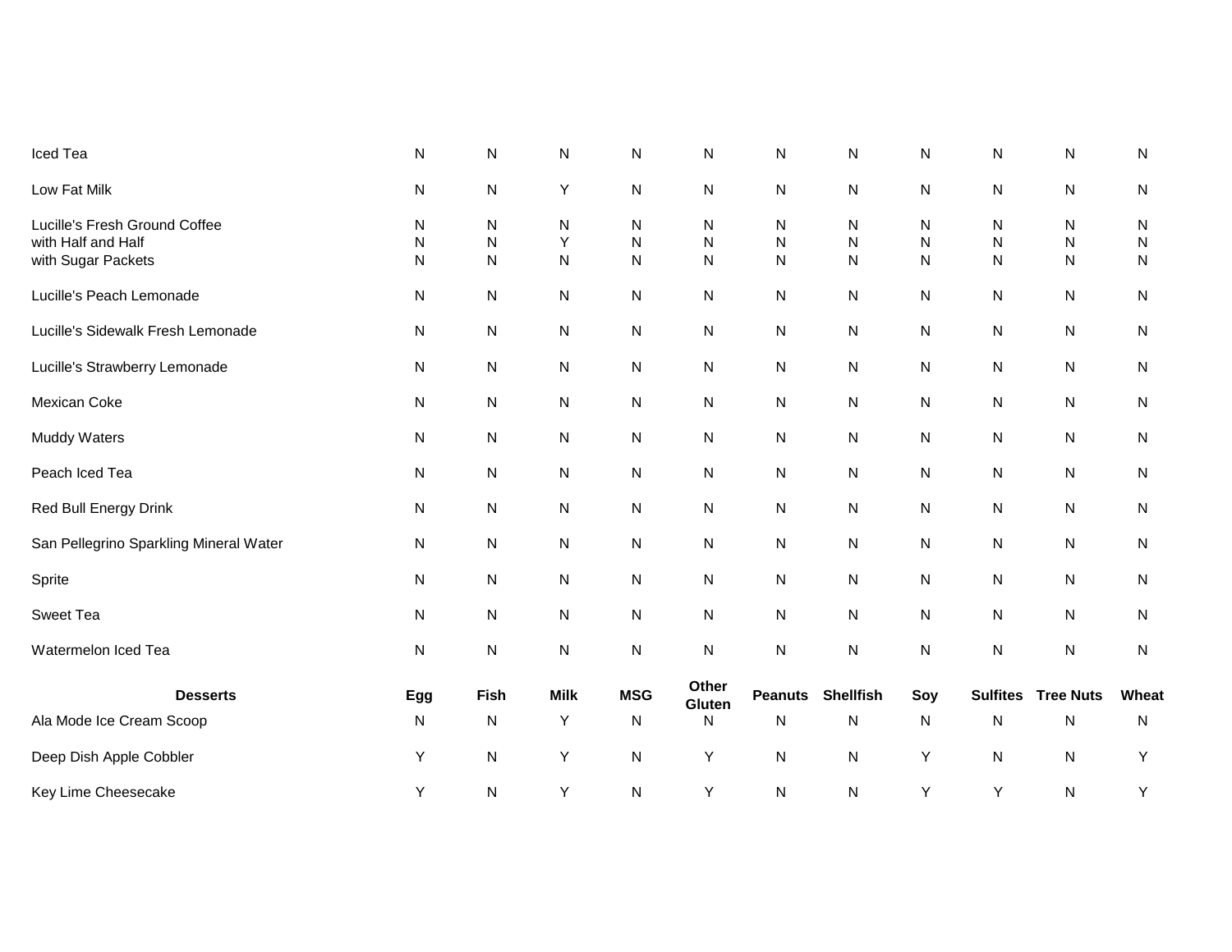| Iced Tea                                                                  | N                           | $\mathsf{N}$                      | N           | Ν                              | N                              | N                   | Ν                | N           | N                           | N                           | N                           |
|---------------------------------------------------------------------------|-----------------------------|-----------------------------------|-------------|--------------------------------|--------------------------------|---------------------|------------------|-------------|-----------------------------|-----------------------------|-----------------------------|
| Low Fat Milk                                                              | N                           | ${\sf N}$                         | Υ           | N                              | N                              | N                   | Ν                | N           | N                           | N                           | ${\sf N}$                   |
| Lucille's Fresh Ground Coffee<br>with Half and Half<br>with Sugar Packets | N<br>${\sf N}$<br>${\sf N}$ | N<br>$\mathsf{N}$<br>$\mathsf{N}$ | N<br>Y<br>N | N<br>$\mathsf{N}$<br>${\sf N}$ | N<br>${\sf N}$<br>$\mathsf{N}$ | N<br>N<br>${\sf N}$ | Ν<br>N<br>N      | N<br>N<br>N | N<br>${\sf N}$<br>${\sf N}$ | N<br>${\sf N}$<br>${\sf N}$ | N<br>${\sf N}$<br>${\sf N}$ |
| Lucille's Peach Lemonade                                                  | N                           | ${\sf N}$                         | N           | N                              | N                              | ${\sf N}$           | N                | N           | N                           | N                           | ${\sf N}$                   |
| Lucille's Sidewalk Fresh Lemonade                                         | ${\sf N}$                   | ${\sf N}$                         | N           | N                              | N                              | ${\sf N}$           | N                | N           | N                           | N                           | N                           |
| Lucille's Strawberry Lemonade                                             | N                           | $\mathsf{N}$                      | N           | N                              | ${\sf N}$                      | ${\sf N}$           | N                | N           | N                           | N                           | N                           |
| Mexican Coke                                                              | N                           | ${\sf N}$                         | ${\sf N}$   | N                              | ${\sf N}$                      | ${\sf N}$           | N                | N           | N                           | N                           | N                           |
| Muddy Waters                                                              | N                           | $\mathsf{N}$                      | N           | N                              | N                              | ${\sf N}$           | N                | N           | N                           | N                           | N                           |
| Peach Iced Tea                                                            | N                           | $\mathsf{N}$                      | N           | N                              | ${\sf N}$                      | ${\sf N}$           | N                | N           | ${\sf N}$                   | ${\sf N}$                   | N                           |
| Red Bull Energy Drink                                                     | N                           | $\mathsf{N}$                      | N           | N                              | ${\sf N}$                      | ${\sf N}$           | ${\sf N}$        | N           | N                           | N                           | N                           |
| San Pellegrino Sparkling Mineral Water                                    | N                           | ${\sf N}$                         | N           | N                              | ${\sf N}$                      | N                   | N                | N           | ${\sf N}$                   | N                           | N                           |
| Sprite                                                                    | N                           | $\mathsf{N}$                      | ${\sf N}$   | N                              | ${\sf N}$                      | N                   | ${\sf N}$        | N           | N                           | N                           | N                           |
| Sweet Tea                                                                 | N                           | ${\sf N}$                         | N           | N                              | ${\sf N}$                      | N                   | N                | N           | $\mathsf{N}$                | N                           | N                           |
| Watermelon Iced Tea                                                       | N                           | ${\sf N}$                         | ${\sf N}$   | N                              | ${\sf N}$                      | ${\sf N}$           | ${\sf N}$        | N           | ${\sf N}$                   | N                           | ${\sf N}$                   |
| <b>Desserts</b>                                                           | Egg                         | <b>Fish</b>                       | <b>Milk</b> | <b>MSG</b>                     | Other<br>Gluten                | <b>Peanuts</b>      | <b>Shellfish</b> | Soy         | <b>Sulfites</b>             | <b>Tree Nuts</b>            | Wheat                       |
| Ala Mode Ice Cream Scoop                                                  | N                           | N                                 | Υ           | N                              | N                              | $\mathsf{N}$        | Ν                | N           | N                           | N                           | N                           |
| Deep Dish Apple Cobbler                                                   | Υ                           | ${\sf N}$                         | Υ           | ${\sf N}$                      | Υ                              | ${\sf N}$           | N                | Υ           | N                           | N                           | Υ                           |
| Key Lime Cheesecake                                                       | Υ                           | $\mathsf{N}$                      | Υ           | ${\sf N}$                      | Υ                              | ${\sf N}$           | ${\sf N}$        | Υ           | Υ                           | N                           | Υ                           |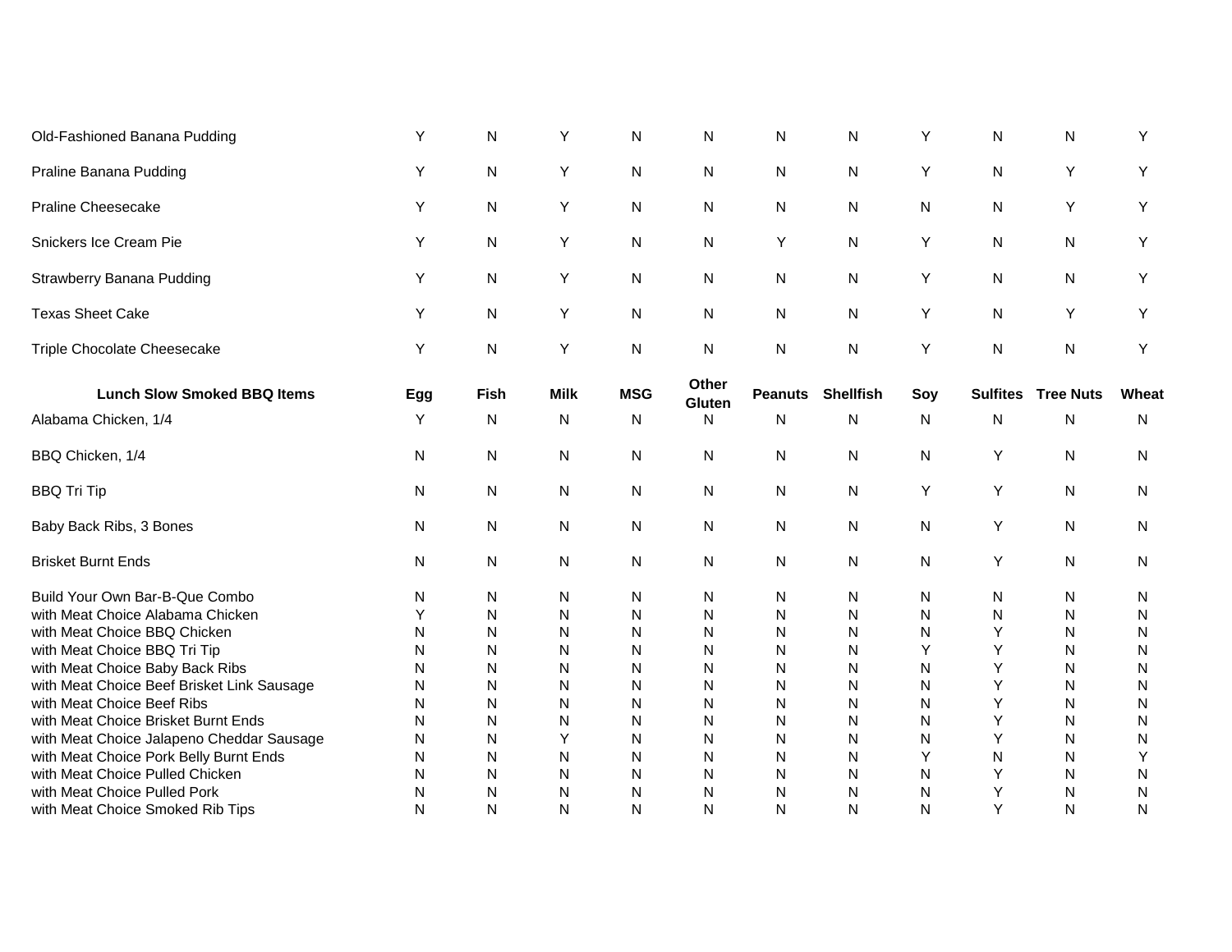| Old-Fashioned Banana Pudding                                                  | Y      | $\mathsf{N}$ | Y           | N          | N               | N              | N                | Y      | N               | $\mathsf{N}$     | Y         |
|-------------------------------------------------------------------------------|--------|--------------|-------------|------------|-----------------|----------------|------------------|--------|-----------------|------------------|-----------|
| Praline Banana Pudding                                                        | Y      | $\mathsf{N}$ | Y           | N          | N               | $\mathsf{N}$   | $\mathsf{N}$     | Y      | N               | Y                | Υ         |
| <b>Praline Cheesecake</b>                                                     | Y      | $\mathsf{N}$ | Υ           | N          | N               | $\mathsf{N}$   | $\mathsf{N}$     | N      | N               | Y                | Υ         |
| Snickers Ice Cream Pie                                                        | Y      | N            | Υ           | N          | N               | Y              | N                | Y      | N               | N                | Υ         |
| <b>Strawberry Banana Pudding</b>                                              | Y      | N            | Υ           | N          | N               | N              | N                | Y      | N               | N                | Υ         |
| <b>Texas Sheet Cake</b>                                                       | Y      | N            | Υ           | N          | N               | N              | N                | Y      | N               | Y                | Y         |
| Triple Chocolate Cheesecake                                                   | Υ      | N            | Υ           | N          | N               | N              | ${\sf N}$        | Y      | N               | N                | Υ         |
| <b>Lunch Slow Smoked BBQ Items</b>                                            | Egg    | <b>Fish</b>  | <b>Milk</b> | <b>MSG</b> | Other<br>Gluten | <b>Peanuts</b> | <b>Shellfish</b> | Soy    | <b>Sulfites</b> | <b>Tree Nuts</b> | Wheat     |
| Alabama Chicken, 1/4                                                          | Y      | N            | N           | N          | N               | $\mathsf{N}$   | N                | N      | N               | N                | Ν         |
| BBQ Chicken, 1/4                                                              | N      | N            | N           | N          | N               | N              | N                | N      | Y               | N                | N         |
| <b>BBQ Tri Tip</b>                                                            | N      | N            | N           | N          | N               | N              | N                | Y      | Y               | N                | N         |
| Baby Back Ribs, 3 Bones                                                       | N      | N            | N           | N          | N               | N              | N                | N      | Y               | N                | N         |
| <b>Brisket Burnt Ends</b>                                                     | N      | N            | N           | N          | N               | N              | N                | N      | Υ               | N                | N         |
| Build Your Own Bar-B-Que Combo                                                | N      | N            | N           | N          | N               | N              | N                | N      | N               | N                | N         |
| with Meat Choice Alabama Chicken                                              | Y      | N            | N           | N          | N               | N              | N                | N      | N               | N                | N         |
| with Meat Choice BBQ Chicken                                                  | N      | N            | N           | N          | N               | N              | $\mathsf{N}$     | N      | Y<br>Y          | N                | ${\sf N}$ |
| with Meat Choice BBQ Tri Tip                                                  | N      | N            | N           | N          | N               | N              | N                | Y      | Y               | N                | N         |
| with Meat Choice Baby Back Ribs<br>with Meat Choice Beef Brisket Link Sausage | N<br>N | N<br>N       | N<br>N      | N<br>N     | N<br>N          | N<br>N         | N<br>N           | N<br>N | Y               | N<br>N           | N<br>N    |
| with Meat Choice Beef Ribs                                                    | N      | N            | N           | N          | N               | N              | N                | N      | Y               | N                | N         |
| with Meat Choice Brisket Burnt Ends                                           | N      | N            | ${\sf N}$   | N          | N               | N              | N                | N      | Υ               | N                | N         |
| with Meat Choice Jalapeno Cheddar Sausage                                     | N      | $\mathsf{N}$ | Υ           | N          | N               | N              | N                | N      | Υ               | N                | Ν         |
| with Meat Choice Pork Belly Burnt Ends                                        | N      | N            | N           | N          | N               | N              | N                | Υ      | N               | N                | Υ         |
| with Meat Choice Pulled Chicken                                               | N      | N            | N           | N          | N               | N              | N                | N      | Υ               | N                | N         |
| with Meat Choice Pulled Pork                                                  | N      | N            | N           | N          | N               | N              | N                | N      | Υ               | N                | N         |
| with Meat Choice Smoked Rib Tips                                              | N      | N            | N           | N          | N               | N              | N                | N      | Υ               | N                | Ν         |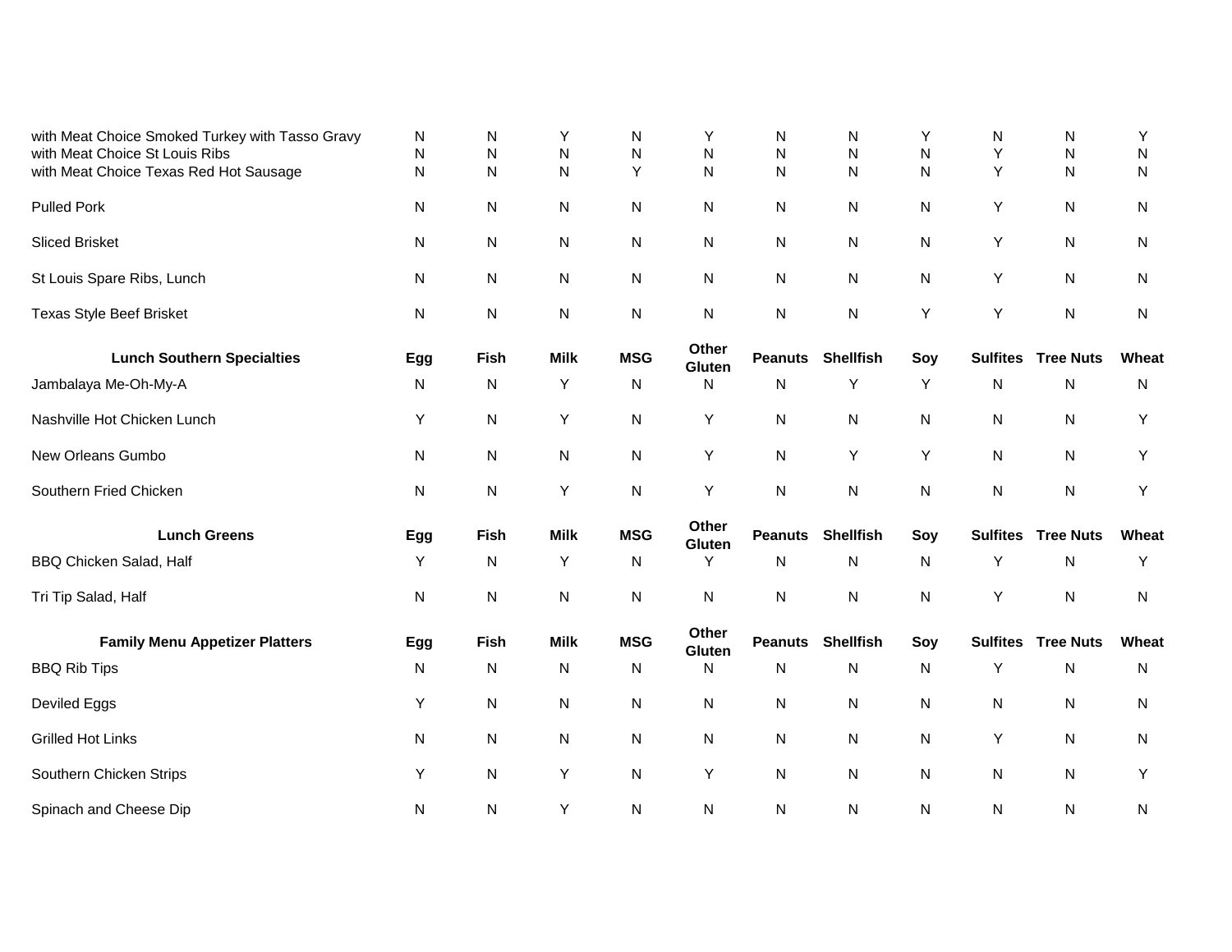| with Meat Choice Smoked Turkey with Tasso Gravy<br>with Meat Choice St Louis Ribs | N<br>${\sf N}$ | N<br>N    | Υ<br>N      | N<br>Ν     | Y<br>N          | N<br>N         | N<br>N           | Y<br>N    | N<br>Υ          | N<br>Ν           | Y<br>N    |
|-----------------------------------------------------------------------------------|----------------|-----------|-------------|------------|-----------------|----------------|------------------|-----------|-----------------|------------------|-----------|
| with Meat Choice Texas Red Hot Sausage                                            | ${\sf N}$      | N         | N           | Υ          | $\mathsf{N}$    | $\mathsf{N}$   | N                | N         | Υ               | ${\sf N}$        | N         |
| <b>Pulled Pork</b>                                                                | N              | N         | N           | N          | N               | N              | N                | N         | Υ               | ${\sf N}$        | N         |
| <b>Sliced Brisket</b>                                                             | N              | N         | ${\sf N}$   | N          | N               | N              | N                | N         | Υ               | N                | N         |
| St Louis Spare Ribs, Lunch                                                        | N              | N         | ${\sf N}$   | N          | N               | N              | N                | N         | Υ               | ${\sf N}$        | N         |
| <b>Texas Style Beef Brisket</b>                                                   | N              | ${\sf N}$ | ${\sf N}$   | N          | ${\sf N}$       | $\mathsf{N}$   | N                | Υ         | Y               | ${\sf N}$        | N         |
| <b>Lunch Southern Specialties</b>                                                 | Egg            | Fish      | <b>Milk</b> | <b>MSG</b> | Other<br>Gluten | <b>Peanuts</b> | <b>Shellfish</b> | Soy       | <b>Sulfites</b> | <b>Tree Nuts</b> | Wheat     |
| Jambalaya Me-Oh-My-A                                                              | N              | N         | Υ           | N          | N               | $\mathsf{N}$   | Υ                | Y         | N               | ${\sf N}$        | N         |
| Nashville Hot Chicken Lunch                                                       | Υ              | N         | Υ           | N          | Υ               | N              | N                | N         | N               | N                | Υ         |
| New Orleans Gumbo                                                                 | N              | ${\sf N}$ | ${\sf N}$   | N          | Υ               | $\mathsf{N}$   | Υ                | Y         | N               | ${\sf N}$        | Y         |
| Southern Fried Chicken                                                            | N              | ${\sf N}$ | Υ           | ${\sf N}$  | Υ               | ${\sf N}$      | ${\sf N}$        | ${\sf N}$ | ${\sf N}$       | ${\sf N}$        | Υ         |
| <b>Lunch Greens</b>                                                               | Egg            | Fish      | <b>Milk</b> | <b>MSG</b> | Other<br>Gluten | <b>Peanuts</b> | <b>Shellfish</b> | Soy       | <b>Sulfites</b> | <b>Tree Nuts</b> | Wheat     |
| BBQ Chicken Salad, Half                                                           | Y              | N         | Υ           | N          | Y               | $\mathsf{N}$   | N                | N         | Y               | ${\sf N}$        | Υ         |
| Tri Tip Salad, Half                                                               | N              | N         | ${\sf N}$   | N          | $\mathsf{N}$    | $\mathsf{N}$   | $\mathsf{N}$     | N         | Υ               | ${\sf N}$        | ${\sf N}$ |
| <b>Family Menu Appetizer Platters</b>                                             | Egg            | Fish      | <b>Milk</b> | <b>MSG</b> | Other<br>Gluten | <b>Peanuts</b> | <b>Shellfish</b> | Soy       | <b>Sulfites</b> | <b>Tree Nuts</b> | Wheat     |
| <b>BBQ Rib Tips</b>                                                               | N              | N         | N           | N          | $\mathsf{N}$    | $\mathsf{N}$   | N                | N         | Υ               | N                | N         |
| Deviled Eggs                                                                      | Υ              | ${\sf N}$ | ${\sf N}$   | N          | ${\sf N}$       | $\mathsf{N}$   | N                | N         | N               | ${\sf N}$        | N         |
| <b>Grilled Hot Links</b>                                                          | N              | ${\sf N}$ | ${\sf N}$   | N          | $\mathsf{N}$    | N              | $\mathsf{N}$     | N         | Υ               | ${\sf N}$        | N         |
| Southern Chicken Strips                                                           | Y              | N         | Υ           | N          | Υ               | $\mathsf{N}$   | N                | N         | N               | ${\sf N}$        | Y         |
| Spinach and Cheese Dip                                                            | N              | ${\sf N}$ | Υ           | N          | $\mathsf{N}$    | $\mathsf{N}$   | $\mathsf{N}$     | N         | N               | ${\sf N}$        | N         |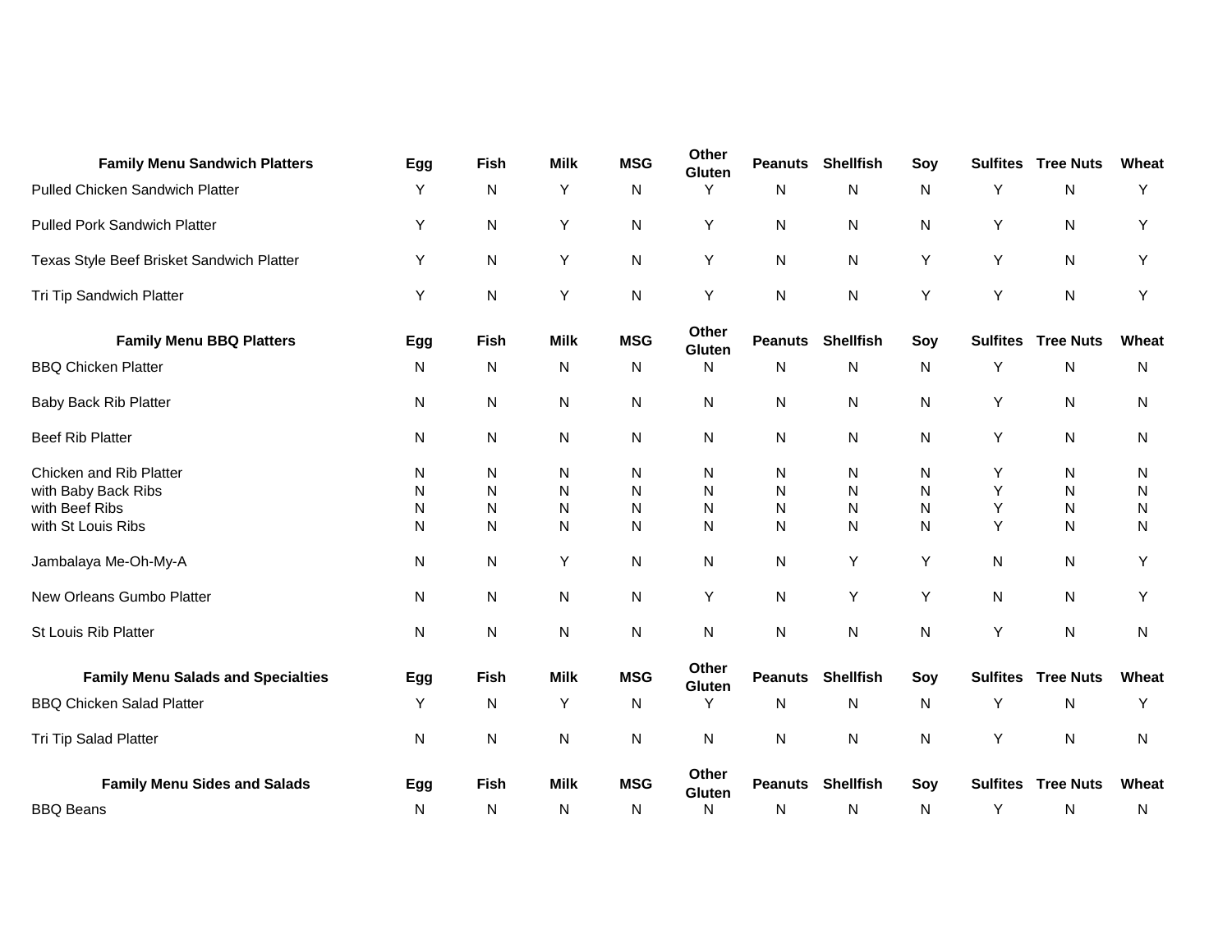| <b>Family Menu Sandwich Platters</b>      | Egg | Fish | <b>Milk</b> | <b>MSG</b> | Other<br>Gluten | <b>Peanuts</b> | <b>Shellfish</b>  | Soy | <b>Sulfites</b> | <b>Tree Nuts</b> | Wheat |
|-------------------------------------------|-----|------|-------------|------------|-----------------|----------------|-------------------|-----|-----------------|------------------|-------|
| Pulled Chicken Sandwich Platter           | Y   | N    | Υ           | N          | Y               | N              | N                 | N   | Υ               | N                | Y     |
| <b>Pulled Pork Sandwich Platter</b>       | Υ   | N    | Υ           | N          | Υ               | N              | N                 | N   | Υ               | N                | Y     |
| Texas Style Beef Brisket Sandwich Platter | Y   | N    | Υ           | N          | Y               | N              | N                 | Υ   | Y               | N                | Y     |
| Tri Tip Sandwich Platter                  | Y   | N    | Υ           | N          | Υ               | N              | Ν                 | Υ   | Υ               | N                | Y     |
| <b>Family Menu BBQ Platters</b>           | Egg | Fish | <b>Milk</b> | <b>MSG</b> | Other<br>Gluten | <b>Peanuts</b> | <b>Shellfish</b>  | Soy | <b>Sulfites</b> | <b>Tree Nuts</b> | Wheat |
| <b>BBQ Chicken Platter</b>                | N   | N    | N           | N          | N               | N              | N                 | N   | Υ               | N                | N     |
| Baby Back Rib Platter                     | N   | N    | N           | N          | N               | N              | N                 | N   | Υ               | N                | N     |
| <b>Beef Rib Platter</b>                   | N   | N    | N           | N          | N               | N              | N                 | N   | Υ               | N                | N     |
| Chicken and Rib Platter                   | N   | N    | N           | N          | N               | N              | N                 | N   | Y               | N                | N     |
| with Baby Back Ribs                       | N   | N    | N           | N          | N               | N              | N                 | N   | Y               | N                | N     |
| with Beef Ribs                            | N   | N    | N           | N          | N               | N              | N                 | N   | Y               | N                | N     |
| with St Louis Ribs                        | N   | N    | N           | N          | N               | N              | N                 | N   | Y               | N                | N     |
| Jambalaya Me-Oh-My-A                      | N   | N    | Υ           | N          | ${\sf N}$       | N              | Y                 | Υ   | N               | N                | Y     |
| New Orleans Gumbo Platter                 | N   | N    | N           | N          | Υ               | $\mathsf{N}$   | Υ                 | Y   | N               | N                | Y     |
| St Louis Rib Platter                      | N   | N    | N           | N          | ${\sf N}$       | N              | Ν                 | N   | Υ               | N                | N     |
| <b>Family Menu Salads and Specialties</b> | Egg | Fish | <b>Milk</b> | <b>MSG</b> | Other<br>Gluten | <b>Peanuts</b> | <b>Shellfish</b>  | Soy | <b>Sulfites</b> | <b>Tree Nuts</b> | Wheat |
| <b>BBQ Chicken Salad Platter</b>          | Y   | N    | Υ           | N          | Y               | $\mathsf{N}$   | N                 | N   | Υ               | N                | Y     |
| Tri Tip Salad Platter                     | N   | N    | N           | N          | N               | N              | Ν                 | N   | Υ               | N                | N     |
| <b>Family Menu Sides and Salads</b>       | Egg | Fish | <b>Milk</b> | <b>MSG</b> | Other<br>Gluten |                | Peanuts Shellfish | Soy | <b>Sulfites</b> | <b>Tree Nuts</b> | Wheat |
| <b>BBQ Beans</b>                          | N   | N    | N           | N          | N               | N              | Ν                 | N   | Υ               | N                | N     |
|                                           |     |      |             |            |                 |                |                   |     |                 |                  |       |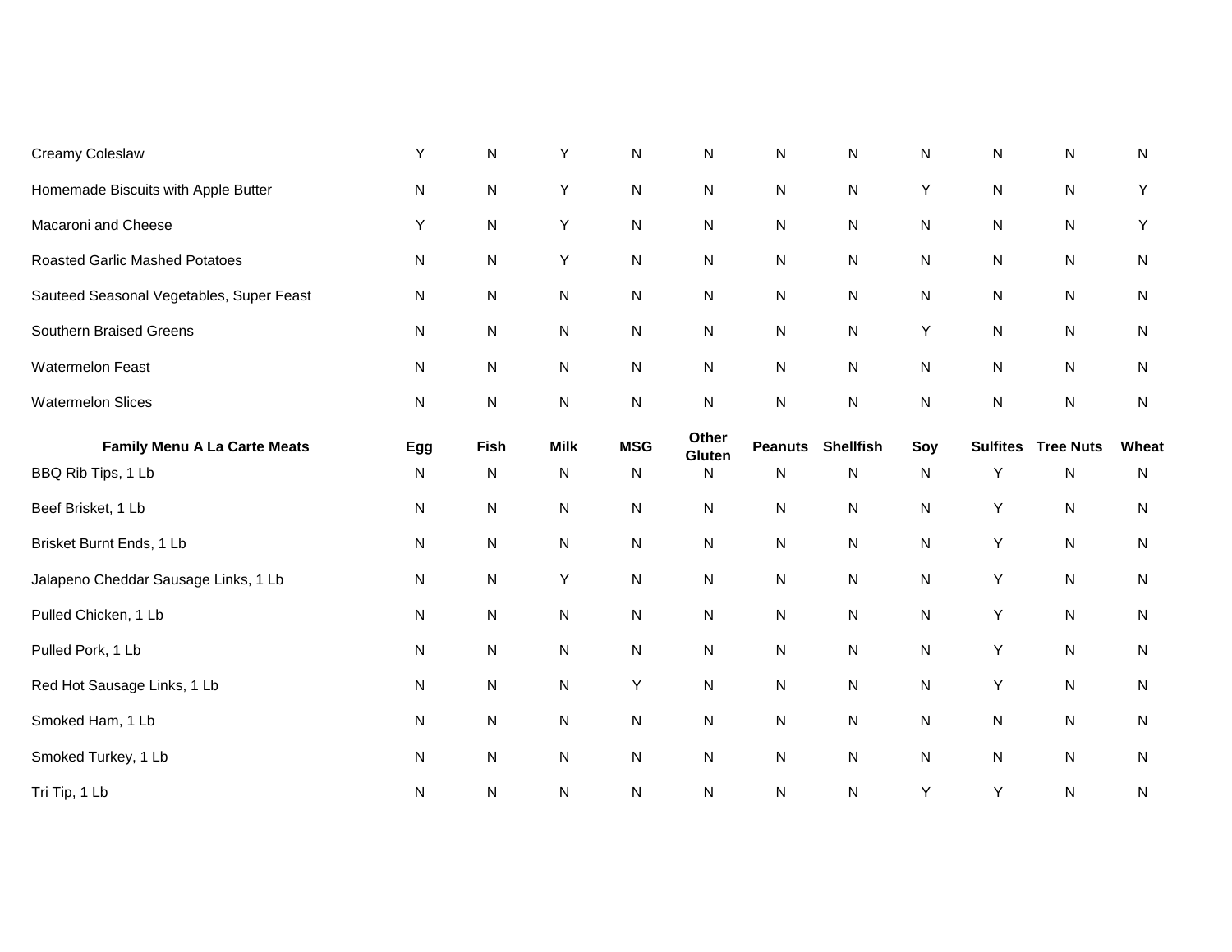| Creamy Coleslaw                          | Υ         | ${\sf N}$   | Υ            | N          | $\mathsf{N}$    | ${\sf N}$      | ${\sf N}$        | ${\sf N}$ | N               | $\mathsf{N}$     | ${\sf N}$    |
|------------------------------------------|-----------|-------------|--------------|------------|-----------------|----------------|------------------|-----------|-----------------|------------------|--------------|
| Homemade Biscuits with Apple Butter      | N         | ${\sf N}$   | Y            | N          | N               | N              | N                | Y         | ${\sf N}$       | ${\sf N}$        | Y            |
| Macaroni and Cheese                      | Υ         | ${\sf N}$   | Υ            | ${\sf N}$  | N               | ${\sf N}$      | ${\sf N}$        | ${\sf N}$ | ${\sf N}$       | ${\sf N}$        | Υ            |
| <b>Roasted Garlic Mashed Potatoes</b>    | N         | ${\sf N}$   | Υ            | ${\sf N}$  | N               | N              | N                | N         | ${\sf N}$       | ${\sf N}$        | $\mathsf{N}$ |
| Sauteed Seasonal Vegetables, Super Feast | ${\sf N}$ | ${\sf N}$   | N            | ${\sf N}$  | N               | ${\sf N}$      | ${\sf N}$        | ${\sf N}$ | ${\sf N}$       | ${\sf N}$        | $\mathsf{N}$ |
| Southern Braised Greens                  | N         | ${\sf N}$   | N            | ${\sf N}$  | N               | ${\sf N}$      | ${\sf N}$        | Y         | ${\sf N}$       | ${\sf N}$        | $\mathsf{N}$ |
| Watermelon Feast                         | ${\sf N}$ | ${\sf N}$   | N            | N          | N               | N              | ${\sf N}$        | ${\sf N}$ | ${\sf N}$       | ${\sf N}$        | $\mathsf{N}$ |
| <b>Watermelon Slices</b>                 | N         | ${\sf N}$   | N            | N          | N               | ${\sf N}$      | ${\sf N}$        | ${\sf N}$ | ${\sf N}$       | ${\sf N}$        | $\mathsf{N}$ |
| <b>Family Menu A La Carte Meats</b>      | Egg       | <b>Fish</b> | <b>Milk</b>  | <b>MSG</b> | Other<br>Gluten | <b>Peanuts</b> | <b>Shellfish</b> | Soy       | <b>Sulfites</b> | <b>Tree Nuts</b> | Wheat        |
| BBQ Rib Tips, 1 Lb                       | N         | N           | N            | N          | N               | N              | N                | N         | Y               | N                | $\mathsf{N}$ |
| Beef Brisket, 1 Lb                       | ${\sf N}$ | ${\sf N}$   | N            | N          | N               | N              | ${\sf N}$        | ${\sf N}$ | Υ               | ${\sf N}$        | $\mathsf{N}$ |
| Brisket Burnt Ends, 1 Lb                 | ${\sf N}$ | N           | N            | N          | N               | ${\sf N}$      | ${\sf N}$        | ${\sf N}$ | Υ               | ${\sf N}$        | ${\sf N}$    |
| Jalapeno Cheddar Sausage Links, 1 Lb     | N         | ${\sf N}$   | Y            | N          | N               | ${\sf N}$      | ${\sf N}$        | ${\sf N}$ | Υ               | ${\sf N}$        | $\mathsf{N}$ |
| Pulled Chicken, 1 Lb                     | N         | ${\sf N}$   | N            | N          | N               | N              | ${\sf N}$        | ${\sf N}$ | Υ               | ${\sf N}$        | $\mathsf{N}$ |
| Pulled Pork, 1 Lb                        | ${\sf N}$ | N           | N            | N          | N               | ${\sf N}$      | ${\sf N}$        | ${\sf N}$ | Υ               | ${\sf N}$        | ${\sf N}$    |
| Red Hot Sausage Links, 1 Lb              | ${\sf N}$ | ${\sf N}$   | $\mathsf{N}$ | Y          | N               | N              | ${\sf N}$        | ${\sf N}$ | Υ               | ${\sf N}$        | $\mathsf{N}$ |
| Smoked Ham, 1 Lb                         | N         | ${\sf N}$   | N            | N          | N               | ${\sf N}$      | ${\sf N}$        | ${\sf N}$ | ${\sf N}$       | ${\sf N}$        | $\mathsf{N}$ |
| Smoked Turkey, 1 Lb                      | N         | N           | N            | N          | N               | N              | ${\sf N}$        | ${\sf N}$ | ${\sf N}$       | ${\sf N}$        | N            |
| Tri Tip, 1 Lb                            | N         | ${\sf N}$   | N            | ${\sf N}$  | N               | N              | N                | Y         | Υ               | ${\sf N}$        | ${\sf N}$    |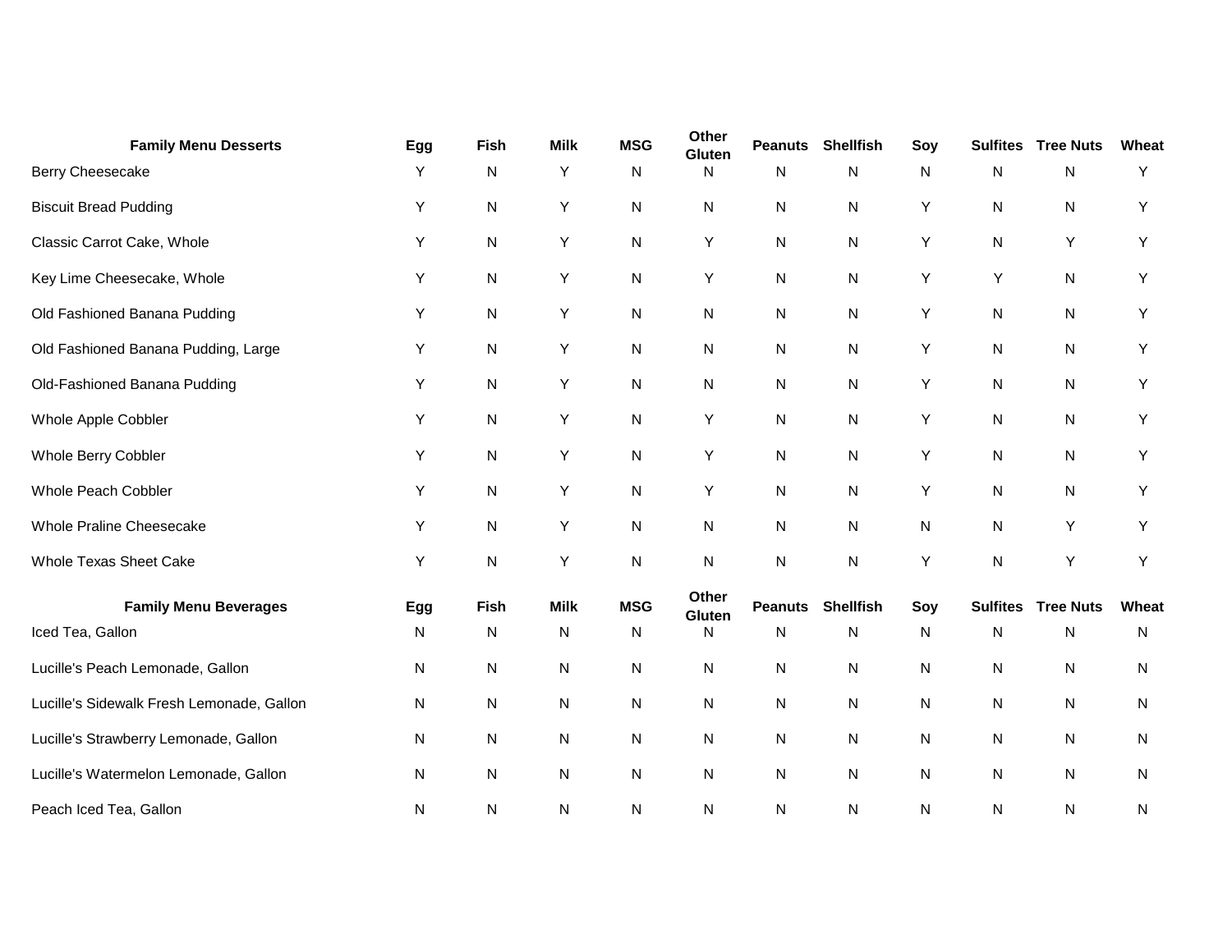| <b>Family Menu Desserts</b>               | Egg | Fish        | <b>Milk</b> | <b>MSG</b> | Other<br>Gluten | <b>Peanuts</b> | <b>Shellfish</b> | Soy | <b>Sulfites</b> | <b>Tree Nuts</b> | Wheat |
|-------------------------------------------|-----|-------------|-------------|------------|-----------------|----------------|------------------|-----|-----------------|------------------|-------|
| Berry Cheesecake                          | Y   | ${\sf N}$   | Y           | N          | N               | N              | N                | N   | N               | N                | Y     |
| <b>Biscuit Bread Pudding</b>              | Υ   | ${\sf N}$   | Υ           | N          | N               | $\mathsf{N}$   | N                | Υ   | N               | N                | Y     |
| Classic Carrot Cake, Whole                | Υ   | ${\sf N}$   | Y           | N          | Υ               | $\mathsf{N}$   | N                | Υ   | N               | Y                | Y     |
| Key Lime Cheesecake, Whole                | Υ   | ${\sf N}$   | Υ           | N          | Υ               | N              | N                | Y   | Υ               | N                | Υ     |
| Old Fashioned Banana Pudding              | Υ   | N           | Υ           | N          | N               | $\mathsf{N}$   | N                | Υ   | N               | N                | Y     |
| Old Fashioned Banana Pudding, Large       | Y   | N           | Y           | N          | N               | N              | N                | Y   | N               | N                | Y     |
| Old-Fashioned Banana Pudding              | Y   | ${\sf N}$   | Y           | N          | N               | $\mathsf{N}$   | N                | Y   | N               | N                | Y     |
| Whole Apple Cobbler                       | Υ   | ${\sf N}$   | Υ           | N          | Υ               | ${\sf N}$      | N                | Υ   | N               | N                | Y     |
| Whole Berry Cobbler                       | Υ   | ${\sf N}$   | Y           | N          | Υ               | $\mathsf{N}$   | N                | Υ   | N               | N                | Y     |
| Whole Peach Cobbler                       | Υ   | ${\sf N}$   | Y           | N          | Υ               | $\mathsf{N}$   | N                | Y   | N               | N                | Y     |
| Whole Praline Cheesecake                  | Υ   | ${\sf N}$   | Υ           | N          | N               | ${\sf N}$      | N                | N   | N               | Υ                | Υ     |
| <b>Whole Texas Sheet Cake</b>             | Y   | N           | Υ           | N          | $\mathsf{N}$    | $\mathsf{N}$   | N                | Υ   | N               | Υ                | Y     |
| <b>Family Menu Beverages</b>              | Egg | <b>Fish</b> | <b>Milk</b> | <b>MSG</b> | Other<br>Gluten | <b>Peanuts</b> | <b>Shellfish</b> | Soy | <b>Sulfites</b> | <b>Tree Nuts</b> | Wheat |
| Iced Tea, Gallon                          | N   | ${\sf N}$   | N           | N          | N               | $\mathsf{N}$   | N                | N   | N               | N                | N     |
| Lucille's Peach Lemonade, Gallon          | N   | ${\sf N}$   | N           | N          | N               | N              | N                | N   | N               | N                | N     |
| Lucille's Sidewalk Fresh Lemonade, Gallon | N   | ${\sf N}$   | N           | N          | N               | N              | N                | N   | N               | N                | N     |
| Lucille's Strawberry Lemonade, Gallon     | N   | ${\sf N}$   | N           | N          | N               | $\mathsf{N}$   | N                | N   | N               | ${\sf N}$        | N     |
| Lucille's Watermelon Lemonade, Gallon     | N   | ${\sf N}$   | N           | N          | N               | $\mathsf{N}$   | N                | N   | N               | N                | N     |
| Peach Iced Tea, Gallon                    | N   | N           | N           | N          | N               | N              | N                | N   | N               | N                | N     |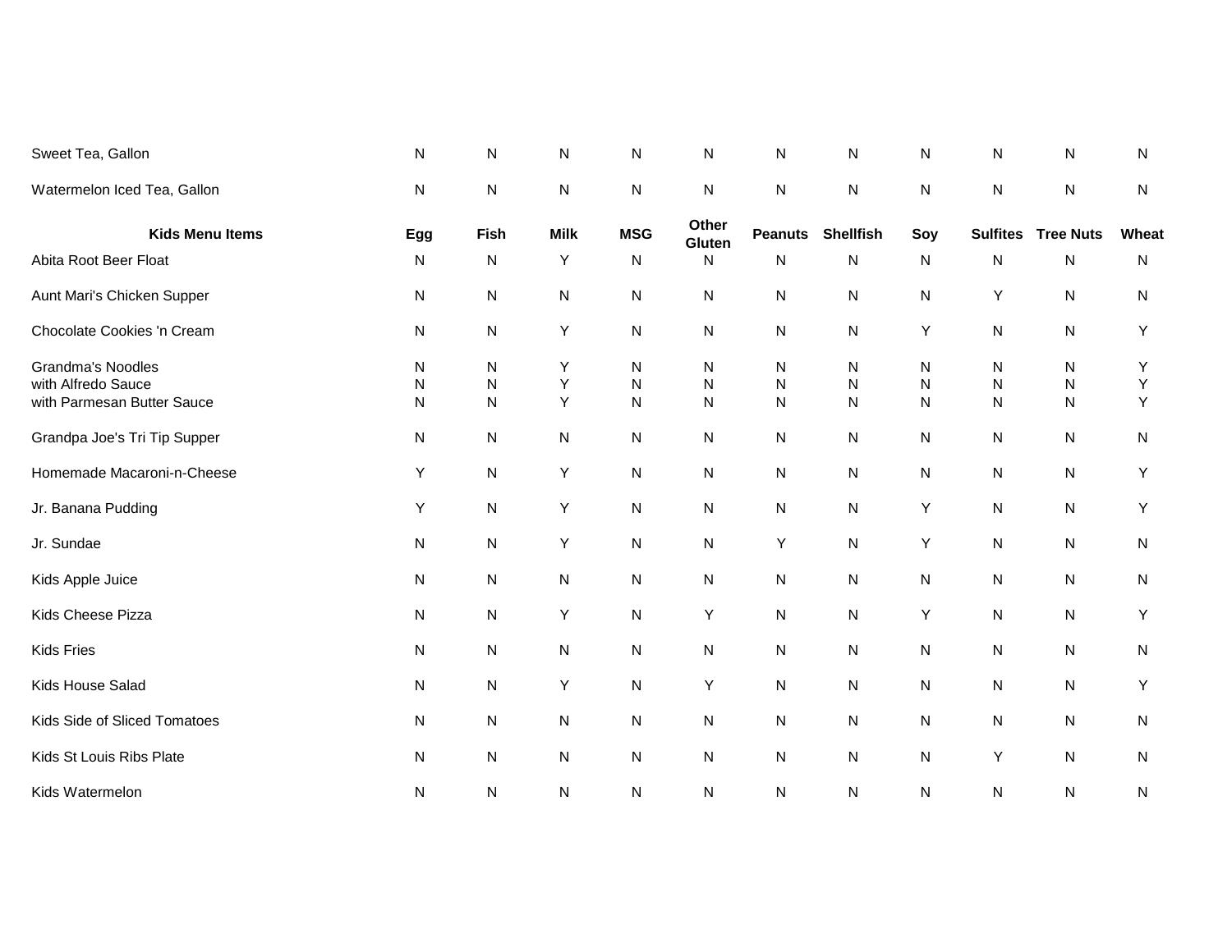| Sweet Tea, Gallon                                                            | N                           | ${\sf N}$                           | N           | N                              | ${\sf N}$                                 | ${\sf N}$                                    | N                   | ${\sf N}$                   | N                                   | ${\sf N}$                           | $\mathsf{N}$ |
|------------------------------------------------------------------------------|-----------------------------|-------------------------------------|-------------|--------------------------------|-------------------------------------------|----------------------------------------------|---------------------|-----------------------------|-------------------------------------|-------------------------------------|--------------|
| Watermelon Iced Tea, Gallon                                                  | ${\sf N}$                   | ${\sf N}$                           | N           | ${\sf N}$                      | ${\sf N}$                                 | $\mathsf{N}$                                 | ${\sf N}$           | ${\sf N}$                   | ${\sf N}$                           | ${\sf N}$                           | $\mathsf{N}$ |
| <b>Kids Menu Items</b>                                                       | Egg                         | <b>Fish</b>                         | <b>Milk</b> | <b>MSG</b>                     | Other<br>Gluten                           | <b>Peanuts</b>                               | <b>Shellfish</b>    | Soy                         | <b>Sulfites</b>                     | <b>Tree Nuts</b>                    | Wheat        |
| Abita Root Beer Float                                                        | N                           | N                                   | Y           | N                              | N                                         | N                                            | N                   | ${\sf N}$                   | N                                   | ${\sf N}$                           | $\mathsf{N}$ |
| Aunt Mari's Chicken Supper                                                   | N                           | ${\sf N}$                           | N           | ${\sf N}$                      | N                                         | $\mathsf{N}$                                 | N                   | N                           | Y                                   | ${\sf N}$                           | $\mathsf{N}$ |
| Chocolate Cookies 'n Cream                                                   | N                           | ${\sf N}$                           | Υ           | N                              | N                                         | ${\sf N}$                                    | N                   | Y                           | N                                   | ${\sf N}$                           | Y            |
| <b>Grandma's Noodles</b><br>with Alfredo Sauce<br>with Parmesan Butter Sauce | N<br>${\sf N}$<br>${\sf N}$ | ${\sf N}$<br>${\sf N}$<br>${\sf N}$ | Υ<br>Υ<br>Y | N<br>$\mathsf{N}$<br>${\sf N}$ | ${\sf N}$<br>$\mathsf{N}$<br>$\mathsf{N}$ | $\mathsf{N}$<br>$\mathsf{N}$<br>$\mathsf{N}$ | ${\sf N}$<br>N<br>N | N<br>${\sf N}$<br>${\sf N}$ | ${\sf N}$<br>${\sf N}$<br>${\sf N}$ | ${\sf N}$<br>${\sf N}$<br>${\sf N}$ | Υ<br>Υ<br>Y  |
| Grandpa Joe's Tri Tip Supper                                                 | N                           | ${\sf N}$                           | N           | ${\sf N}$                      | N                                         | $\mathsf{N}$                                 | N                   | N                           | N                                   | ${\sf N}$                           | $\mathsf{N}$ |
| Homemade Macaroni-n-Cheese                                                   | Υ                           | ${\sf N}$                           | Υ           | N                              | N                                         | N                                            | N                   | ${\sf N}$                   | ${\sf N}$                           | ${\sf N}$                           | Y            |
| Jr. Banana Pudding                                                           | Υ                           | ${\sf N}$                           | Υ           | ${\sf N}$                      | N                                         | N                                            | ${\sf N}$           | Y                           | ${\sf N}$                           | ${\sf N}$                           | Y            |
| Jr. Sundae                                                                   | $\mathsf{N}$                | ${\sf N}$                           | Y           | N                              | N                                         | Υ                                            | ${\sf N}$           | Y                           | ${\sf N}$                           | ${\sf N}$                           | $\mathsf{N}$ |
| Kids Apple Juice                                                             | ${\sf N}$                   | ${\sf N}$                           | N           | N                              | N                                         | N                                            | ${\sf N}$           | ${\sf N}$                   | ${\sf N}$                           | ${\sf N}$                           | $\mathsf{N}$ |
| Kids Cheese Pizza                                                            | N                           | ${\sf N}$                           | Υ           | N                              | Y                                         | $\mathsf{N}$                                 | ${\sf N}$           | Y                           | ${\sf N}$                           | ${\sf N}$                           | Y            |
| <b>Kids Fries</b>                                                            | ${\sf N}$                   | ${\sf N}$                           | N           | ${\sf N}$                      | N                                         | N                                            | ${\sf N}$           | ${\sf N}$                   | ${\sf N}$                           | ${\sf N}$                           | $\mathsf{N}$ |
| Kids House Salad                                                             | N                           | N                                   | Υ           | N                              | Y                                         | $\mathsf{N}$                                 | ${\sf N}$           | ${\sf N}$                   | ${\sf N}$                           | ${\sf N}$                           | Y            |
| Kids Side of Sliced Tomatoes                                                 | N                           | ${\sf N}$                           | N           | ${\sf N}$                      | N                                         | ${\sf N}$                                    | ${\sf N}$           | N                           | ${\sf N}$                           | ${\sf N}$                           | $\mathsf{N}$ |
| Kids St Louis Ribs Plate                                                     | N                           | ${\sf N}$                           | N           | N                              | N                                         | ${\sf N}$                                    | ${\sf N}$           | ${\sf N}$                   | Υ                                   | ${\sf N}$                           | $\mathsf{N}$ |
| Kids Watermelon                                                              | N                           | ${\sf N}$                           | N           | ${\sf N}$                      | N                                         | ${\sf N}$                                    | N                   | ${\sf N}$                   | N                                   | ${\sf N}$                           | ${\sf N}$    |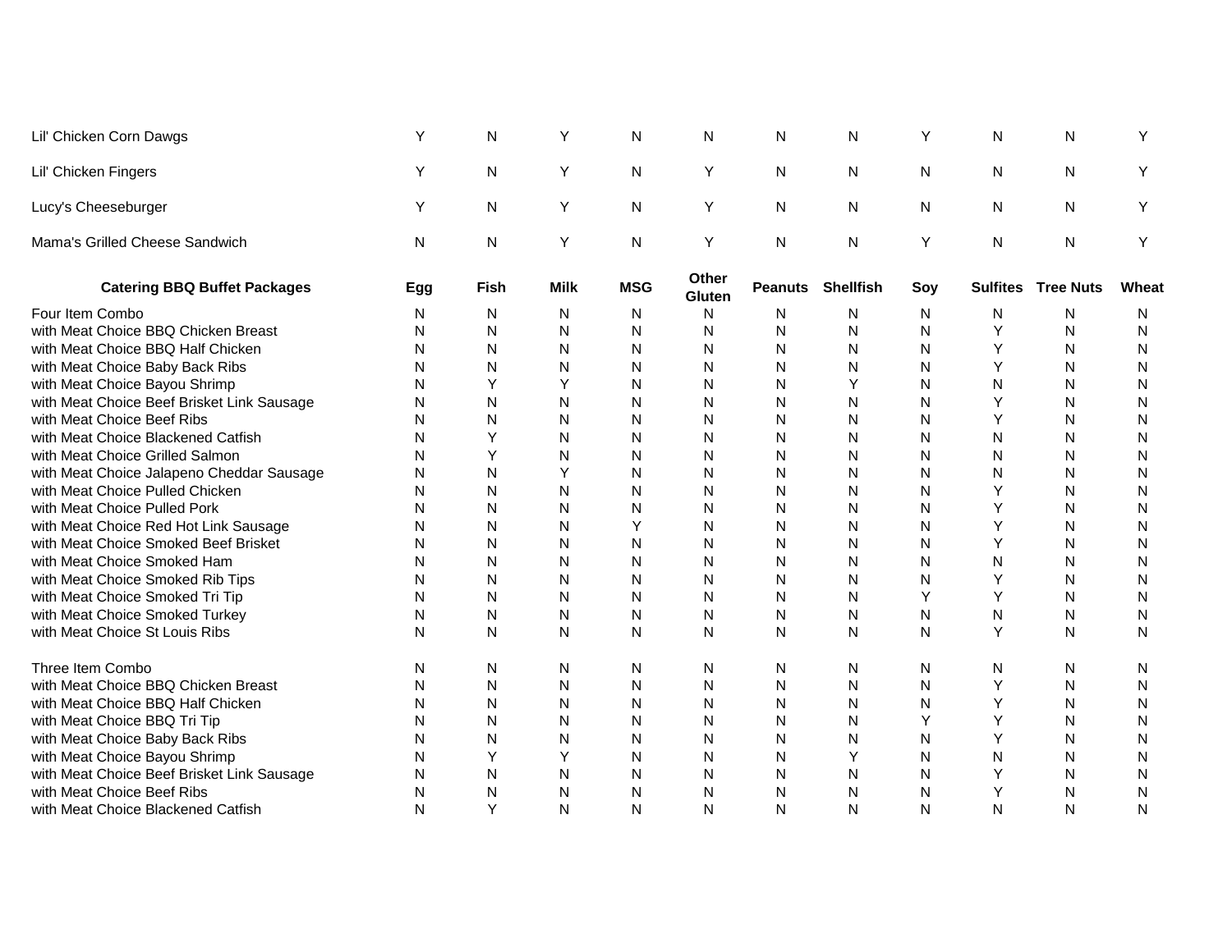| Lil' Chicken Corn Dawgs                    | Y   | N           | Y           | N          | N               | $\mathsf{N}$ | N                        | Y   | N               | N                | Υ     |
|--------------------------------------------|-----|-------------|-------------|------------|-----------------|--------------|--------------------------|-----|-----------------|------------------|-------|
| Lil' Chicken Fingers                       | Υ   | N           | Υ           | N          | Y               | N            | N                        | N   | Ν               | N                | Υ     |
| Lucy's Cheeseburger                        | Y   | N           | Y           | N          | Υ               | N            | N                        | N   | N               | N                | Y     |
| Mama's Grilled Cheese Sandwich             | N   | N           | Y           | N          | Υ               | $\mathsf{N}$ | N                        | Υ   | N               | $\mathsf{N}$     | Y     |
| <b>Catering BBQ Buffet Packages</b>        | Egg | <b>Fish</b> | <b>Milk</b> | <b>MSG</b> | Other<br>Gluten |              | <b>Peanuts Shellfish</b> | Soy | <b>Sulfites</b> | <b>Tree Nuts</b> | Wheat |
| Four Item Combo                            | N   | N           | N           | N          | N               | N            | N                        | N   | N               | N                | N     |
| with Meat Choice BBQ Chicken Breast        | N   | N           | N           | N          | N               | N            | N                        | N   | Υ               | N                | N     |
| with Meat Choice BBQ Half Chicken          | Ν   | N           | N           | N          | $\mathsf{N}$    | $\mathsf{N}$ | N                        | N   | Y               | N                | N     |
| with Meat Choice Baby Back Ribs            | Ν   | N           | ${\sf N}$   | N          | N               | N            | N                        | N   | Υ               | N                | N     |
| with Meat Choice Bayou Shrimp              | Ν   | Υ           | Υ           | N          | $\mathsf{N}$    | N            | Υ                        | N   | N               | Ν                | N     |
| with Meat Choice Beef Brisket Link Sausage | Ν   | N           | N           | Ν          | N               | N            | N                        | N   |                 | Ν                | N     |
| with Meat Choice Beef Ribs                 | Ν   | N           | N           | N          | N               | N            | N                        | N   | Υ               | N                | N     |
| with Meat Choice Blackened Catfish         | N   | Y           | N           | N          | N               | N            | N                        | N   | N               | N                | N     |
| with Meat Choice Grilled Salmon            | Ν   | Υ           | N           | N          | N               | N            | N                        | N   | N               | Ν                | N     |
| with Meat Choice Jalapeno Cheddar Sausage  | Ν   | N           | Y           | N          | N               | N            | N                        | N   | Ν               | N                | N     |
| with Meat Choice Pulled Chicken            | Ν   | N           | N           | N          | N               | N            | N                        | N   |                 | N                | N     |
| with Meat Choice Pulled Pork               | N   | N           | N           | N          | N               | N            | N                        | N   | Υ               | N                | N     |
| with Meat Choice Red Hot Link Sausage      | Ν   | N           | N           | Υ          | N               | N            | N                        | N   | Υ               | N                | N     |
| with Meat Choice Smoked Beef Brisket       | N   | N           | N           | N          | N               | N            | N                        | N   | Y               | N                | N     |
| with Meat Choice Smoked Ham                | Ν   | N           | N           | N          | $\mathsf{N}$    | N            | N                        | N   | Ν               | N                | N     |
| with Meat Choice Smoked Rib Tips           | Ν   | N           | N           | Ν          | N               | N            | N                        | N   | Υ               | Ν                | N     |
| with Meat Choice Smoked Tri Tip            | Ν   | N           | N           | Ν          | $\mathsf{N}$    | N            | N                        | Y   | Y               | Ν                | N     |
| with Meat Choice Smoked Turkey             | Ν   | N           | N           | Ν          | N               | N            | N                        | N   | N               | N                | N     |
| with Meat Choice St Louis Ribs             | N   | N           | N           | N          | N               | N            | N                        | N   | Υ               | N                | N     |
| Three Item Combo                           | Ν   | N           | N           | N          | N               | N            | N                        | N   | N               | N                | N     |
| with Meat Choice BBQ Chicken Breast        | Ν   | N           | N           | N          | N               | N            | N                        | N   | Υ               | N                | N     |
| with Meat Choice BBQ Half Chicken          | Ν   | N           | N           | N          | N               | N            | N                        | N   | Υ               | N                | N     |
| with Meat Choice BBQ Tri Tip               | Ν   | N           | N           | N          | N               | N            | N                        | Y   | Y               | N                | N     |
| with Meat Choice Baby Back Ribs            | N   | N           | N           | N          | N               | N            | N                        | N   | Y               | N                | N     |
| with Meat Choice Bayou Shrimp              | Ν   | Υ           | Υ           | N          | N               | N            | Υ                        | N   | N               | N                | N     |
| with Meat Choice Beef Brisket Link Sausage | Ν   | N           | N           | Ν          | N               | N            | N                        | N   | Υ               | N                | N     |
| with Meat Choice Beef Ribs                 | Ν   | N           | Ν           | N          | N               | N            | N                        | N   | Υ               | Ν                | N     |
| with Meat Choice Blackened Catfish         | N   | Y           | N           | N          | N               | N            | N                        | N   | N               | N                | N     |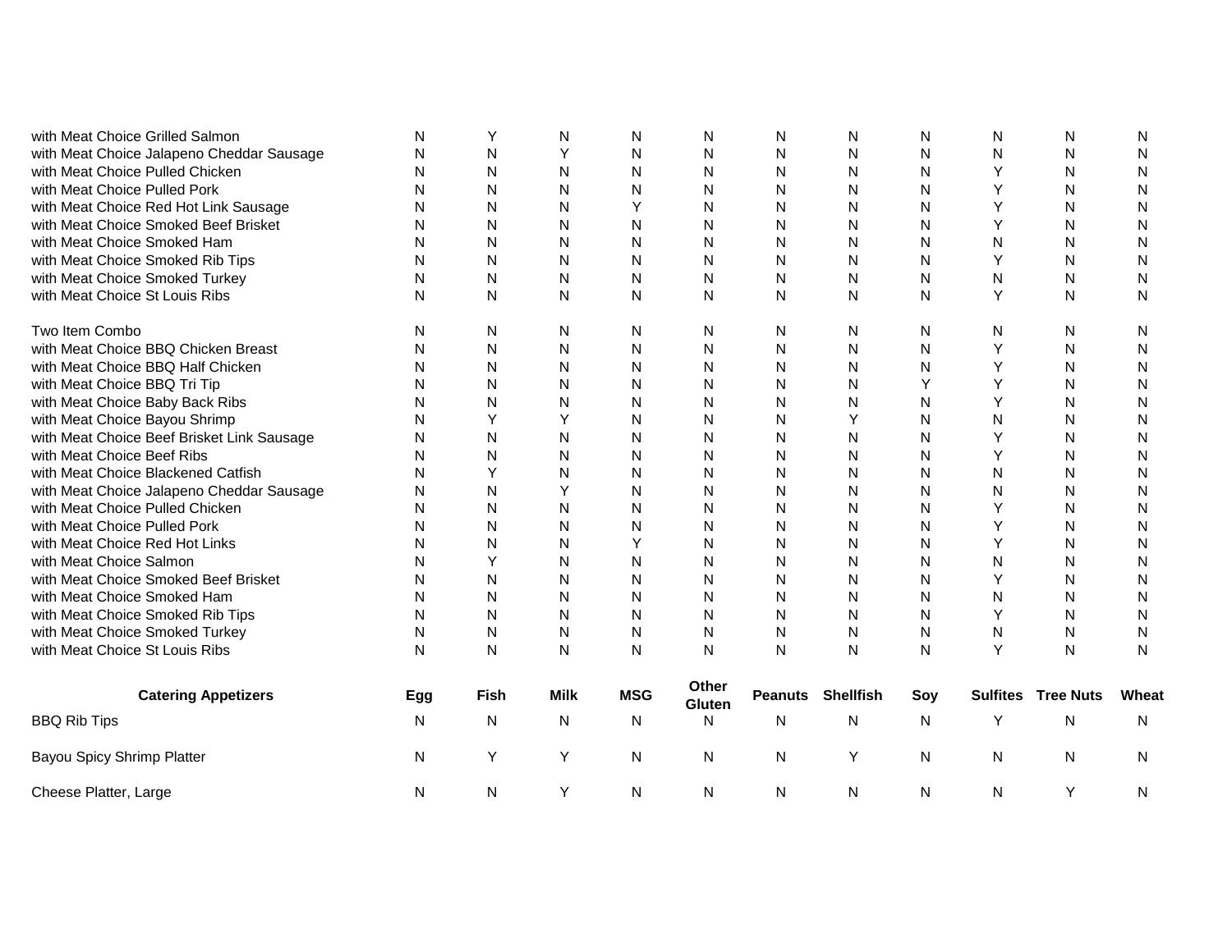| with Meat Choice Grilled Salmon            | N   | Υ    | N           | Ν          | N                      | Ν | N                        | Ν   | N               | N                | N     |
|--------------------------------------------|-----|------|-------------|------------|------------------------|---|--------------------------|-----|-----------------|------------------|-------|
| with Meat Choice Jalapeno Cheddar Sausage  | N   | N    | Υ           | N          | N                      | N | N                        | N   | N               | Ν                | N     |
| with Meat Choice Pulled Chicken            | N   | N    | N           | N          | N                      | N | N                        | N   | Υ               | N                | N     |
| with Meat Choice Pulled Pork               | Ν   | N    | N           | N          | N                      | N | N                        | N   | Y               | N                | N     |
| with Meat Choice Red Hot Link Sausage      | N   | N    | N           | Υ          | N                      | N | N                        | N   | Υ               | N                | N     |
| with Meat Choice Smoked Beef Brisket       | N   | Ν    | N           | N          | N                      | N | N                        | N   | Y               | Ν                | N     |
| with Meat Choice Smoked Ham                | N   | N    | N           | N          | N                      | N | N                        | N   | N               | Ν                | N     |
| with Meat Choice Smoked Rib Tips           | N   | N    | N           | N          | N                      | N | N                        | N   | Y               | N                | N     |
| with Meat Choice Smoked Turkey             | N   | N    | N           | N          | N                      | N | N                        | N   | N               | N                | N     |
| with Meat Choice St Louis Ribs             | N   | N    | N           | N          | N                      | N | N                        | Ν   | Y               | N                | N     |
| Two Item Combo                             | N   | N    | N           | N          | N                      | N | N                        | Ν   | N               | N                | N     |
| with Meat Choice BBQ Chicken Breast        | Ν   | Ν    | N           | N          | N                      | N | N                        | N   | Υ               | N                | N     |
| with Meat Choice BBQ Half Chicken          | N   | Ν    | N           | N          | N                      | N | N                        | N   | Υ               | N                | N     |
| with Meat Choice BBQ Tri Tip               | N   | Ν    | N           | N          | N                      | N | N                        | Υ   | Υ               | N                | N     |
| with Meat Choice Baby Back Ribs            | Ν   | Ν    | N           | N          | N                      | Ν | N                        | N   | Y               | N                | N     |
| with Meat Choice Bayou Shrimp              | N   | Υ    | Y           | N          | N                      | N |                          | N   | N               | N                | N     |
| with Meat Choice Beef Brisket Link Sausage | N   | N    | N           | N          | N                      | N | N                        | N   |                 | Ν                | N     |
| with Meat Choice Beef Ribs                 | N   | N    | N           | N          | N                      | N | N                        | N   | Y               | N                | N     |
| with Meat Choice Blackened Catfish         | N   | Y    | N           | N          | N                      | N | N                        | N   | N               | N                | N     |
| with Meat Choice Jalapeno Cheddar Sausage  | N   | N    | Y           | N          | N                      | N | N                        | N   | N               | N                | N     |
| with Meat Choice Pulled Chicken            | N   | N    | N           | N          | N                      | N | N                        | N   | Y               | N                | N     |
| with Meat Choice Pulled Pork               | N   | N    | N           | N          | N                      | N | N                        | N   | Y               | N                | N     |
| with Meat Choice Red Hot Links             | N   | N    | N           | Y          | N                      | N | N                        | N   | Y               | N                | N     |
| with Meat Choice Salmon                    | N   | Y    | N           | N          | N                      | N | N                        | N   | N               | N                | N     |
| with Meat Choice Smoked Beef Brisket       | N   | N    | N           | N          | N                      | N | N                        | N   | Υ               | N                | N     |
| with Meat Choice Smoked Ham                | N   | N    | N           | N          | N                      | N | N                        | N   | N               | N                | N     |
| with Meat Choice Smoked Rib Tips           | N   | N    | N           | N          | N                      | N | Ν                        | N   | Y               | N                | N     |
| with Meat Choice Smoked Turkey             | N   | N    | N           | N          | N                      | N | N                        | N   | N               | Ν                | N     |
| with Meat Choice St Louis Ribs             | N   | N    | N           | N          | N                      | N | N                        | N   | Y               | N                | N     |
| <b>Catering Appetizers</b>                 | Egg | Fish | <b>Milk</b> | <b>MSG</b> | Other<br><b>Gluten</b> |   | <b>Peanuts Shellfish</b> | Soy | <b>Sulfites</b> | <b>Tree Nuts</b> | Wheat |
| <b>BBQ Rib Tips</b>                        | N   | N    | N           | N          | N                      | N | N                        | Ν   | Υ               | Ν                | N     |
| Bayou Spicy Shrimp Platter                 | N   | Y    | Υ           | N          | N                      | N | Y                        | Ν   | N               | N                | N     |
| Cheese Platter, Large                      | N   | N    | Y           | N          | N                      | N | Ν                        | Ν   | N               | Y                | N     |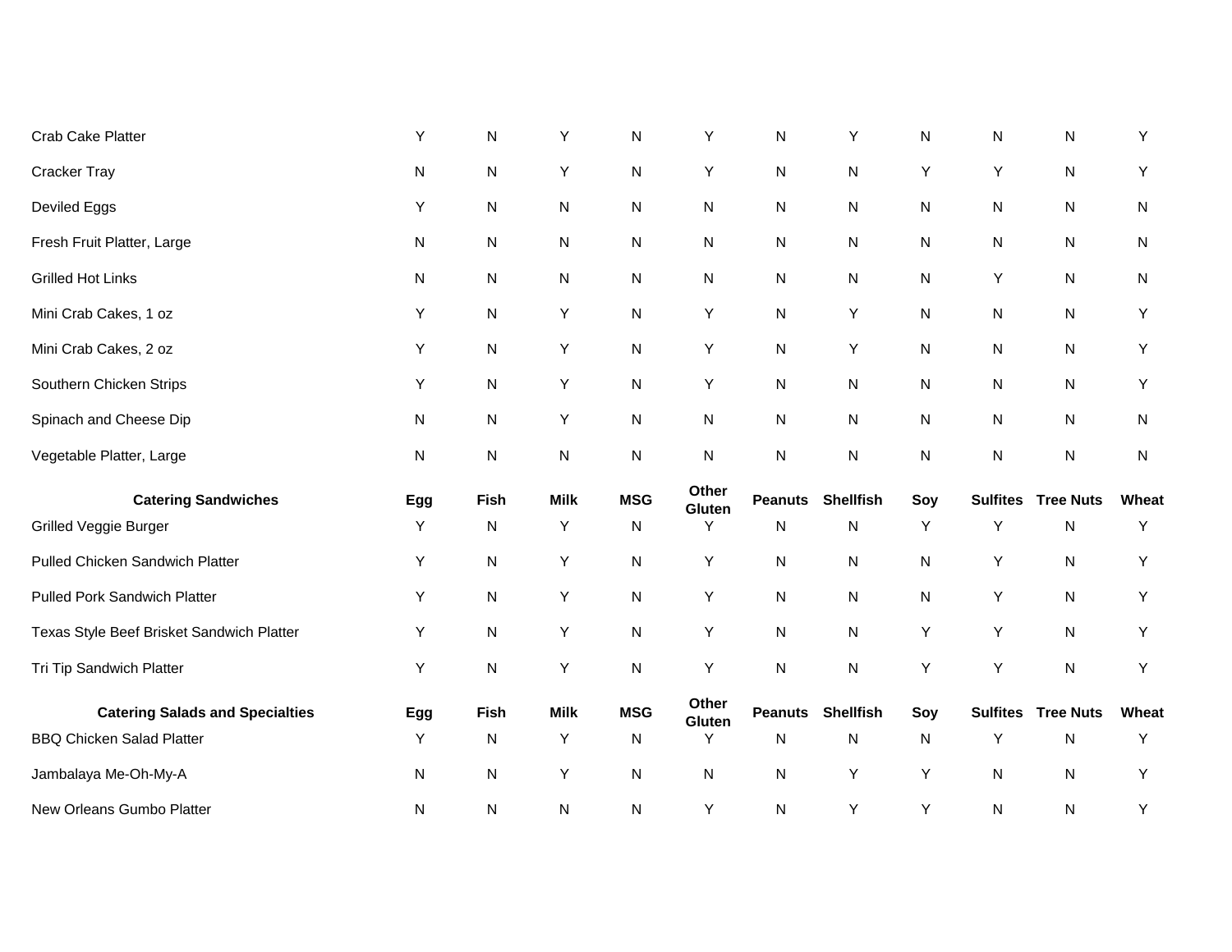| Crab Cake Platter                         | Υ   | N         | Y           | N          | Υ               | ${\sf N}$      | Υ                | $\mathsf{N}$ | $\mathsf{N}$    | ${\sf N}$        | Υ         |
|-------------------------------------------|-----|-----------|-------------|------------|-----------------|----------------|------------------|--------------|-----------------|------------------|-----------|
| <b>Cracker Tray</b>                       | N   | ${\sf N}$ | Υ           | N          | Υ               | ${\sf N}$      | ${\sf N}$        | Υ            | Y               | ${\sf N}$        | Y         |
| Deviled Eggs                              | Υ   | N         | ${\sf N}$   | N          | N               | ${\sf N}$      | ${\sf N}$        | N            | N               | ${\sf N}$        | N         |
| Fresh Fruit Platter, Large                | N   | N         | N           | N          | N               | N              | N                | N            | N               | N                | N         |
| <b>Grilled Hot Links</b>                  | N   | N         | ${\sf N}$   | N          | ${\sf N}$       | N              | N                | N            | Υ               | ${\sf N}$        | ${\sf N}$ |
| Mini Crab Cakes, 1 oz                     | Y   | N         | Υ           | N          | Υ               | ${\sf N}$      | Υ                | N            | N               | ${\sf N}$        | Υ         |
| Mini Crab Cakes, 2 oz                     | Υ   | N         | Υ           | N          | Υ               | ${\sf N}$      | Υ                | N            | N               | ${\sf N}$        | Y         |
| Southern Chicken Strips                   | Υ   | N         | Υ           | N          | Y               | ${\sf N}$      | N                | N            | N               | ${\sf N}$        | Υ         |
| Spinach and Cheese Dip                    | N   | N         | Y           | N          | ${\sf N}$       | ${\sf N}$      | N                | N            | N               | ${\sf N}$        | N         |
| Vegetable Platter, Large                  | N   | N         | ${\sf N}$   | N          | N               | N              | ${\sf N}$        | N            | N               | ${\sf N}$        | ${\sf N}$ |
| <b>Catering Sandwiches</b>                | Egg | Fish      | <b>Milk</b> | <b>MSG</b> | Other<br>Gluten | <b>Peanuts</b> | <b>Shellfish</b> | Soy          | <b>Sulfites</b> | <b>Tree Nuts</b> | Wheat     |
| Grilled Veggie Burger                     | Y   | N         | Υ           | N          | Y               | ${\sf N}$      | N                | Υ            | Y               | ${\sf N}$        | Υ         |
| Pulled Chicken Sandwich Platter           | Υ   | N         | Υ           | N          | Υ               | ${\sf N}$      | ${\sf N}$        | N            | Y               | ${\sf N}$        | Y         |
| <b>Pulled Pork Sandwich Platter</b>       | Υ   | ${\sf N}$ | Υ           | ${\sf N}$  | Υ               | ${\sf N}$      | $\mathsf{N}$     | N            | Υ               | $\mathsf{N}$     | Y         |
| Texas Style Beef Brisket Sandwich Platter | Υ   | N         | Υ           | N          | Υ               | ${\sf N}$      | N                | Y            | Υ               | ${\sf N}$        | Y         |
| Tri Tip Sandwich Platter                  | Y   | N         | Υ           | ${\sf N}$  | Υ               | ${\sf N}$      | ${\sf N}$        | Υ            | Υ               | ${\sf N}$        | Υ         |
| <b>Catering Salads and Specialties</b>    | Egg | Fish      | <b>Milk</b> | <b>MSG</b> | Other<br>Gluten | <b>Peanuts</b> | <b>Shellfish</b> | Soy          | <b>Sulfites</b> | <b>Tree Nuts</b> | Wheat     |
| <b>BBQ Chicken Salad Platter</b>          | Y   | N         | Υ           | N          | Y               | ${\sf N}$      | N                | N            | Y               | ${\sf N}$        | Υ         |
| Jambalaya Me-Oh-My-A                      | N   | N         | Υ           | N          | N               | ${\sf N}$      | Υ                | Υ            | N               | ${\sf N}$        | Υ         |
| New Orleans Gumbo Platter                 | N   | N         | ${\sf N}$   | N          | Υ               | ${\sf N}$      | Υ                | Υ            | N               | ${\sf N}$        | Υ         |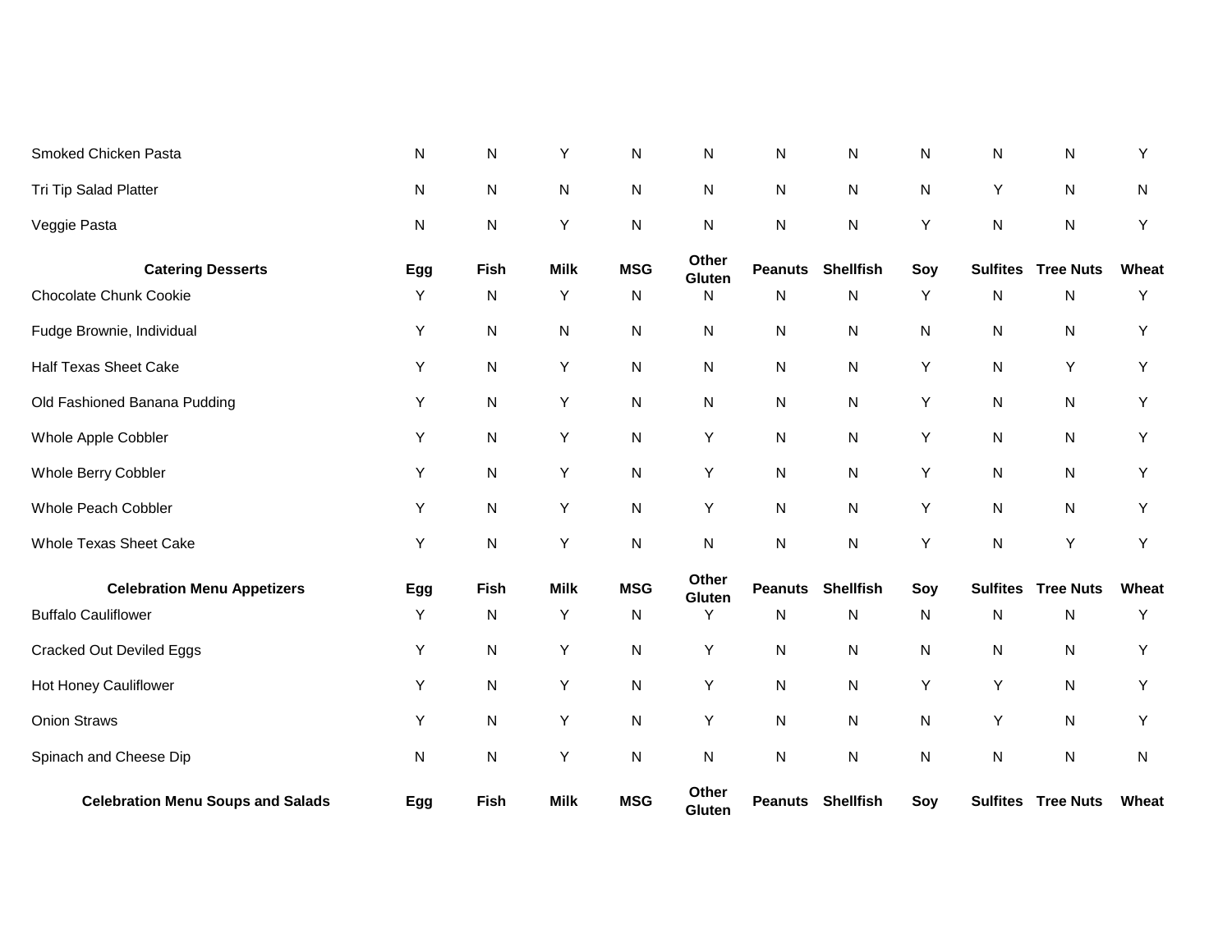| Tri Tip Salad Platter                    | ${\sf N}$ | ${\sf N}$ | N           | N          | $\mathsf{N}$    | N              | N                        | N   | Y               | N                         | N     |
|------------------------------------------|-----------|-----------|-------------|------------|-----------------|----------------|--------------------------|-----|-----------------|---------------------------|-------|
| Veggie Pasta                             | ${\sf N}$ | ${\sf N}$ | Υ           | ${\sf N}$  | ${\sf N}$       | $\mathsf{N}$   | N                        | Υ   | $\mathsf{N}$    | ${\sf N}$                 | Y     |
| <b>Catering Desserts</b>                 | Egg       | Fish      | <b>Milk</b> | <b>MSG</b> | Other<br>Gluten | <b>Peanuts</b> | <b>Shellfish</b>         | Soy | <b>Sulfites</b> | <b>Tree Nuts</b>          | Wheat |
| <b>Chocolate Chunk Cookie</b>            | Υ         | ${\sf N}$ | Υ           | N          | N               | $\mathsf{N}$   | N                        | Υ   | N               | N                         | Y     |
| Fudge Brownie, Individual                | Υ         | ${\sf N}$ | N           | N          | $\mathsf{N}$    | $\mathsf{N}$   | N                        | N   | N               | N                         | Y     |
| <b>Half Texas Sheet Cake</b>             | Υ         | ${\sf N}$ | Υ           | N          | $\mathsf{N}$    | $\mathsf{N}$   | N                        | Υ   | N               | Υ                         | Y     |
| Old Fashioned Banana Pudding             | Υ         | ${\sf N}$ | Υ           | N          | N               | $\mathsf{N}$   | N                        | Υ   | N               | N                         | Υ     |
| Whole Apple Cobbler                      | Y         | N         | Υ           | N          | Υ               | $\mathsf{N}$   | N                        | Υ   | N               | N                         | Y     |
| Whole Berry Cobbler                      | Y         | N         | Υ           | N          | Υ               | $\mathsf{N}$   | N                        | Υ   | N               | N                         | Y     |
| Whole Peach Cobbler                      | Y         | N         | Υ           | N          | Υ               | $\mathsf{N}$   | N                        | Υ   | N               | N                         | Y     |
| <b>Whole Texas Sheet Cake</b>            | Υ         | N         | Υ           | N          | N               | $\mathsf{N}$   | N                        | Y   | N               | Y                         | Y     |
| <b>Celebration Menu Appetizers</b>       | Egg       | Fish      | <b>Milk</b> | <b>MSG</b> | Other<br>Gluten | <b>Peanuts</b> | <b>Shellfish</b>         | Soy | <b>Sulfites</b> | <b>Tree Nuts</b>          | Wheat |
| <b>Buffalo Cauliflower</b>               | Y         | N         | Y           | N          | Y               | N              | N                        | N   | N               | N                         | Y     |
| <b>Cracked Out Deviled Eggs</b>          | Υ         | ${\sf N}$ | Υ           | N          | Υ               | $\mathsf{N}$   | N                        | N   | N               | N                         | Y     |
| Hot Honey Cauliflower                    | Υ         | ${\sf N}$ | Υ           | N          | Υ               | $\mathsf{N}$   | N                        | Υ   | Υ               | N                         | Υ     |
| <b>Onion Straws</b>                      | Υ         | ${\sf N}$ | Y           | N          | Υ               | ${\sf N}$      | N                        | N   | Υ               | ${\sf N}$                 | Y     |
| Spinach and Cheese Dip                   | ${\sf N}$ | ${\sf N}$ | Υ           | N          | ${\sf N}$       | ${\sf N}$      | N                        | N   | N               | ${\sf N}$                 | N     |
| <b>Celebration Menu Soups and Salads</b> | Egg       | Fish      | <b>Milk</b> | <b>MSG</b> | Other<br>Gluten |                | <b>Peanuts Shellfish</b> | Soy |                 | <b>Sulfites Tree Nuts</b> | Wheat |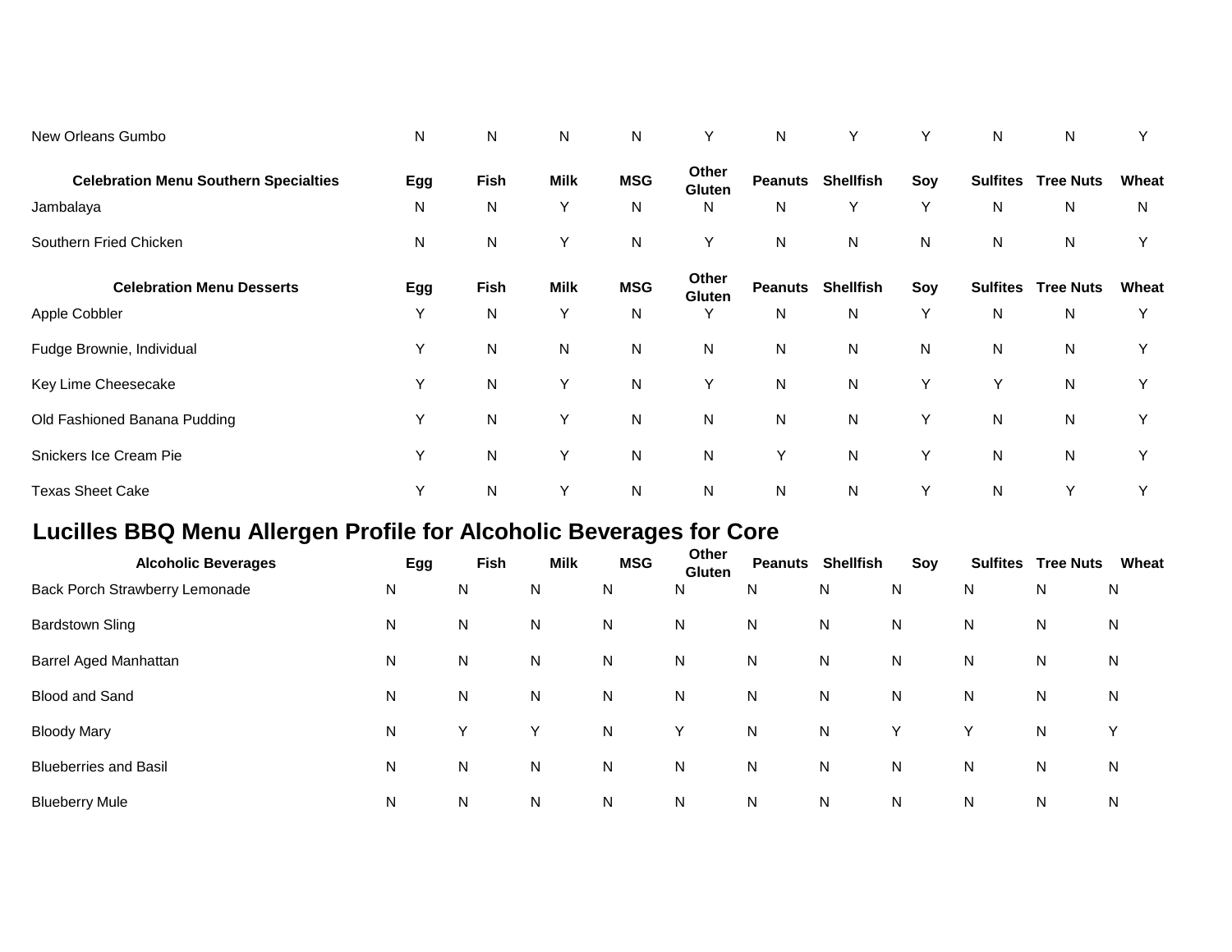| New Orleans Gumbo                            | N   | N         | N           | N          | Υ                      | N              | Y                |     | N               | N                |       |
|----------------------------------------------|-----|-----------|-------------|------------|------------------------|----------------|------------------|-----|-----------------|------------------|-------|
| <b>Celebration Menu Southern Specialties</b> | Egg | Fish      | <b>Milk</b> | <b>MSG</b> | Other<br><b>Gluten</b> | <b>Peanuts</b> | <b>Shellfish</b> | Soy | <b>Sulfites</b> | <b>Tree Nuts</b> | Wheat |
| Jambalaya                                    | N   | N         | Y           | N          | N.                     | $\mathsf{N}$   | Y                | Y   | N               | ${\sf N}$        | N     |
| Southern Fried Chicken                       | N   | N         | Y           | N          | Y                      | $\mathsf{N}$   | N                | N   | N               | N                | Y     |
| <b>Celebration Menu Desserts</b>             | Egg | Fish      | <b>Milk</b> | <b>MSG</b> | Other<br><b>Gluten</b> | <b>Peanuts</b> | <b>Shellfish</b> | Soy | <b>Sulfites</b> | <b>Tree Nuts</b> | Wheat |
| Apple Cobbler                                | Y   | N         | Y           | N          | Υ                      | N              | N                | Υ   | N               | ${\sf N}$        | Υ     |
| Fudge Brownie, Individual                    | Υ   | ${\sf N}$ | ${\sf N}$   | N          | $\mathsf{N}$           | $\mathsf{N}$   | $\mathsf{N}$     | N   | N               | ${\sf N}$        | Y     |
| Key Lime Cheesecake                          | Y   | ${\sf N}$ | Y           | N          | Y                      | $\mathsf{N}$   | N                | Y   | Y               | ${\sf N}$        | Y     |
| Old Fashioned Banana Pudding                 | Υ   | ${\sf N}$ | Y           | N          | $\mathsf{N}$           | $\mathsf{N}$   | $\mathsf{N}$     | Υ   | N               | ${\sf N}$        | Υ     |
| Snickers Ice Cream Pie                       | Υ   | ${\sf N}$ | Y           | N          | $\mathsf{N}$           | Υ              | $\mathsf{N}$     | Y   | N               | ${\sf N}$        | Y     |
| <b>Texas Sheet Cake</b>                      | Υ   | ${\sf N}$ | Υ           | N          | ${\sf N}$              | ${\sf N}$      | N                | Υ   | N               | Υ                | Y     |

## **Lucilles BBQ Menu Allergen Profile for Alcoholic Beverages for Core**

| <b>Alcoholic Beverages</b>     | Egg | <b>Fish</b> | <b>Milk</b> | <b>MSG</b> | Other<br>Gluten | Peanuts      | <b>Shellfish</b> | Soy |   | <b>Sulfites Tree Nuts</b> | Wheat |
|--------------------------------|-----|-------------|-------------|------------|-----------------|--------------|------------------|-----|---|---------------------------|-------|
| Back Porch Strawberry Lemonade | N   | N           | N           | N          | N               | N            | N                | N   | N | N                         | N     |
| <b>Bardstown Sling</b>         | N   | N           | N           | N.         | N               | N            | N                | N   | N | N                         | N     |
| Barrel Aged Manhattan          | N   | N           | N           | N          | N               | N            | N                | N   | N | N                         | N     |
| Blood and Sand                 | N   | N           | N           | N          | N               | $\mathsf{N}$ | N                | N   | N | N                         | N     |
| <b>Bloody Mary</b>             | N   | Y           | Y           | N          | Y               | $\mathsf{N}$ | N                | Y   | Y | N                         | Y     |
| <b>Blueberries and Basil</b>   | N   | N           | N           | N          | N               | N            | N                | N   | N | N                         | N     |
| <b>Blueberry Mule</b>          | N   | N           | N.          | N          | N               | N            | N                | N   | N | N                         | N     |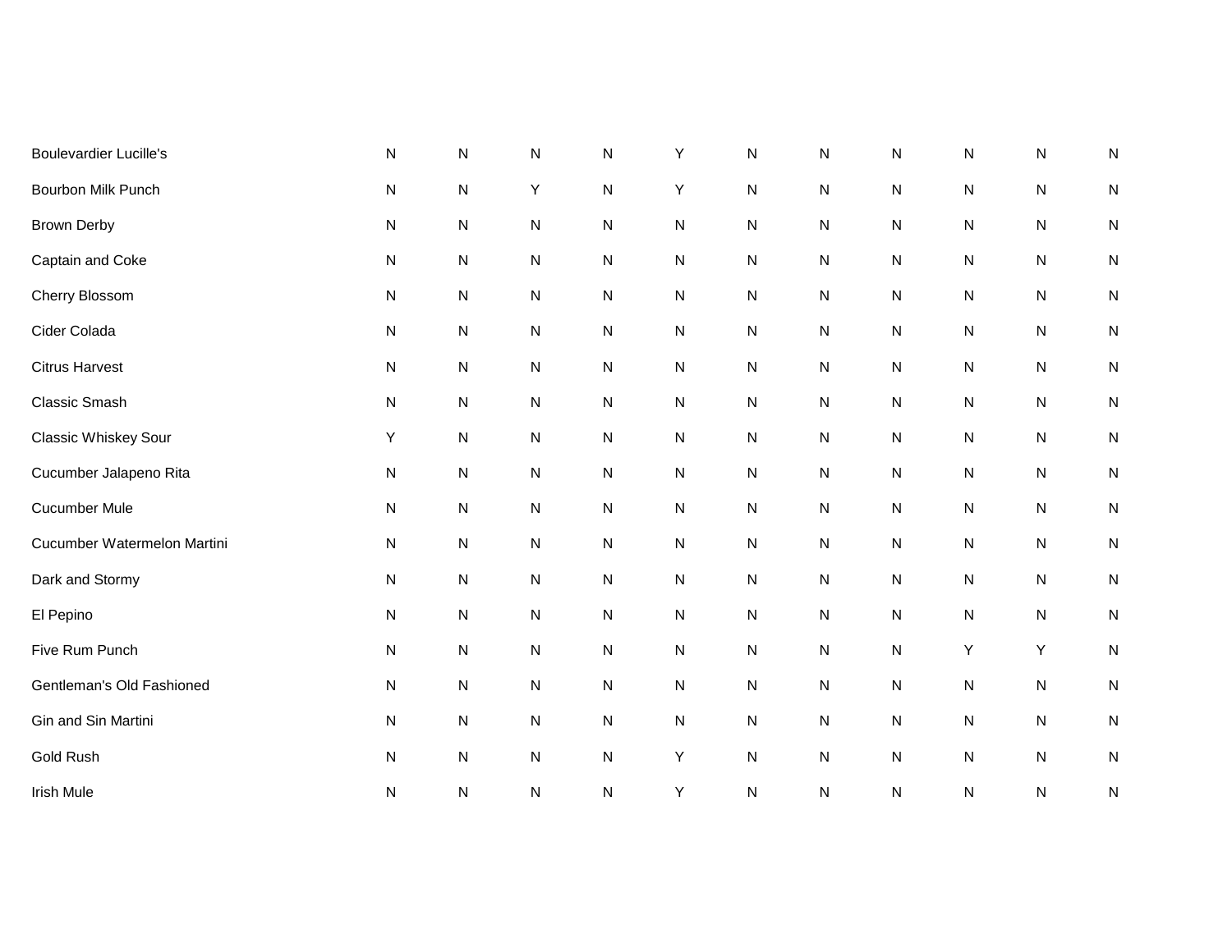| <b>Boulevardier Lucille's</b> | $\mathsf{N}$ | N         | N         | ${\sf N}$ | Υ         | N | N         | N         | N         | ${\sf N}$ | N         |
|-------------------------------|--------------|-----------|-----------|-----------|-----------|---|-----------|-----------|-----------|-----------|-----------|
| <b>Bourbon Milk Punch</b>     | ${\sf N}$    | ${\sf N}$ | Υ         | ${\sf N}$ | Υ         | N | ${\sf N}$ | ${\sf N}$ | ${\sf N}$ | ${\sf N}$ | N         |
| <b>Brown Derby</b>            | ${\sf N}$    | ${\sf N}$ | ${\sf N}$ | ${\sf N}$ | ${\sf N}$ | N | ${\sf N}$ | N         | ${\sf N}$ | ${\sf N}$ | N         |
| Captain and Coke              | ${\sf N}$    | ${\sf N}$ | ${\sf N}$ | ${\sf N}$ | ${\sf N}$ | N | ${\sf N}$ | N         | ${\sf N}$ | ${\sf N}$ | N         |
| Cherry Blossom                | ${\sf N}$    | ${\sf N}$ | ${\sf N}$ | ${\sf N}$ | ${\sf N}$ | N | ${\sf N}$ | ${\sf N}$ | ${\sf N}$ | ${\sf N}$ | N         |
| Cider Colada                  | ${\sf N}$    | ${\sf N}$ | ${\sf N}$ | ${\sf N}$ | ${\sf N}$ | N | ${\sf N}$ | ${\sf N}$ | ${\sf N}$ | ${\sf N}$ | N         |
| <b>Citrus Harvest</b>         | ${\sf N}$    | ${\sf N}$ | ${\sf N}$ | ${\sf N}$ | ${\sf N}$ | N | ${\sf N}$ | ${\sf N}$ | ${\sf N}$ | ${\sf N}$ | N         |
| Classic Smash                 | ${\sf N}$    | ${\sf N}$ | ${\sf N}$ | ${\sf N}$ | ${\sf N}$ | N | ${\sf N}$ | ${\sf N}$ | ${\sf N}$ | ${\sf N}$ | N         |
| Classic Whiskey Sour          | Y            | ${\sf N}$ | ${\sf N}$ | ${\sf N}$ | ${\sf N}$ | N | ${\sf N}$ | ${\sf N}$ | ${\sf N}$ | ${\sf N}$ | N         |
| Cucumber Jalapeno Rita        | ${\sf N}$    | ${\sf N}$ | ${\sf N}$ | ${\sf N}$ | ${\sf N}$ | N | ${\sf N}$ | ${\sf N}$ | ${\sf N}$ | ${\sf N}$ | N         |
| <b>Cucumber Mule</b>          | ${\sf N}$    | ${\sf N}$ | ${\sf N}$ | ${\sf N}$ | ${\sf N}$ | N | ${\sf N}$ | ${\sf N}$ | ${\sf N}$ | ${\sf N}$ | N         |
| Cucumber Watermelon Martini   | ${\sf N}$    | ${\sf N}$ | ${\sf N}$ | ${\sf N}$ | ${\sf N}$ | N | ${\sf N}$ | ${\sf N}$ | ${\sf N}$ | ${\sf N}$ | ${\sf N}$ |
| Dark and Stormy               | ${\sf N}$    | ${\sf N}$ | ${\sf N}$ | ${\sf N}$ | ${\sf N}$ | N | ${\sf N}$ | ${\sf N}$ | ${\sf N}$ | ${\sf N}$ | N         |
| El Pepino                     | ${\sf N}$    | ${\sf N}$ | ${\sf N}$ | ${\sf N}$ | ${\sf N}$ | N | ${\sf N}$ | ${\sf N}$ | ${\sf N}$ | ${\sf N}$ | ${\sf N}$ |
| Five Rum Punch                | ${\sf N}$    | ${\sf N}$ | ${\sf N}$ | ${\sf N}$ | ${\sf N}$ | N | ${\sf N}$ | ${\sf N}$ | Υ         | Y         | ${\sf N}$ |
| Gentleman's Old Fashioned     | ${\sf N}$    | ${\sf N}$ | ${\sf N}$ | ${\sf N}$ | ${\sf N}$ | N | ${\sf N}$ | ${\sf N}$ | ${\sf N}$ | ${\sf N}$ | ${\sf N}$ |
| Gin and Sin Martini           | ${\sf N}$    | ${\sf N}$ | ${\sf N}$ | ${\sf N}$ | ${\sf N}$ | N | ${\sf N}$ | ${\sf N}$ | ${\sf N}$ | ${\sf N}$ | ${\sf N}$ |
| Gold Rush                     | ${\sf N}$    | ${\sf N}$ | ${\sf N}$ | ${\sf N}$ | Υ         | N | ${\sf N}$ | ${\sf N}$ | ${\sf N}$ | ${\sf N}$ | ${\sf N}$ |
| <b>Irish Mule</b>             | ${\sf N}$    | ${\sf N}$ | ${\sf N}$ | ${\sf N}$ | Υ         | N | N         | ${\sf N}$ | ${\sf N}$ | ${\sf N}$ | ${\sf N}$ |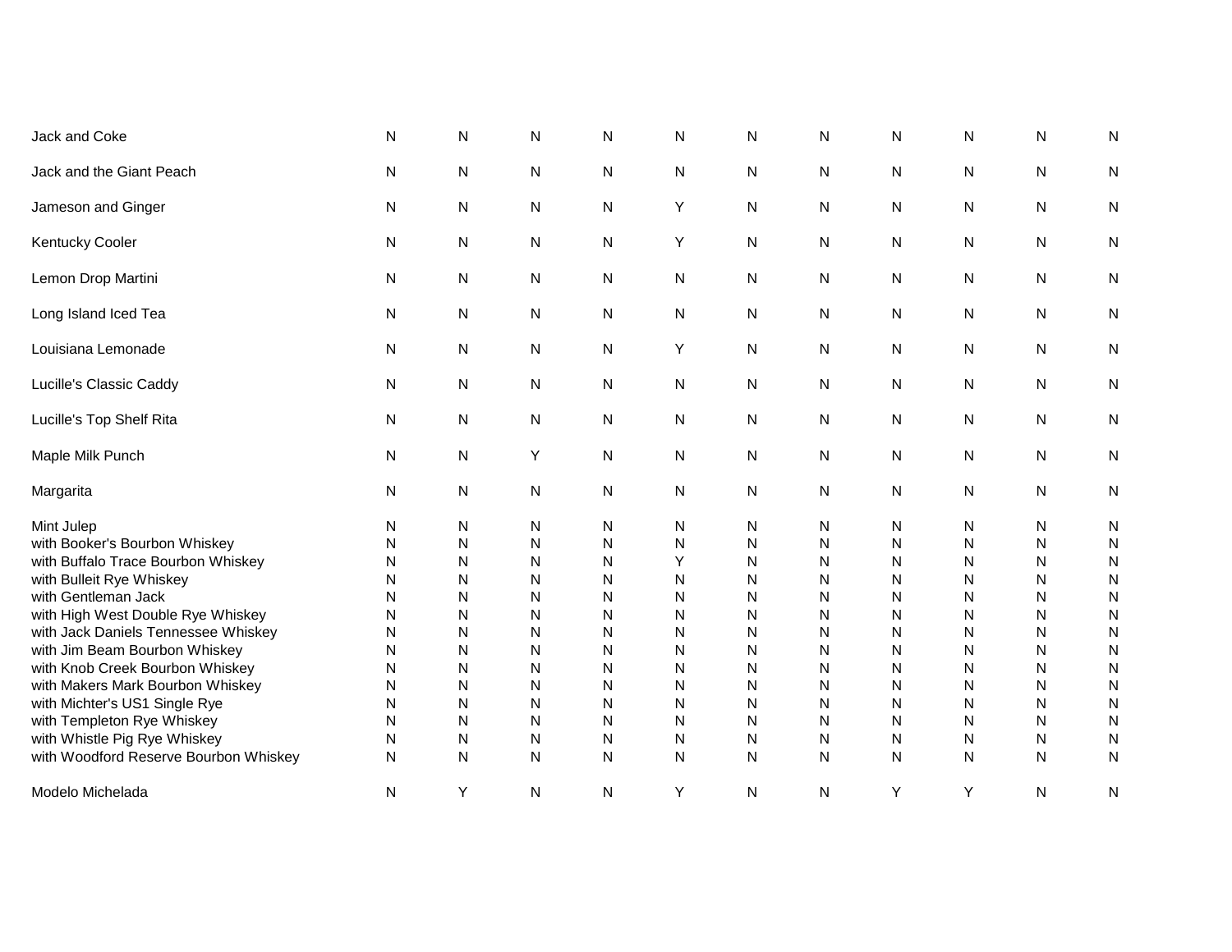| Jack and Coke                                                                                                                                                                                                                                                                                                                                                                                                                                                    | N                                                                  | N                                                                  | N                                                                  | N                                                                          | N                                                                  | N                                                                                     | N                                                                  | N                                                                  | N                                                                  | N                                                                  | N                                                                                                   |
|------------------------------------------------------------------------------------------------------------------------------------------------------------------------------------------------------------------------------------------------------------------------------------------------------------------------------------------------------------------------------------------------------------------------------------------------------------------|--------------------------------------------------------------------|--------------------------------------------------------------------|--------------------------------------------------------------------|----------------------------------------------------------------------------|--------------------------------------------------------------------|---------------------------------------------------------------------------------------|--------------------------------------------------------------------|--------------------------------------------------------------------|--------------------------------------------------------------------|--------------------------------------------------------------------|-----------------------------------------------------------------------------------------------------|
| Jack and the Giant Peach                                                                                                                                                                                                                                                                                                                                                                                                                                         | N                                                                  | N                                                                  | ${\sf N}$                                                          | ${\sf N}$                                                                  | N                                                                  | N                                                                                     | N                                                                  | N                                                                  | N                                                                  | N                                                                  | $\mathsf{N}$                                                                                        |
| Jameson and Ginger                                                                                                                                                                                                                                                                                                                                                                                                                                               | N                                                                  | N                                                                  | ${\sf N}$                                                          | ${\sf N}$                                                                  | Υ                                                                  | ${\sf N}$                                                                             | N                                                                  | N                                                                  | N                                                                  | N                                                                  | ${\sf N}$                                                                                           |
| <b>Kentucky Cooler</b>                                                                                                                                                                                                                                                                                                                                                                                                                                           | N                                                                  | N                                                                  | N                                                                  | N                                                                          | Y                                                                  | N                                                                                     | N                                                                  | N                                                                  | N                                                                  | N                                                                  | N                                                                                                   |
| Lemon Drop Martini                                                                                                                                                                                                                                                                                                                                                                                                                                               | N                                                                  | N                                                                  | N                                                                  | N                                                                          | N                                                                  | N                                                                                     | N                                                                  | N                                                                  | N                                                                  | N                                                                  | N                                                                                                   |
| Long Island Iced Tea                                                                                                                                                                                                                                                                                                                                                                                                                                             | N                                                                  | N                                                                  | N                                                                  | N                                                                          | N                                                                  | N                                                                                     | N                                                                  | N                                                                  | N                                                                  | N                                                                  | N                                                                                                   |
| Louisiana Lemonade                                                                                                                                                                                                                                                                                                                                                                                                                                               | N                                                                  | N                                                                  | N                                                                  | N                                                                          | Y                                                                  | N                                                                                     | N                                                                  | N                                                                  | N                                                                  | N                                                                  | N                                                                                                   |
| Lucille's Classic Caddy                                                                                                                                                                                                                                                                                                                                                                                                                                          | N                                                                  | N                                                                  | N                                                                  | N                                                                          | N                                                                  | N                                                                                     | N                                                                  | N                                                                  | N                                                                  | N                                                                  | N                                                                                                   |
| Lucille's Top Shelf Rita                                                                                                                                                                                                                                                                                                                                                                                                                                         | N                                                                  | N                                                                  | N                                                                  | N                                                                          | N                                                                  | N                                                                                     | N                                                                  | N                                                                  | N                                                                  | N                                                                  | N                                                                                                   |
| Maple Milk Punch                                                                                                                                                                                                                                                                                                                                                                                                                                                 | N                                                                  | N                                                                  | Υ                                                                  | N                                                                          | N                                                                  | N                                                                                     | N                                                                  | N                                                                  | N                                                                  | N                                                                  | N                                                                                                   |
| Margarita                                                                                                                                                                                                                                                                                                                                                                                                                                                        | N                                                                  | N                                                                  | ${\sf N}$                                                          | ${\sf N}$                                                                  | ${\sf N}$                                                          | ${\sf N}$                                                                             | N                                                                  | N                                                                  | N                                                                  | N                                                                  | $\mathsf{N}$                                                                                        |
| Mint Julep<br>with Booker's Bourbon Whiskey<br>with Buffalo Trace Bourbon Whiskey<br>with Bulleit Rye Whiskey<br>with Gentleman Jack<br>with High West Double Rye Whiskey<br>with Jack Daniels Tennessee Whiskey<br>with Jim Beam Bourbon Whiskey<br>with Knob Creek Bourbon Whiskey<br>with Makers Mark Bourbon Whiskey<br>with Michter's US1 Single Rye<br>with Templeton Rye Whiskey<br>with Whistle Pig Rye Whiskey<br>with Woodford Reserve Bourbon Whiskey | N<br>N<br>N<br>N<br>N<br>N<br>N<br>N<br>N<br>N<br>N<br>N<br>N<br>N | N<br>Ν<br>N<br>Ν<br>N<br>N<br>N<br>N<br>N<br>N<br>N<br>N<br>N<br>N | N<br>N<br>N<br>N<br>N<br>N<br>N<br>N<br>N<br>N<br>N<br>N<br>N<br>N | N<br>N<br>${\sf N}$<br>N<br>N<br>N<br>N<br>N<br>N<br>N<br>N<br>N<br>N<br>N | N<br>N<br>Y<br>N<br>N<br>N<br>N<br>N<br>N<br>N<br>N<br>N<br>N<br>N | N<br>N<br>${\sf N}$<br>N<br>N<br>N<br>N<br>N<br>N<br>N<br>N<br>N<br>N<br>$\mathsf{N}$ | Ν<br>N<br>N<br>N<br>N<br>N<br>N<br>N<br>N<br>N<br>N<br>N<br>N<br>N | N<br>N<br>N<br>N<br>N<br>N<br>N<br>N<br>N<br>N<br>N<br>N<br>N<br>N | N<br>N<br>N<br>N<br>N<br>N<br>N<br>N<br>N<br>N<br>N<br>N<br>N<br>N | N<br>N<br>N<br>N<br>N<br>N<br>N<br>N<br>N<br>N<br>Ν<br>N<br>N<br>N | N<br>N<br>N<br>N<br>N<br>N<br>N<br>$\mathsf{N}$<br>N<br>N<br>N<br>$\mathsf{N}$<br>N<br>$\mathsf{N}$ |
| Modelo Michelada                                                                                                                                                                                                                                                                                                                                                                                                                                                 | N                                                                  | Υ                                                                  | N                                                                  | N                                                                          | Υ                                                                  | N                                                                                     | N                                                                  | Y                                                                  | Υ                                                                  | N                                                                  | N                                                                                                   |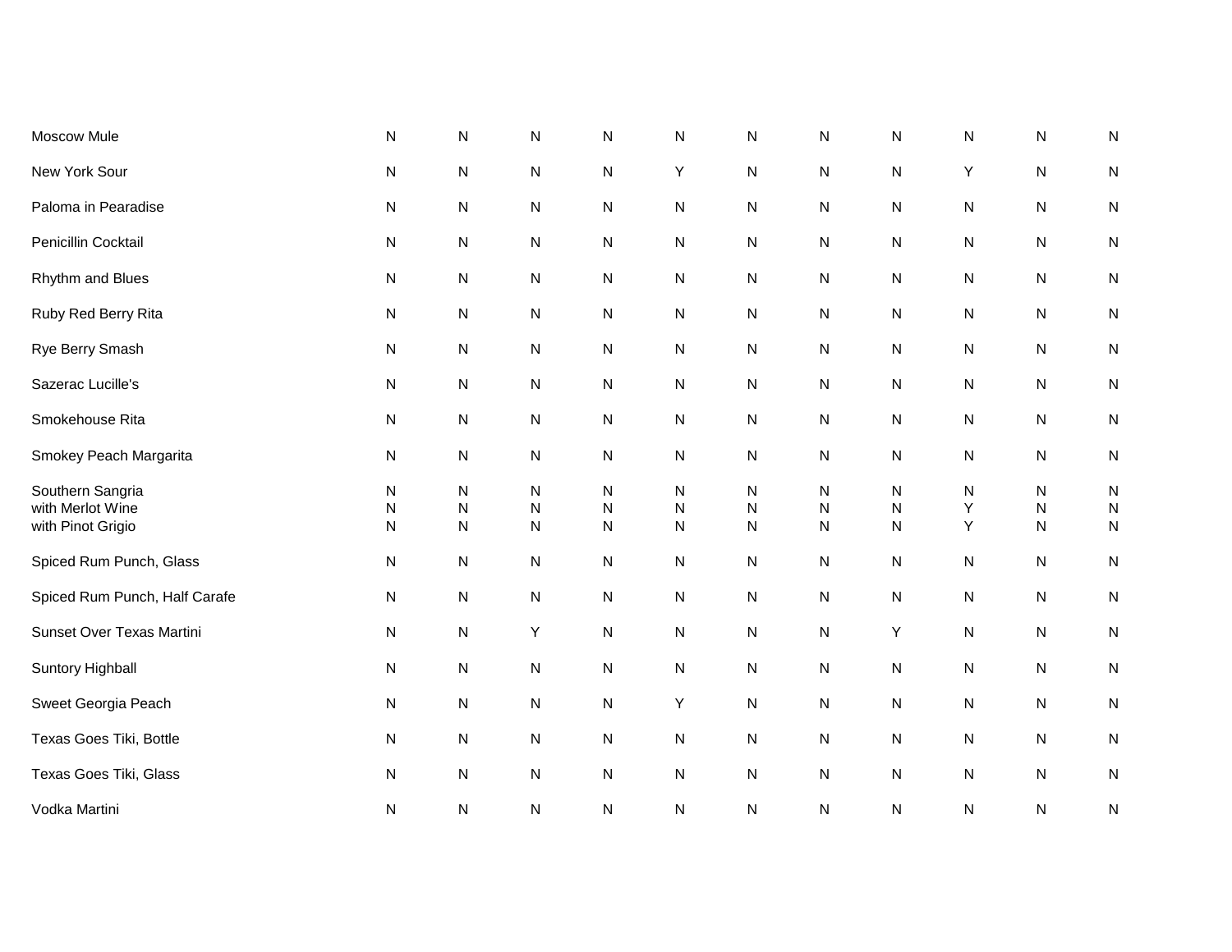| Moscow Mule                                               | $\mathsf{N}$                   | ${\sf N}$                                            | ${\sf N}$                           | ${\sf N}$                                 | ${\sf N}$           | N                                   | N                   | ${\sf N}$           | N           | $\mathsf{N}$                           | $\mathsf{N}$                        |
|-----------------------------------------------------------|--------------------------------|------------------------------------------------------|-------------------------------------|-------------------------------------------|---------------------|-------------------------------------|---------------------|---------------------|-------------|----------------------------------------|-------------------------------------|
| New York Sour                                             | ${\sf N}$                      | ${\sf N}$                                            | ${\sf N}$                           | ${\sf N}$                                 | Υ                   | ${\sf N}$                           | N                   | ${\sf N}$           | Y           | ${\sf N}$                              | ${\sf N}$                           |
| Paloma in Pearadise                                       | ${\sf N}$                      | ${\sf N}$                                            | ${\sf N}$                           | ${\sf N}$                                 | ${\sf N}$           | ${\sf N}$                           | N                   | ${\sf N}$           | N           | ${\sf N}$                              | ${\sf N}$                           |
| Penicillin Cocktail                                       | ${\sf N}$                      | ${\sf N}$                                            | ${\sf N}$                           | ${\sf N}$                                 | N                   | ${\sf N}$                           | N                   | N                   | N           | ${\sf N}$                              | ${\sf N}$                           |
| Rhythm and Blues                                          | ${\sf N}$                      | ${\sf N}$                                            | ${\sf N}$                           | ${\sf N}$                                 | ${\sf N}$           | ${\sf N}$                           | N                   | N                   | N           | ${\sf N}$                              | ${\sf N}$                           |
| Ruby Red Berry Rita                                       | ${\sf N}$                      | ${\sf N}$                                            | ${\sf N}$                           | ${\sf N}$                                 | ${\sf N}$           | ${\sf N}$                           | N                   | ${\sf N}$           | N           | ${\sf N}$                              | ${\sf N}$                           |
| Rye Berry Smash                                           | ${\sf N}$                      | ${\sf N}$                                            | ${\sf N}$                           | ${\sf N}$                                 | ${\sf N}$           | ${\sf N}$                           | N                   | ${\sf N}$           | N           | ${\sf N}$                              | ${\sf N}$                           |
| Sazerac Lucille's                                         | ${\sf N}$                      | ${\sf N}$                                            | ${\sf N}$                           | ${\sf N}$                                 | N                   | N                                   | N                   | ${\sf N}$           | N           | ${\sf N}$                              | ${\sf N}$                           |
| Smokehouse Rita                                           | ${\sf N}$                      | ${\sf N}$                                            | ${\sf N}$                           | ${\sf N}$                                 | ${\sf N}$           | N                                   | N                   | ${\sf N}$           | N           | ${\sf N}$                              | ${\sf N}$                           |
| Smokey Peach Margarita                                    | ${\sf N}$                      | ${\sf N}$                                            | N                                   | ${\sf N}$                                 | ${\sf N}$           | N                                   | N                   | N                   | N           | ${\sf N}$                              | ${\sf N}$                           |
| Southern Sangria<br>with Merlot Wine<br>with Pinot Grigio | ${\sf N}$<br>N<br>$\mathsf{N}$ | $\mathsf{N}$<br>$\overline{\mathsf{N}}$<br>${\sf N}$ | ${\sf N}$<br>${\sf N}$<br>${\sf N}$ | $\mathsf{N}$<br>${\sf N}$<br>$\mathsf{N}$ | N<br>N<br>${\sf N}$ | ${\sf N}$<br>${\sf N}$<br>${\sf N}$ | N<br>${\sf N}$<br>N | N<br>${\sf N}$<br>N | N<br>Υ<br>Υ | ${\sf N}$<br>$\mathsf{N}$<br>${\sf N}$ | ${\sf N}$<br>${\sf N}$<br>${\sf N}$ |
| Spiced Rum Punch, Glass                                   | ${\sf N}$                      | ${\sf N}$                                            | ${\sf N}$                           | ${\sf N}$                                 | N                   | ${\sf N}$                           | N                   | N                   | N           | ${\sf N}$                              | ${\sf N}$                           |
| Spiced Rum Punch, Half Carafe                             | ${\sf N}$                      | ${\sf N}$                                            | ${\sf N}$                           | ${\sf N}$                                 | N                   | ${\sf N}$                           | N                   | ${\sf N}$           | N           | ${\sf N}$                              | ${\sf N}$                           |
| Sunset Over Texas Martini                                 | N                              | N                                                    | Υ                                   | ${\sf N}$                                 | N                   | ${\sf N}$                           | N                   | Y                   | N           | ${\sf N}$                              | ${\sf N}$                           |
| Suntory Highball                                          | ${\sf N}$                      | ${\sf N}$                                            | ${\sf N}$                           | ${\sf N}$                                 | ${\sf N}$           | ${\sf N}$                           | N                   | ${\sf N}$           | N           | ${\sf N}$                              | ${\sf N}$                           |
| Sweet Georgia Peach                                       | ${\sf N}$                      | ${\sf N}$                                            | ${\sf N}$                           | ${\sf N}$                                 | Y                   | ${\sf N}$                           | N                   | ${\sf N}$           | N           | ${\sf N}$                              | ${\sf N}$                           |
| Texas Goes Tiki, Bottle                                   | ${\sf N}$                      | ${\sf N}$                                            | ${\sf N}$                           | ${\sf N}$                                 | ${\sf N}$           | ${\sf N}$                           | N                   | ${\sf N}$           | N           | ${\sf N}$                              | ${\sf N}$                           |
| Texas Goes Tiki, Glass                                    | ${\sf N}$                      | ${\sf N}$                                            | ${\sf N}$                           | ${\sf N}$                                 | ${\sf N}$           | ${\sf N}$                           | ${\sf N}$           | ${\sf N}$           | N           | ${\sf N}$                              | ${\sf N}$                           |
| Vodka Martini                                             | ${\sf N}$                      | N                                                    | N                                   | N                                         | N                   | N                                   | N                   | ${\sf N}$           | N           | ${\sf N}$                              | N                                   |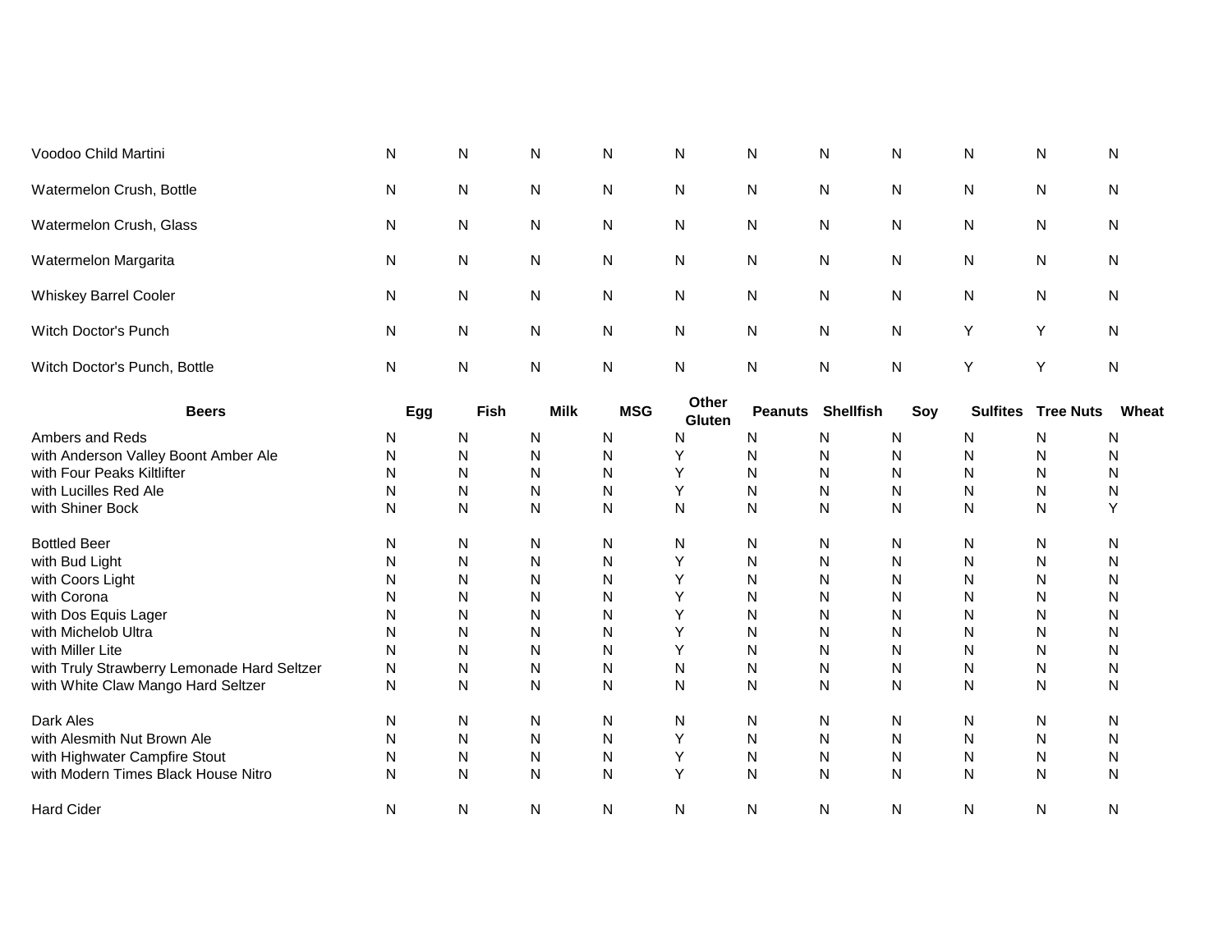| Voodoo Child Martini                        | N            | N         | N            | Ν          | N               | N              | Ν                | Ν         | N               | N                | N         |
|---------------------------------------------|--------------|-----------|--------------|------------|-----------------|----------------|------------------|-----------|-----------------|------------------|-----------|
| Watermelon Crush, Bottle                    | N            | N         | N            | N          | N               | N              | N                | Ν         | N               | N                | N         |
| Watermelon Crush, Glass                     | N            | ${\sf N}$ | ${\sf N}$    | N          | N               | N              | ${\sf N}$        | N         | N               | ${\sf N}$        | N         |
| Watermelon Margarita                        | N            | ${\sf N}$ | ${\sf N}$    | N          | N               | N              | ${\sf N}$        | N         | N               | ${\sf N}$        | N         |
| Whiskey Barrel Cooler                       | N            | ${\sf N}$ | ${\sf N}$    | N          | N               | $\mathsf{N}$   | ${\sf N}$        | ${\sf N}$ | N               | ${\sf N}$        | N         |
| Witch Doctor's Punch                        | N            | ${\sf N}$ | ${\sf N}$    | N          | N               | $\mathsf{N}$   | ${\sf N}$        | N         | Υ               | Y                | ${\sf N}$ |
| Witch Doctor's Punch, Bottle                | N            | N         | ${\sf N}$    | Ν          | N               | N              | ${\sf N}$        | N         | Υ               | Υ                | ${\sf N}$ |
| <b>Beers</b>                                | Egg          | Fish      | <b>Milk</b>  | <b>MSG</b> | Other<br>Gluten | <b>Peanuts</b> | <b>Shellfish</b> | Soy       | <b>Sulfites</b> | <b>Tree Nuts</b> | Wheat     |
| Ambers and Reds                             | N            | ${\sf N}$ | N            | N          | $\mathsf{N}$    | N              | N                | Ν         | N               | N                | N         |
| with Anderson Valley Boont Amber Ale        | N            | N         | N            | N          | Υ               | N              | N                | N         | N               | N                | N         |
| with Four Peaks Kiltlifter                  | N            | N         | N            | N          | Υ               | N              | N                | N         | N               | N                | N         |
| with Lucilles Red Ale                       | N            | N         | N            | N          | Υ               | N              | N                | N         | N               | N                | N         |
| with Shiner Bock                            | N            | N         | N            | N          | N               | N              | N                | N         | N               | N                | Y         |
| <b>Bottled Beer</b>                         | N            | N         | ${\sf N}$    | N          | N               | N              | ${\sf N}$        | N         | N               | N                | ${\sf N}$ |
| with Bud Light                              | N            | N         | N            | N          | Y               | N              | N                | N         | N               | N                | N         |
| with Coors Light                            | N            | N         | $\mathsf{N}$ | N          | Υ               | N              | N                | N         | N               | ${\sf N}$        | ${\sf N}$ |
| with Corona                                 | N            | ${\sf N}$ | ${\sf N}$    | N          | Υ               | N              | ${\sf N}$        | N         | N               | ${\sf N}$        | N         |
| with Dos Equis Lager                        | N            | N         | $\mathsf{N}$ | N          | Y               | N              | N                | N         | N               | N                | ${\sf N}$ |
| with Michelob Ultra                         | N            | N         | ${\sf N}$    | N          | Υ               | N              | N                | N         | N               | N                | ${\sf N}$ |
| with Miller Lite                            | N            | N         | N            | N          | Υ               | N              | ${\sf N}$        | N         | N               | ${\sf N}$        | N         |
| with Truly Strawberry Lemonade Hard Seltzer | N            | N         | N            | N          | N               | N              | N                | N         | N               | ${\sf N}$        | N         |
| with White Claw Mango Hard Seltzer          | $\mathsf{N}$ | ${\sf N}$ | ${\sf N}$    | N          | N               | N              | ${\sf N}$        | N         | N               | ${\sf N}$        | N         |
| Dark Ales                                   | N            | N         | N            | N          | N               | N              | N                | N         | N               | N                | N         |
| with Alesmith Nut Brown Ale                 | N            | N         | N            | N          | Υ               | N              | N                | N         | N               | N                | N         |
| with Highwater Campfire Stout               | N            | N         | ${\sf N}$    | N          | Υ               | N              | N                | ${\sf N}$ | N               | N                | N         |
| with Modern Times Black House Nitro         | N            | ${\sf N}$ | N            | N          | Y               | N              | N                | N         | N               | N                | N         |
| <b>Hard Cider</b>                           | N            | N         | $\mathsf{N}$ | N          | N               | N              | N                | N         | N               | ${\sf N}$        | ${\sf N}$ |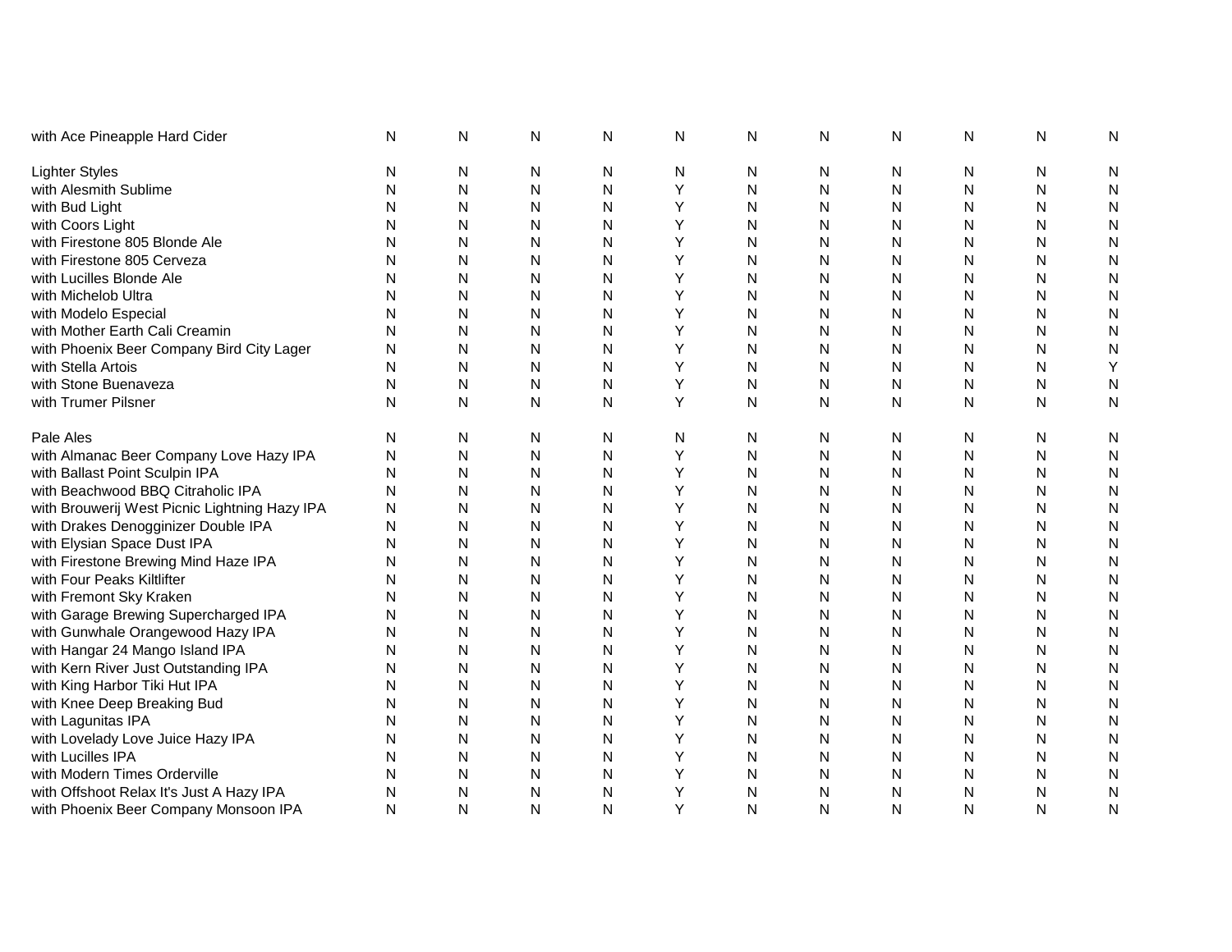| with Ace Pineapple Hard Cider                 | N | N         | $\mathsf{N}$ | N | N | N | N            | ${\sf N}$ | N            | N | N            |
|-----------------------------------------------|---|-----------|--------------|---|---|---|--------------|-----------|--------------|---|--------------|
| <b>Lighter Styles</b>                         | N | N         | N            | N | N | N | N            | N         | N            | N | N            |
| with Alesmith Sublime                         | N | ${\sf N}$ | N            | Ν | Υ | N | N            | ${\sf N}$ | N            | N | $\mathsf{N}$ |
| with Bud Light                                | N | N         | Ν            | N | Υ | N | N            | N         | N            | N | N            |
| with Coors Light                              | N | N         | Ν            | N |   | N | N            | N         | N            | N | N            |
| with Firestone 805 Blonde Ale                 | N | N         | N            | N |   | N | N            | N         | N            | N | N            |
| with Firestone 805 Cerveza                    | N | N         | N            | N |   | N | N            | N         | N            | N | N            |
| with Lucilles Blonde Ale                      | N | N         | N            | N | Υ | N | N            | N         | N            | N | N            |
| with Michelob Ultra                           | N | N         | N            | N | Υ | N | N            | N         | N            | N | $\mathsf{N}$ |
| with Modelo Especial                          | N | ${\sf N}$ | N            | N | Υ | N | N            | ${\sf N}$ | N            | N | $\mathsf{N}$ |
| with Mother Earth Cali Creamin                | N | N         | Ν            | N | Υ | N | N            | ${\sf N}$ | N            | N | N            |
| with Phoenix Beer Company Bird City Lager     | N | N         | N            | N | Y | N | N            | N         | N            | N | $\mathsf{N}$ |
| with Stella Artois                            | N | N         | N            | N | Y | N | N            | N         | N            | N | Υ            |
| with Stone Buenaveza                          | N | ${\sf N}$ | N            | N | Υ | N | N            | ${\sf N}$ | N            | N | N            |
| with Trumer Pilsner                           | N | N         | N            | N | Y | N | $\mathsf{N}$ | N         | N            | N | $\mathsf{N}$ |
| Pale Ales                                     | N | N         | N            | N | N | N | N            | N         | N            | N | N            |
| with Almanac Beer Company Love Hazy IPA       | N | N         | N            | N | Υ | N | N            | ${\sf N}$ | N            | N | N            |
| with Ballast Point Sculpin IPA                | N | N         | N            | N | Υ | N | N            | N         | N            | N | N            |
| with Beachwood BBQ Citraholic IPA             | N | N         | N            | N | Υ | N | N            | N         | N            | N | N            |
| with Brouwerij West Picnic Lightning Hazy IPA | N | N         | N            | N | Y | N | N            | N         | N            | N | N            |
| with Drakes Denogginizer Double IPA           | N | N         | N            | N | Υ | N | N            | N         | N            | N | N            |
| with Elysian Space Dust IPA                   | N | ${\sf N}$ | N            | Ν | Υ | N | N            | ${\sf N}$ | N            | N | N            |
| with Firestone Brewing Mind Haze IPA          | N | N         | N            | N | Y | N | N            | N         | N            | N | $\mathsf{N}$ |
| with Four Peaks Kiltlifter                    | N | N         | N            | Ν | Υ | N | Ν            | ${\sf N}$ | N            | N | $\mathsf{N}$ |
| with Fremont Sky Kraken                       | N | N         | N            | Ν | Υ | N | N            | ${\sf N}$ | Ν            | Ν | N            |
| with Garage Brewing Supercharged IPA          | N | N         | N            | N | Υ | N | N            | N         | N            | N | N            |
| with Gunwhale Orangewood Hazy IPA             | N | N         | Ν            | N | Υ | N | N            | N         | N            | N | N            |
| with Hangar 24 Mango Island IPA               | N | N         | Ν            | Ν | Y | N | N            | N         | N            | N | N            |
| with Kern River Just Outstanding IPA          | N | N         | Ν            | N | Υ | N | N            | N         | N            | N | N            |
| with King Harbor Tiki Hut IPA                 | N | N         | Ν            | N | Y | N | N            | N         | N            | N | N            |
| with Knee Deep Breaking Bud                   | N | ${\sf N}$ | Ν            | N | Y | N | N            | N         | N            | N | N            |
| with Lagunitas IPA                            | N | N         | N            | N | Υ | N | N            | N         | N            | N | $\mathsf{N}$ |
| with Lovelady Love Juice Hazy IPA             | N | N         | N            | N | Υ | N | N            | N         | N            | N | N            |
| with Lucilles IPA                             | N | ${\sf N}$ | Ν            | N | Υ | N | N            | N         | Ν            | Ν | N            |
| with Modern Times Orderville                  | N | N         | Ν            | N |   | N | N            | ${\sf N}$ | $\mathsf{N}$ | N | $\mathsf{N}$ |
| with Offshoot Relax It's Just A Hazy IPA      | N | N         | N            | Ν |   | N | Ν            | N         | N            | N | N            |
| with Phoenix Beer Company Monsoon IPA         | N | N         | N            | N | Y | N | Ν            | N         | N            | N | N            |